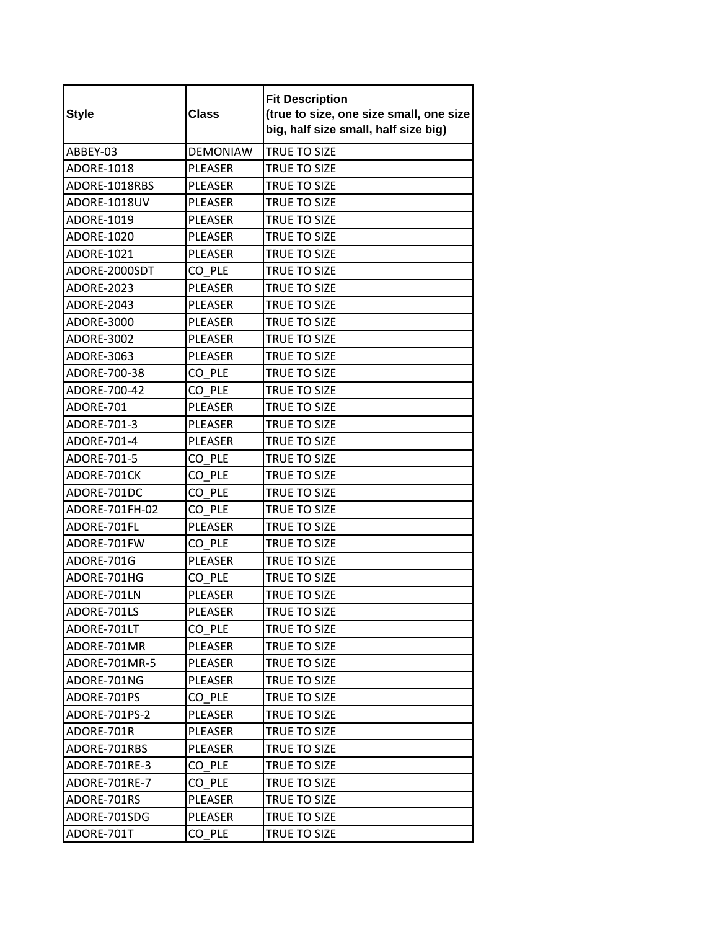| <b>Style</b>      | <b>Class</b>    | <b>Fit Description</b><br>(true to size, one size small, one size<br>big, half size small, half size big) |
|-------------------|-----------------|-----------------------------------------------------------------------------------------------------------|
| ABBEY-03          | <b>DEMONIAW</b> | <b>TRUE TO SIZE</b>                                                                                       |
| <b>ADORE-1018</b> | <b>PLEASER</b>  | TRUE TO SIZE                                                                                              |
| ADORE-1018RBS     | <b>PLEASER</b>  | <b>TRUE TO SIZE</b>                                                                                       |
| ADORE-1018UV      | <b>PLEASER</b>  | TRUE TO SIZE                                                                                              |
| ADORE-1019        | <b>PLEASER</b>  | TRUE TO SIZE                                                                                              |
| ADORE-1020        | <b>PLEASER</b>  | TRUE TO SIZE                                                                                              |
| ADORE-1021        | <b>PLEASER</b>  | TRUE TO SIZE                                                                                              |
| ADORE-2000SDT     | CO PLE          | TRUE TO SIZE                                                                                              |
| <b>ADORE-2023</b> | <b>PLEASER</b>  | TRUE TO SIZE                                                                                              |
| ADORE-2043        | <b>PLEASER</b>  | TRUE TO SIZE                                                                                              |
| ADORE-3000        | <b>PLEASER</b>  | TRUE TO SIZE                                                                                              |
| ADORE-3002        | <b>PLEASER</b>  | TRUE TO SIZE                                                                                              |
| ADORE-3063        | <b>PLEASER</b>  | TRUE TO SIZE                                                                                              |
| ADORE-700-38      | CO_PLE          | TRUE TO SIZE                                                                                              |
| ADORE-700-42      | CO PLE          | TRUE TO SIZE                                                                                              |
| ADORE-701         | <b>PLEASER</b>  | TRUE TO SIZE                                                                                              |
| ADORE-701-3       | <b>PLEASER</b>  | TRUE TO SIZE                                                                                              |
| ADORE-701-4       | <b>PLEASER</b>  | TRUE TO SIZE                                                                                              |
| ADORE-701-5       | CO PLE          | TRUE TO SIZE                                                                                              |
| ADORE-701CK       | CO PLE          | TRUE TO SIZE                                                                                              |
| ADORE-701DC       | CO PLE          | TRUE TO SIZE                                                                                              |
| ADORE-701FH-02    | CO PLE          | TRUE TO SIZE                                                                                              |
| ADORE-701FL       | <b>PLEASER</b>  | TRUE TO SIZE                                                                                              |
| ADORE-701FW       | CO PLE          | TRUE TO SIZE                                                                                              |
| ADORE-701G        | PLEASER         | TRUE TO SIZE                                                                                              |
| ADORE-701HG       | CO PLE          | TRUE TO SIZE                                                                                              |
| ADORE-701LN       | PLEASER         | TRUE TO SIZE                                                                                              |
| ADORE-701LS       | PLEASER         | TRUE TO SIZE                                                                                              |
| ADORE-701LT       | CO PLE          | TRUE TO SIZE                                                                                              |
| ADORE-701MR       | PLEASER         | TRUE TO SIZE                                                                                              |
| ADORE-701MR-5     | PLEASER         | <b>TRUE TO SIZE</b>                                                                                       |
| ADORE-701NG       | PLEASER         | TRUE TO SIZE                                                                                              |
| ADORE-701PS       | CO PLE          | TRUE TO SIZE                                                                                              |
| ADORE-701PS-2     | PLEASER         | TRUE TO SIZE                                                                                              |
| ADORE-701R        | PLEASER         | TRUE TO SIZE                                                                                              |
| ADORE-701RBS      | PLEASER         | TRUE TO SIZE                                                                                              |
| ADORE-701RE-3     | CO PLE          | TRUE TO SIZE                                                                                              |
| ADORE-701RE-7     | CO PLE          | TRUE TO SIZE                                                                                              |
| ADORE-701RS       | PLEASER         | TRUE TO SIZE                                                                                              |
| ADORE-701SDG      | PLEASER         | TRUE TO SIZE                                                                                              |
| ADORE-701T        | CO PLE          | TRUE TO SIZE                                                                                              |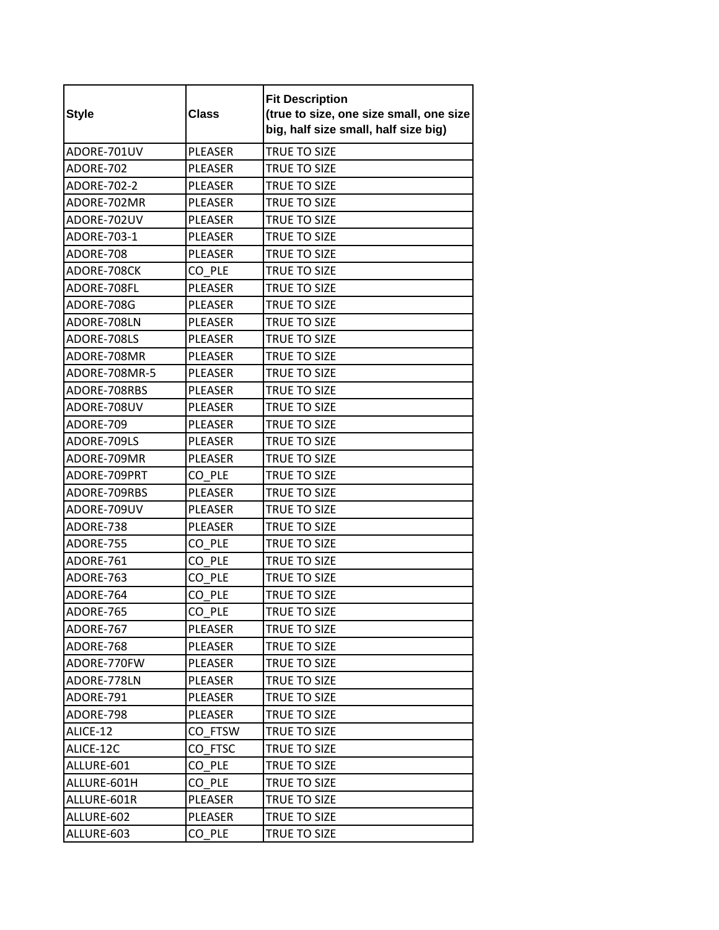| <b>Style</b>  | <b>Class</b>   | <b>Fit Description</b><br>(true to size, one size small, one size<br>big, half size small, half size big) |
|---------------|----------------|-----------------------------------------------------------------------------------------------------------|
| ADORE-701UV   | <b>PLEASER</b> | TRUE TO SIZE                                                                                              |
| ADORE-702     | <b>PLEASER</b> | TRUE TO SIZE                                                                                              |
| ADORE-702-2   | <b>PLEASER</b> | <b>TRUE TO SIZE</b>                                                                                       |
| ADORE-702MR   | <b>PLEASER</b> | TRUE TO SIZE                                                                                              |
| ADORE-702UV   | <b>PLEASER</b> | <b>TRUE TO SIZE</b>                                                                                       |
| ADORE-703-1   | PLEASER        | TRUE TO SIZE                                                                                              |
| ADORE-708     | PLEASER        | TRUE TO SIZE                                                                                              |
| ADORE-708CK   | CO PLE         | TRUE TO SIZE                                                                                              |
| ADORE-708FL   | <b>PLEASER</b> | <b>TRUE TO SIZE</b>                                                                                       |
| ADORE-708G    | <b>PLEASER</b> | <b>TRUE TO SIZE</b>                                                                                       |
| ADORE-708LN   | <b>PLEASER</b> | <b>TRUE TO SIZE</b>                                                                                       |
| ADORE-708LS   | <b>PLEASER</b> | <b>TRUE TO SIZE</b>                                                                                       |
| ADORE-708MR   | <b>PLEASER</b> | TRUE TO SIZE                                                                                              |
| ADORE-708MR-5 | <b>PLEASER</b> | TRUE TO SIZE                                                                                              |
| ADORE-708RBS  | <b>PLEASER</b> | TRUE TO SIZE                                                                                              |
| ADORE-708UV   | PLEASER        | <b>TRUE TO SIZE</b>                                                                                       |
| ADORE-709     | <b>PLEASER</b> | <b>TRUE TO SIZE</b>                                                                                       |
| ADORE-709LS   | PLEASER        | TRUE TO SIZE                                                                                              |
| ADORE-709MR   | <b>PLEASER</b> | TRUE TO SIZE                                                                                              |
| ADORE-709PRT  | CO PLE         | TRUE TO SIZE                                                                                              |
| ADORE-709RBS  | PLEASER        | TRUE TO SIZE                                                                                              |
| ADORE-709UV   | PLEASER        | TRUE TO SIZE                                                                                              |
| ADORE-738     | <b>PLEASER</b> | <b>TRUE TO SIZE</b>                                                                                       |
| ADORE-755     | CO PLE         | <b>TRUE TO SIZE</b>                                                                                       |
| ADORE-761     | CO PLE         | TRUE TO SIZE                                                                                              |
| ADORE-763     | CO PLE         | TRUE TO SIZE                                                                                              |
| ADORE-764     | CO PLE         | <b>TRUE TO SIZE</b>                                                                                       |
| ADORE-765     | CO_PLE         | TRUE TO SIZE                                                                                              |
| ADORE-767     | PLEASER        | TRUE TO SIZE                                                                                              |
| ADORE-768     | PLEASER        | TRUE TO SIZE                                                                                              |
| ADORE-770FW   | PLEASER        | TRUE TO SIZE                                                                                              |
| ADORE-778LN   | PLEASER        | TRUE TO SIZE                                                                                              |
| ADORE-791     | PLEASER        | TRUE TO SIZE                                                                                              |
| ADORE-798     | PLEASER        | TRUE TO SIZE                                                                                              |
| ALICE-12      | CO FTSW        | TRUE TO SIZE                                                                                              |
| ALICE-12C     | CO FTSC        | TRUE TO SIZE                                                                                              |
| ALLURE-601    | CO PLE         | TRUE TO SIZE                                                                                              |
| ALLURE-601H   | CO PLE         | TRUE TO SIZE                                                                                              |
| ALLURE-601R   | PLEASER        | TRUE TO SIZE                                                                                              |
| ALLURE-602    | PLEASER        | TRUE TO SIZE                                                                                              |
| ALLURE-603    | CO PLE         | TRUE TO SIZE                                                                                              |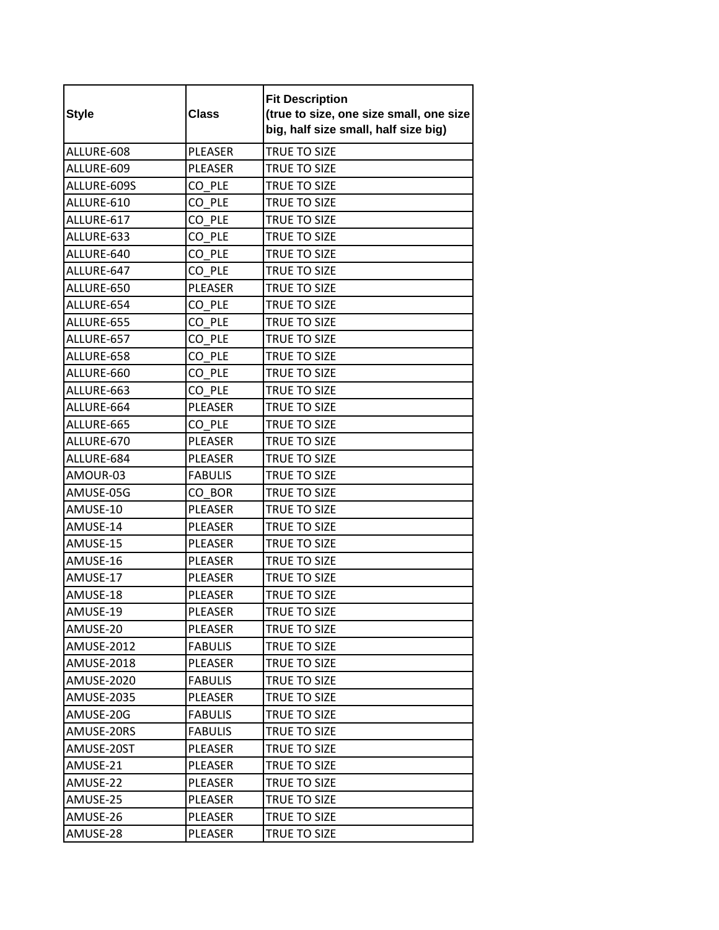| <b>Style</b>      | <b>Class</b>   | <b>Fit Description</b><br>(true to size, one size small, one size<br>big, half size small, half size big) |
|-------------------|----------------|-----------------------------------------------------------------------------------------------------------|
| ALLURE-608        | <b>PLEASER</b> | TRUE TO SIZE                                                                                              |
| ALLURE-609        | <b>PLEASER</b> | TRUE TO SIZE                                                                                              |
| ALLURE-609S       | CO PLE         | TRUE TO SIZE                                                                                              |
| ALLURE-610        | CO PLE         | TRUE TO SIZE                                                                                              |
| ALLURE-617        | CO PLE         | TRUE TO SIZE                                                                                              |
| ALLURE-633        | CO PLE         | <b>TRUE TO SIZE</b>                                                                                       |
| ALLURE-640        | CO PLE         | TRUE TO SIZE                                                                                              |
| ALLURE-647        | CO PLE         | <b>TRUE TO SIZE</b>                                                                                       |
| ALLURE-650        | <b>PLEASER</b> | TRUE TO SIZE                                                                                              |
| ALLURE-654        | CO PLE         | TRUE TO SIZE                                                                                              |
| ALLURE-655        | CO PLE         | TRUE TO SIZE                                                                                              |
| ALLURE-657        | CO PLE         | TRUE TO SIZE                                                                                              |
| ALLURE-658        | CO PLE         | TRUE TO SIZE                                                                                              |
| ALLURE-660        | CO PLE         | TRUE TO SIZE                                                                                              |
| ALLURE-663        | CO PLE         | TRUE TO SIZE                                                                                              |
| ALLURE-664        | <b>PLEASER</b> | TRUE TO SIZE                                                                                              |
| ALLURE-665        | CO PLE         | TRUE TO SIZE                                                                                              |
| ALLURE-670        | PLEASER        | TRUE TO SIZE                                                                                              |
| ALLURE-684        | PLEASER        | TRUE TO SIZE                                                                                              |
| AMOUR-03          | <b>FABULIS</b> | TRUE TO SIZE                                                                                              |
| AMUSE-05G         | CO BOR         | TRUE TO SIZE                                                                                              |
| AMUSE-10          | <b>PLEASER</b> | TRUE TO SIZE                                                                                              |
| AMUSE-14          | <b>PLEASER</b> | TRUE TO SIZE                                                                                              |
| AMUSE-15          | PLEASER        | TRUE TO SIZE                                                                                              |
| AMUSE-16          | <b>PLEASER</b> | TRUE TO SIZE                                                                                              |
| AMUSE-17          | PLEASER        | TRUE TO SIZE                                                                                              |
| AMUSE-18          | <b>PLEASER</b> | TRUE TO SIZE                                                                                              |
| AMUSE-19          | PLEASER        | TRUE TO SIZE                                                                                              |
| AMUSE-20          | PLEASER        | TRUE TO SIZE                                                                                              |
| <b>AMUSE-2012</b> | <b>FABULIS</b> | TRUE TO SIZE                                                                                              |
| <b>AMUSE-2018</b> | PLEASER        | TRUE TO SIZE                                                                                              |
| AMUSE-2020        | <b>FABULIS</b> | TRUE TO SIZE                                                                                              |
| <b>AMUSE-2035</b> | PLEASER        | TRUE TO SIZE                                                                                              |
| AMUSE-20G         | <b>FABULIS</b> | TRUE TO SIZE                                                                                              |
| AMUSE-20RS        | <b>FABULIS</b> | TRUE TO SIZE                                                                                              |
| AMUSE-20ST        | PLEASER        | TRUE TO SIZE                                                                                              |
| AMUSE-21          | PLEASER        | TRUE TO SIZE                                                                                              |
| AMUSE-22          | PLEASER        | TRUE TO SIZE                                                                                              |
| AMUSE-25          | PLEASER        | TRUE TO SIZE                                                                                              |
| AMUSE-26          | PLEASER        | TRUE TO SIZE                                                                                              |
| AMUSE-28          | PLEASER        | TRUE TO SIZE                                                                                              |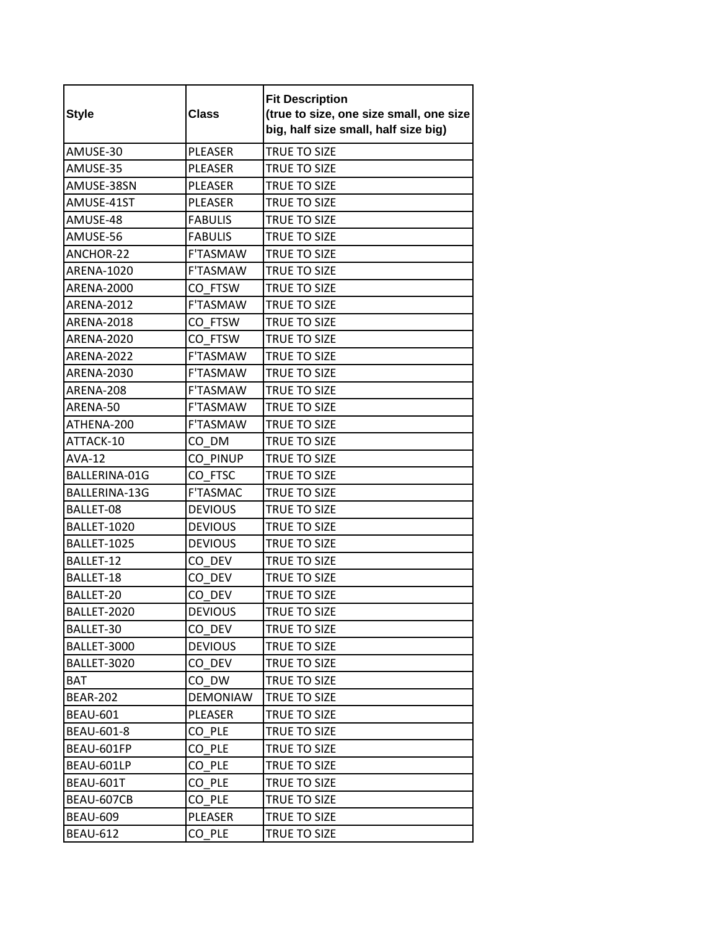| <b>Style</b>      | <b>Class</b>    | <b>Fit Description</b><br>(true to size, one size small, one size<br>big, half size small, half size big) |
|-------------------|-----------------|-----------------------------------------------------------------------------------------------------------|
| AMUSE-30          | <b>PLEASER</b>  | TRUE TO SIZE                                                                                              |
| AMUSE-35          | PLEASER         | TRUE TO SIZE                                                                                              |
| AMUSE-38SN        | <b>PLEASER</b>  | TRUE TO SIZE                                                                                              |
| AMUSE-41ST        | PLEASER         | TRUE TO SIZE                                                                                              |
| AMUSE-48          | <b>FABULIS</b>  | TRUE TO SIZE                                                                                              |
| AMUSE-56          | <b>FABULIS</b>  | <b>TRUE TO SIZE</b>                                                                                       |
| ANCHOR-22         | F'TASMAW        | <b>TRUE TO SIZE</b>                                                                                       |
| <b>ARENA-1020</b> | <b>F'TASMAW</b> | <b>TRUE TO SIZE</b>                                                                                       |
| <b>ARENA-2000</b> | CO FTSW         | <b>TRUE TO SIZE</b>                                                                                       |
| <b>ARENA-2012</b> | <b>F'TASMAW</b> | TRUE TO SIZE                                                                                              |
| <b>ARENA-2018</b> | CO FTSW         | <b>TRUE TO SIZE</b>                                                                                       |
| <b>ARENA-2020</b> | CO FTSW         | <b>TRUE TO SIZE</b>                                                                                       |
| <b>ARENA-2022</b> | <b>F'TASMAW</b> | <b>TRUE TO SIZE</b>                                                                                       |
| ARENA-2030        | <b>F'TASMAW</b> | TRUE TO SIZE                                                                                              |
| ARENA-208         | <b>F'TASMAW</b> | TRUE TO SIZE                                                                                              |
| ARENA-50          | <b>F'TASMAW</b> | <b>TRUE TO SIZE</b>                                                                                       |
| ATHENA-200        | <b>F'TASMAW</b> | <b>TRUE TO SIZE</b>                                                                                       |
| ATTACK-10         | CO DM           | TRUE TO SIZE                                                                                              |
| <b>AVA-12</b>     | CO PINUP        | TRUE TO SIZE                                                                                              |
| BALLERINA-01G     | CO FTSC         | <b>TRUE TO SIZE</b>                                                                                       |
| BALLERINA-13G     | <b>F'TASMAC</b> | TRUE TO SIZE                                                                                              |
| BALLET-08         | <b>DEVIOUS</b>  | <b>TRUE TO SIZE</b>                                                                                       |
| BALLET-1020       | <b>DEVIOUS</b>  | TRUE TO SIZE                                                                                              |
| BALLET-1025       | <b>DEVIOUS</b>  | TRUE TO SIZE                                                                                              |
| BALLET-12         | CO DEV          | TRUE TO SIZE                                                                                              |
| BALLET-18         | CO DEV          | TRUE TO SIZE                                                                                              |
| BALLET-20         | CO DEV          | <b>TRUE TO SIZE</b>                                                                                       |
| BALLET-2020       | <b>DEVIOUS</b>  | TRUE TO SIZE                                                                                              |
| BALLET-30         | CO DEV          | TRUE TO SIZE                                                                                              |
| BALLET-3000       | <b>DEVIOUS</b>  | TRUE TO SIZE                                                                                              |
| BALLET-3020       | CO DEV          | TRUE TO SIZE                                                                                              |
| <b>BAT</b>        | CO DW           | TRUE TO SIZE                                                                                              |
| <b>BEAR-202</b>   | <b>DEMONIAW</b> | TRUE TO SIZE                                                                                              |
| <b>BEAU-601</b>   | PLEASER         | TRUE TO SIZE                                                                                              |
| BEAU-601-8        | CO PLE          | TRUE TO SIZE                                                                                              |
| BEAU-601FP        | CO PLE          | TRUE TO SIZE                                                                                              |
| BEAU-601LP        | CO PLE          | TRUE TO SIZE                                                                                              |
| BEAU-601T         | CO PLE          | TRUE TO SIZE                                                                                              |
| BEAU-607CB        | CO PLE          | TRUE TO SIZE                                                                                              |
| <b>BEAU-609</b>   | PLEASER         | TRUE TO SIZE                                                                                              |
| <b>BEAU-612</b>   | CO PLE          | TRUE TO SIZE                                                                                              |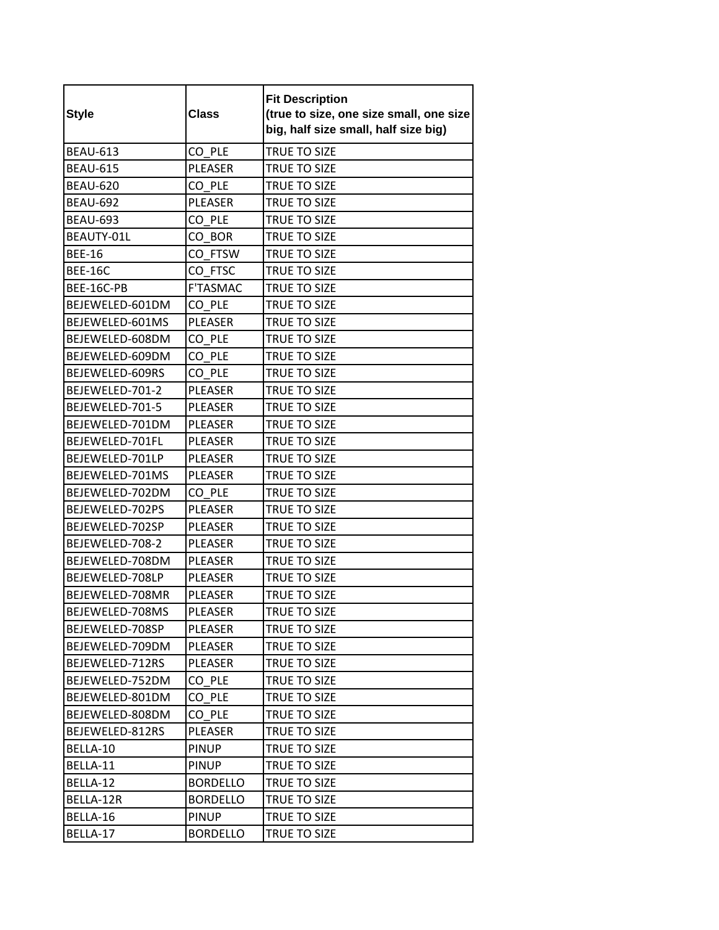| <b>Style</b>    | <b>Class</b>    | <b>Fit Description</b><br>(true to size, one size small, one size<br>big, half size small, half size big) |
|-----------------|-----------------|-----------------------------------------------------------------------------------------------------------|
| <b>BEAU-613</b> | CO PLE          | TRUE TO SIZE                                                                                              |
| <b>BEAU-615</b> | <b>PLEASER</b>  | <b>TRUE TO SIZE</b>                                                                                       |
| <b>BEAU-620</b> | CO PLE          | <b>TRUE TO SIZE</b>                                                                                       |
| <b>BEAU-692</b> | <b>PLEASER</b>  | TRUE TO SIZE                                                                                              |
| <b>BEAU-693</b> | CO PLE          | TRUE TO SIZE                                                                                              |
| BEAUTY-01L      | CO BOR          | TRUE TO SIZE                                                                                              |
| <b>BEE-16</b>   | CO FTSW         | TRUE TO SIZE                                                                                              |
| <b>BEE-16C</b>  | CO FTSC         | <b>TRUE TO SIZE</b>                                                                                       |
| BEE-16C-PB      | <b>F'TASMAC</b> | TRUE TO SIZE                                                                                              |
| BEJEWELED-601DM | CO PLE          | TRUE TO SIZE                                                                                              |
| BEJEWELED-601MS | <b>PLEASER</b>  | TRUE TO SIZE                                                                                              |
| BEJEWELED-608DM | CO PLE          | <b>TRUE TO SIZE</b>                                                                                       |
| BEJEWELED-609DM | CO PLE          | TRUE TO SIZE                                                                                              |
| BEJEWELED-609RS | CO PLE          | TRUE TO SIZE                                                                                              |
| BEJEWELED-701-2 | <b>PLEASER</b>  | TRUE TO SIZE                                                                                              |
| BEJEWELED-701-5 | <b>PLEASER</b>  | TRUE TO SIZE                                                                                              |
| BEJEWELED-701DM | <b>PLEASER</b>  | TRUE TO SIZE                                                                                              |
| BEJEWELED-701FL | <b>PLEASER</b>  | TRUE TO SIZE                                                                                              |
| BEJEWELED-701LP | <b>PLEASER</b>  | TRUE TO SIZE                                                                                              |
| BEJEWELED-701MS | <b>PLEASER</b>  | <b>TRUE TO SIZE</b>                                                                                       |
| BEJEWELED-702DM | CO PLE          | TRUE TO SIZE                                                                                              |
| BEJEWELED-702PS | <b>PLEASER</b>  | <b>TRUE TO SIZE</b>                                                                                       |
| BEJEWELED-702SP | <b>PLEASER</b>  | TRUE TO SIZE                                                                                              |
| BEJEWELED-708-2 | <b>PLEASER</b>  | TRUE TO SIZE                                                                                              |
| BEJEWELED-708DM | PLEASER         | TRUE TO SIZE                                                                                              |
| BEJEWELED-708LP | <b>PLEASER</b>  | TRUE TO SIZE                                                                                              |
| BEJEWELED-708MR | <b>PLEASER</b>  | TRUE TO SIZE                                                                                              |
| BEJEWELED-708MS | PLEASER         | TRUE TO SIZE                                                                                              |
| BEJEWELED-708SP | PLEASER         | TRUE TO SIZE                                                                                              |
| BEJEWELED-709DM | PLEASER         | TRUE TO SIZE                                                                                              |
| BEJEWELED-712RS | PLEASER         | TRUE TO SIZE                                                                                              |
| BEJEWELED-752DM | CO PLE          | TRUE TO SIZE                                                                                              |
| BEJEWELED-801DM | CO PLE          | TRUE TO SIZE                                                                                              |
| BEJEWELED-808DM | CO PLE          | TRUE TO SIZE                                                                                              |
| BEJEWELED-812RS | PLEASER         | TRUE TO SIZE                                                                                              |
| BELLA-10        | <b>PINUP</b>    | TRUE TO SIZE                                                                                              |
| BELLA-11        | <b>PINUP</b>    | TRUE TO SIZE                                                                                              |
| BELLA-12        | <b>BORDELLO</b> | TRUE TO SIZE                                                                                              |
| BELLA-12R       | <b>BORDELLO</b> | TRUE TO SIZE                                                                                              |
| BELLA-16        | <b>PINUP</b>    | TRUE TO SIZE                                                                                              |
| BELLA-17        | <b>BORDELLO</b> | TRUE TO SIZE                                                                                              |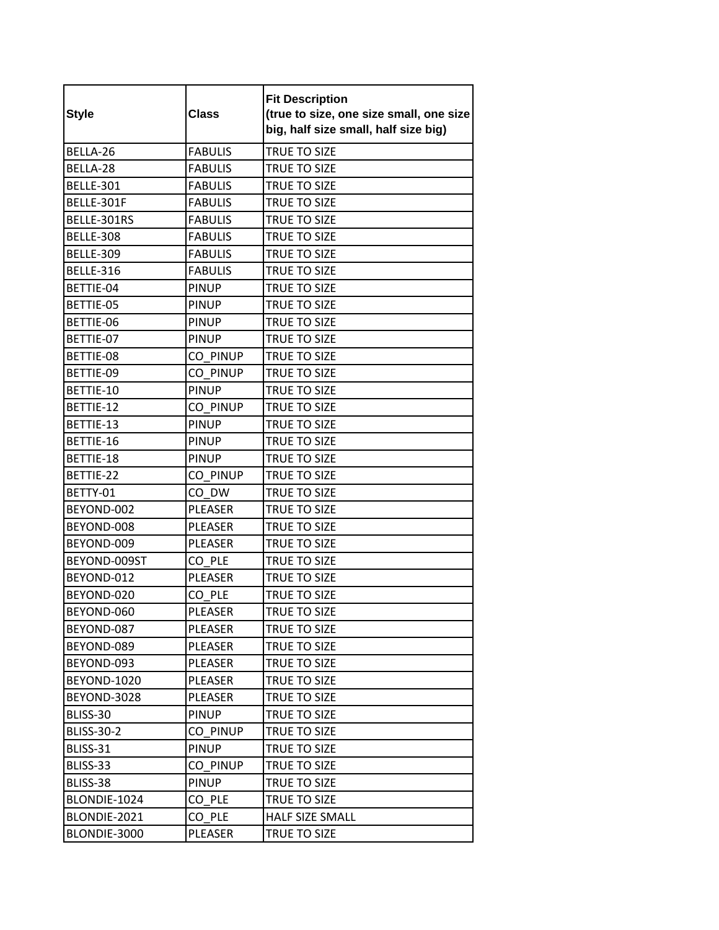| <b>Style</b>      | <b>Class</b>   | <b>Fit Description</b><br>(true to size, one size small, one size<br>big, half size small, half size big) |
|-------------------|----------------|-----------------------------------------------------------------------------------------------------------|
| BELLA-26          | <b>FABULIS</b> | <b>TRUE TO SIZE</b>                                                                                       |
| BELLA-28          | <b>FABULIS</b> | TRUE TO SIZE                                                                                              |
| <b>BELLE-301</b>  | <b>FABULIS</b> | <b>TRUE TO SIZE</b>                                                                                       |
| BELLE-301F        | <b>FABULIS</b> | TRUE TO SIZE                                                                                              |
| BELLE-301RS       | <b>FABULIS</b> | TRUE TO SIZE                                                                                              |
| <b>BELLE-308</b>  | <b>FABULIS</b> | TRUE TO SIZE                                                                                              |
| <b>BELLE-309</b>  | <b>FABULIS</b> | TRUE TO SIZE                                                                                              |
| <b>BELLE-316</b>  | <b>FABULIS</b> | TRUE TO SIZE                                                                                              |
| BETTIE-04         | <b>PINUP</b>   | TRUE TO SIZE                                                                                              |
| BETTIE-05         | <b>PINUP</b>   | TRUE TO SIZE                                                                                              |
| BETTIE-06         | <b>PINUP</b>   | TRUE TO SIZE                                                                                              |
| BETTIE-07         | <b>PINUP</b>   | <b>TRUE TO SIZE</b>                                                                                       |
| BETTIE-08         | CO PINUP       | TRUE TO SIZE                                                                                              |
| BETTIE-09         | CO_PINUP       | TRUE TO SIZE                                                                                              |
| BETTIE-10         | <b>PINUP</b>   | TRUE TO SIZE                                                                                              |
| BETTIE-12         | CO PINUP       | TRUE TO SIZE                                                                                              |
| BETTIE-13         | <b>PINUP</b>   | TRUE TO SIZE                                                                                              |
| BETTIE-16         | <b>PINUP</b>   | TRUE TO SIZE                                                                                              |
| BETTIE-18         | <b>PINUP</b>   | TRUE TO SIZE                                                                                              |
| BETTIE-22         | CO PINUP       | TRUE TO SIZE                                                                                              |
| BETTY-01          | CO DW          | TRUE TO SIZE                                                                                              |
| BEYOND-002        | <b>PLEASER</b> | <b>TRUE TO SIZE</b>                                                                                       |
| BEYOND-008        | PLEASER        | TRUE TO SIZE                                                                                              |
| BEYOND-009        | <b>PLEASER</b> | TRUE TO SIZE                                                                                              |
| BEYOND-009ST      | CO PLE         | TRUE TO SIZE                                                                                              |
| BEYOND-012        | PLEASER        | TRUE TO SIZE                                                                                              |
| BEYOND-020        | CO PLE         | TRUE TO SIZE                                                                                              |
| BEYOND-060        | PLEASER        | TRUE TO SIZE                                                                                              |
| BEYOND-087        | PLEASER        | TRUE TO SIZE                                                                                              |
| BEYOND-089        | PLEASER        | TRUE TO SIZE                                                                                              |
| BEYOND-093        | PLEASER        | TRUE TO SIZE                                                                                              |
| BEYOND-1020       | PLEASER        | TRUE TO SIZE                                                                                              |
| BEYOND-3028       | PLEASER        | TRUE TO SIZE                                                                                              |
| BLISS-30          | <b>PINUP</b>   | TRUE TO SIZE                                                                                              |
| <b>BLISS-30-2</b> | CO PINUP       | TRUE TO SIZE                                                                                              |
| BLISS-31          | <b>PINUP</b>   | <b>TRUE TO SIZE</b>                                                                                       |
| BLISS-33          | CO PINUP       | TRUE TO SIZE                                                                                              |
| BLISS-38          | <b>PINUP</b>   | TRUE TO SIZE                                                                                              |
| BLONDIE-1024      | CO PLE         | TRUE TO SIZE                                                                                              |
| BLONDIE-2021      | CO PLE         | HALF SIZE SMALL                                                                                           |
| BLONDIE-3000      | PLEASER        | TRUE TO SIZE                                                                                              |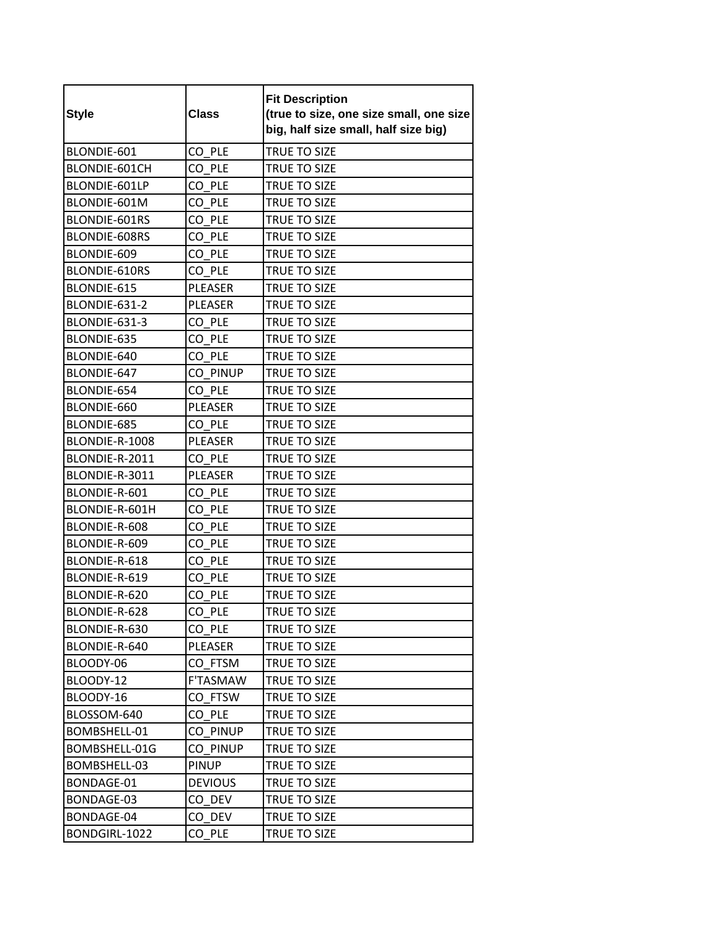| <b>Style</b>   | <b>Class</b>   | <b>Fit Description</b><br>(true to size, one size small, one size<br>big, half size small, half size big) |
|----------------|----------------|-----------------------------------------------------------------------------------------------------------|
| BLONDIE-601    | CO PLE         | TRUE TO SIZE                                                                                              |
| BLONDIE-601CH  | CO PLE         | TRUE TO SIZE                                                                                              |
| BLONDIE-601LP  | CO PLE         | <b>TRUE TO SIZE</b>                                                                                       |
| BLONDIE-601M   | CO PLE         | TRUE TO SIZE                                                                                              |
| BLONDIE-601RS  | CO PLE         | <b>TRUE TO SIZE</b>                                                                                       |
| BLONDIE-608RS  | CO PLE         | <b>TRUE TO SIZE</b>                                                                                       |
| BLONDIE-609    | CO PLE         | TRUE TO SIZE                                                                                              |
| BLONDIE-610RS  | CO PLE         | TRUE TO SIZE                                                                                              |
| BLONDIE-615    | <b>PLEASER</b> | <b>TRUE TO SIZE</b>                                                                                       |
| BLONDIE-631-2  | <b>PLEASER</b> | TRUE TO SIZE                                                                                              |
| BLONDIE-631-3  | CO PLE         | <b>TRUE TO SIZE</b>                                                                                       |
| BLONDIE-635    | CO PLE         | TRUE TO SIZE                                                                                              |
| BLONDIE-640    | CO PLE         | <b>TRUE TO SIZE</b>                                                                                       |
| BLONDIE-647    | CO PINUP       | TRUE TO SIZE                                                                                              |
| BLONDIE-654    | CO PLE         | TRUE TO SIZE                                                                                              |
| BLONDIE-660    | <b>PLEASER</b> | TRUE TO SIZE                                                                                              |
| BLONDIE-685    | CO PLE         | TRUE TO SIZE                                                                                              |
| BLONDIE-R-1008 | PLEASER        | <b>TRUE TO SIZE</b>                                                                                       |
| BLONDIE-R-2011 | CO PLE         | TRUE TO SIZE                                                                                              |
| BLONDIE-R-3011 | <b>PLEASER</b> | TRUE TO SIZE                                                                                              |
| BLONDIE-R-601  | CO PLE         | TRUE TO SIZE                                                                                              |
| BLONDIE-R-601H | CO PLE         | TRUE TO SIZE                                                                                              |
| BLONDIE-R-608  | CO PLE         | <b>TRUE TO SIZE</b>                                                                                       |
| BLONDIE-R-609  | CO PLE         | <b>TRUE TO SIZE</b>                                                                                       |
| BLONDIE-R-618  | CO PLE         | TRUE TO SIZE                                                                                              |
| BLONDIE-R-619  | CO PLE         | TRUE TO SIZE                                                                                              |
| BLONDIE-R-620  | CO PLE         | <b>TRUE TO SIZE</b>                                                                                       |
| BLONDIE-R-628  | CO_PLE         | TRUE TO SIZE                                                                                              |
| BLONDIE-R-630  | CO PLE         | TRUE TO SIZE                                                                                              |
| BLONDIE-R-640  | PLEASER        | TRUE TO SIZE                                                                                              |
| BLOODY-06      | CO FTSM        | TRUE TO SIZE                                                                                              |
| BLOODY-12      | F'TASMAW       | TRUE TO SIZE                                                                                              |
| BLOODY-16      | CO FTSW        | TRUE TO SIZE                                                                                              |
| BLOSSOM-640    | CO PLE         | TRUE TO SIZE                                                                                              |
| BOMBSHELL-01   | CO PINUP       | TRUE TO SIZE                                                                                              |
| BOMBSHELL-01G  | CO PINUP       | <b>TRUE TO SIZE</b>                                                                                       |
| BOMBSHELL-03   | <b>PINUP</b>   | TRUE TO SIZE                                                                                              |
| BONDAGE-01     | <b>DEVIOUS</b> | TRUE TO SIZE                                                                                              |
| BONDAGE-03     | CO DEV         | TRUE TO SIZE                                                                                              |
| BONDAGE-04     | CO DEV         | TRUE TO SIZE                                                                                              |
| BONDGIRL-1022  | CO PLE         | TRUE TO SIZE                                                                                              |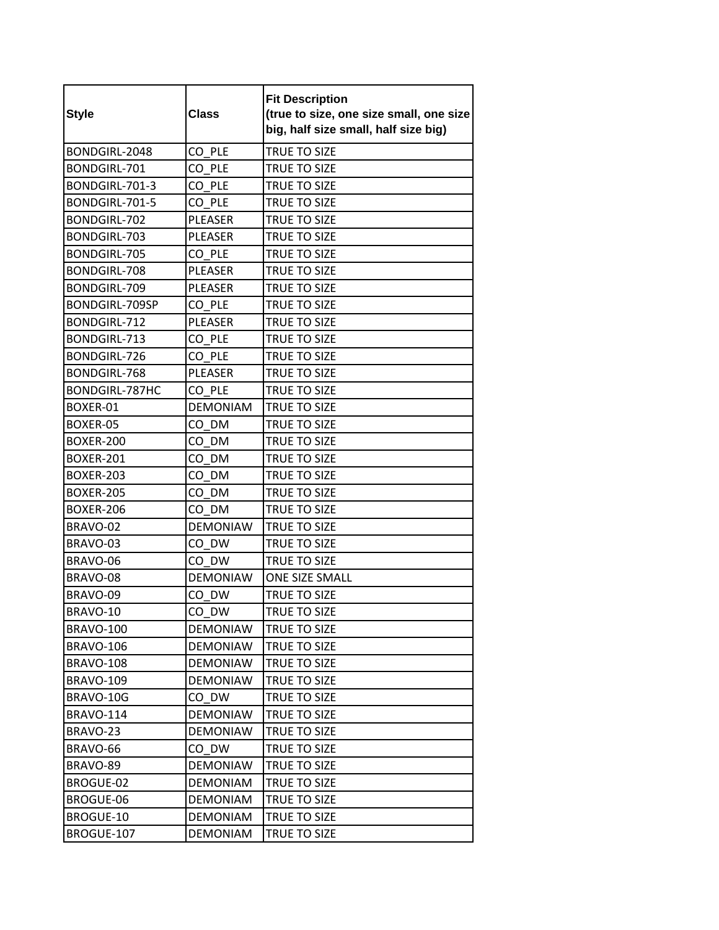| <b>Style</b>          | <b>Class</b>    | <b>Fit Description</b><br>(true to size, one size small, one size<br>big, half size small, half size big) |
|-----------------------|-----------------|-----------------------------------------------------------------------------------------------------------|
| BONDGIRL-2048         | CO PLE          | TRUE TO SIZE                                                                                              |
| BONDGIRL-701          | CO PLE          | TRUE TO SIZE                                                                                              |
| BONDGIRL-701-3        | CO PLE          | <b>TRUE TO SIZE</b>                                                                                       |
| BONDGIRL-701-5        | CO PLE          | TRUE TO SIZE                                                                                              |
| BONDGIRL-702          | <b>PLEASER</b>  | <b>TRUE TO SIZE</b>                                                                                       |
| BONDGIRL-703          | <b>PLEASER</b>  | TRUE TO SIZE                                                                                              |
| BONDGIRL-705          | CO PLE          | TRUE TO SIZE                                                                                              |
| BONDGIRL-708          | <b>PLEASER</b>  | TRUE TO SIZE                                                                                              |
| BONDGIRL-709          | <b>PLEASER</b>  | TRUE TO SIZE                                                                                              |
| BONDGIRL-709SP        | CO PLE          | TRUE TO SIZE                                                                                              |
| BONDGIRL-712          | <b>PLEASER</b>  | TRUE TO SIZE                                                                                              |
| BONDGIRL-713          | CO PLE          | TRUE TO SIZE                                                                                              |
| <b>BONDGIRL-726</b>   | CO PLE          | TRUE TO SIZE                                                                                              |
| BONDGIRL-768          | <b>PLEASER</b>  | TRUE TO SIZE                                                                                              |
| <b>BONDGIRL-787HC</b> | CO PLE          | TRUE TO SIZE                                                                                              |
| BOXER-01              | <b>DEMONIAM</b> | TRUE TO SIZE                                                                                              |
| BOXER-05              | CO DM           | <b>TRUE TO SIZE</b>                                                                                       |
| BOXER-200             | CO DM           | TRUE TO SIZE                                                                                              |
| BOXER-201             | CO DM           | TRUE TO SIZE                                                                                              |
| <b>BOXER-203</b>      | CO DM           | TRUE TO SIZE                                                                                              |
| <b>BOXER-205</b>      | CO DM           | TRUE TO SIZE                                                                                              |
| <b>BOXER-206</b>      | CO DM           | <b>TRUE TO SIZE</b>                                                                                       |
| BRAVO-02              | <b>DEMONIAW</b> | TRUE TO SIZE                                                                                              |
| BRAVO-03              | CO DW           | TRUE TO SIZE                                                                                              |
| BRAVO-06              | CO DW           | <b>TRUE TO SIZE</b>                                                                                       |
| BRAVO-08              | <b>DEMONIAW</b> | <b>ONE SIZE SMALL</b>                                                                                     |
| BRAVO-09              | CO DW           | TRUE TO SIZE                                                                                              |
| BRAVO-10              | CO_DW           | TRUE TO SIZE                                                                                              |
| BRAVO-100             | <b>DEMONIAW</b> | TRUE TO SIZE                                                                                              |
| <b>BRAVO-106</b>      | <b>DEMONIAW</b> | TRUE TO SIZE                                                                                              |
| <b>BRAVO-108</b>      | <b>DEMONIAW</b> | <b>TRUE TO SIZE</b>                                                                                       |
| <b>BRAVO-109</b>      | <b>DEMONIAW</b> | TRUE TO SIZE                                                                                              |
| BRAVO-10G             | CO DW           | TRUE TO SIZE                                                                                              |
| <b>BRAVO-114</b>      | <b>DEMONIAW</b> | TRUE TO SIZE                                                                                              |
| BRAVO-23              | <b>DEMONIAW</b> | TRUE TO SIZE                                                                                              |
| BRAVO-66              | CO DW           | TRUE TO SIZE                                                                                              |
| BRAVO-89              | <b>DEMONIAW</b> | TRUE TO SIZE                                                                                              |
| BROGUE-02             | <b>DEMONIAM</b> | TRUE TO SIZE                                                                                              |
| BROGUE-06             | <b>DEMONIAM</b> | TRUE TO SIZE                                                                                              |
| BROGUE-10             | <b>DEMONIAM</b> | TRUE TO SIZE                                                                                              |
| BROGUE-107            | <b>DEMONIAM</b> | TRUE TO SIZE                                                                                              |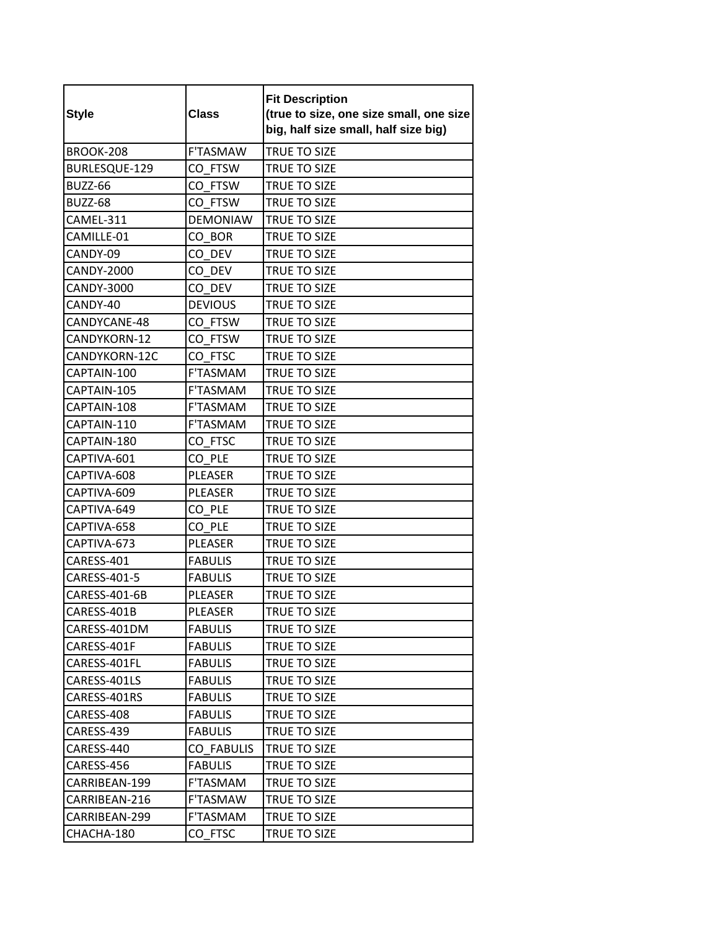| <b>Style</b>      | <b>Class</b>      | <b>Fit Description</b><br>(true to size, one size small, one size<br>big, half size small, half size big) |
|-------------------|-------------------|-----------------------------------------------------------------------------------------------------------|
| BROOK-208         | F'TASMAW          | TRUE TO SIZE                                                                                              |
| BURLESQUE-129     | CO FTSW           | TRUE TO SIZE                                                                                              |
| <b>BUZZ-66</b>    | CO FTSW           | <b>TRUE TO SIZE</b>                                                                                       |
| <b>BUZZ-68</b>    | CO FTSW           | TRUE TO SIZE                                                                                              |
| CAMEL-311         | <b>DEMONIAW</b>   | TRUE TO SIZE                                                                                              |
| CAMILLE-01        | CO BOR            | TRUE TO SIZE                                                                                              |
| CANDY-09          | CO DEV            | TRUE TO SIZE                                                                                              |
| <b>CANDY-2000</b> | CO DEV            | TRUE TO SIZE                                                                                              |
| <b>CANDY-3000</b> | CO DEV            | <b>TRUE TO SIZE</b>                                                                                       |
| CANDY-40          | <b>DEVIOUS</b>    | TRUE TO SIZE                                                                                              |
| CANDYCANE-48      | CO FTSW           | TRUE TO SIZE                                                                                              |
| CANDYKORN-12      | CO FTSW           | TRUE TO SIZE                                                                                              |
| CANDYKORN-12C     | CO FTSC           | TRUE TO SIZE                                                                                              |
| CAPTAIN-100       | <b>F'TASMAM</b>   | TRUE TO SIZE                                                                                              |
| CAPTAIN-105       | <b>F'TASMAM</b>   | TRUE TO SIZE                                                                                              |
| CAPTAIN-108       | F'TASMAM          | TRUE TO SIZE                                                                                              |
| CAPTAIN-110       | <b>F'TASMAM</b>   | TRUE TO SIZE                                                                                              |
| CAPTAIN-180       | CO FTSC           | TRUE TO SIZE                                                                                              |
| CAPTIVA-601       | CO PLE            | TRUE TO SIZE                                                                                              |
| CAPTIVA-608       | <b>PLEASER</b>    | TRUE TO SIZE                                                                                              |
| CAPTIVA-609       | <b>PLEASER</b>    | TRUE TO SIZE                                                                                              |
| CAPTIVA-649       | CO PLE            | TRUE TO SIZE                                                                                              |
| CAPTIVA-658       | CO PLE            | TRUE TO SIZE                                                                                              |
| CAPTIVA-673       | <b>PLEASER</b>    | TRUE TO SIZE                                                                                              |
| CARESS-401        | <b>FABULIS</b>    | TRUE TO SIZE                                                                                              |
| CARESS-401-5      | <b>FABULIS</b>    | TRUE TO SIZE                                                                                              |
| CARESS-401-6B     | PLEASER           | TRUE TO SIZE                                                                                              |
| CARESS-401B       | PLEASER           | TRUE TO SIZE                                                                                              |
| CARESS-401DM      | <b>FABULIS</b>    | TRUE TO SIZE                                                                                              |
| CARESS-401F       | <b>FABULIS</b>    | TRUE TO SIZE                                                                                              |
| CARESS-401FL      | <b>FABULIS</b>    | TRUE TO SIZE                                                                                              |
| CARESS-401LS      | <b>FABULIS</b>    | TRUE TO SIZE                                                                                              |
| CARESS-401RS      | <b>FABULIS</b>    | TRUE TO SIZE                                                                                              |
| CARESS-408        | <b>FABULIS</b>    | <b>TRUE TO SIZE</b>                                                                                       |
| CARESS-439        | <b>FABULIS</b>    | TRUE TO SIZE                                                                                              |
| CARESS-440        | <b>CO FABULIS</b> | TRUE TO SIZE                                                                                              |
| CARESS-456        | <b>FABULIS</b>    | TRUE TO SIZE                                                                                              |
| CARRIBEAN-199     | F'TASMAM          | TRUE TO SIZE                                                                                              |
| CARRIBEAN-216     | F'TASMAW          | TRUE TO SIZE                                                                                              |
| CARRIBEAN-299     | F'TASMAM          | TRUE TO SIZE                                                                                              |
| CHACHA-180        | CO FTSC           | TRUE TO SIZE                                                                                              |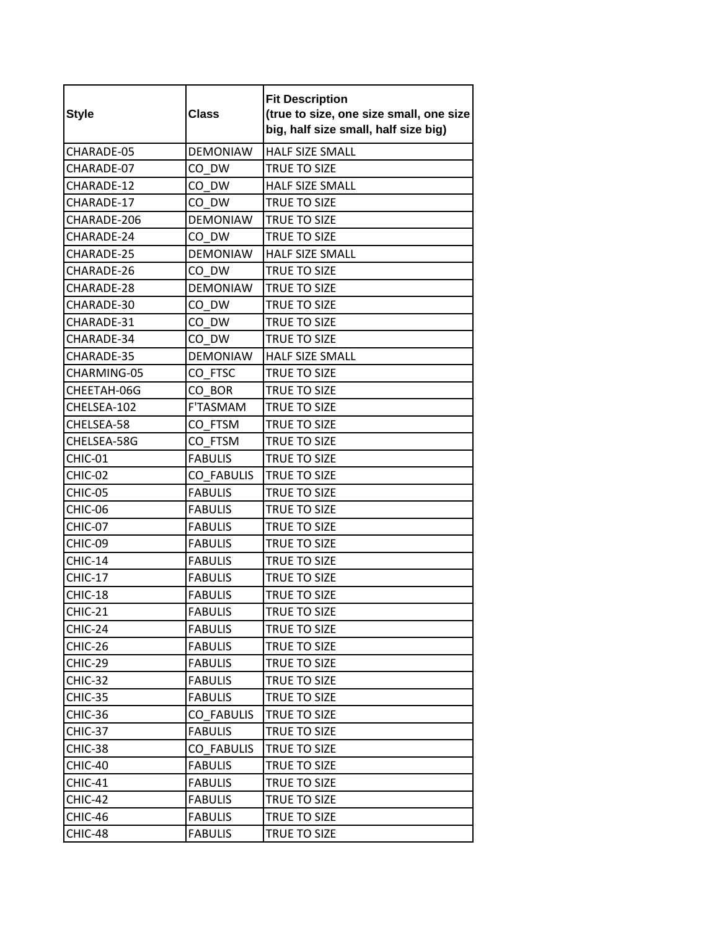| <b>Style</b>   | <b>Class</b>      | <b>Fit Description</b><br>(true to size, one size small, one size<br>big, half size small, half size big) |
|----------------|-------------------|-----------------------------------------------------------------------------------------------------------|
| CHARADE-05     | <b>DEMONIAW</b>   | <b>HALF SIZE SMALL</b>                                                                                    |
| CHARADE-07     | CO DW             | TRUE TO SIZE                                                                                              |
| CHARADE-12     | CO DW             | <b>HALF SIZE SMALL</b>                                                                                    |
| CHARADE-17     | CO DW             | <b>TRUE TO SIZE</b>                                                                                       |
| CHARADE-206    | <b>DEMONIAW</b>   | <b>TRUE TO SIZE</b>                                                                                       |
| CHARADE-24     | CO DW             | TRUE TO SIZE                                                                                              |
| CHARADE-25     | <b>DEMONIAW</b>   | <b>HALF SIZE SMALL</b>                                                                                    |
| CHARADE-26     | CO DW             | TRUE TO SIZE                                                                                              |
| CHARADE-28     | <b>DEMONIAW</b>   | <b>TRUE TO SIZE</b>                                                                                       |
| CHARADE-30     | CO DW             | TRUE TO SIZE                                                                                              |
| CHARADE-31     | CO DW             | <b>TRUE TO SIZE</b>                                                                                       |
| CHARADE-34     | CO DW             | TRUE TO SIZE                                                                                              |
| CHARADE-35     | <b>DEMONIAW</b>   | HALF SIZE SMALL                                                                                           |
| CHARMING-05    | CO FTSC           | TRUE TO SIZE                                                                                              |
| CHEETAH-06G    | CO BOR            | TRUE TO SIZE                                                                                              |
| CHELSEA-102    | F'TASMAM          | TRUE TO SIZE                                                                                              |
| CHELSEA-58     | CO FTSM           | TRUE TO SIZE                                                                                              |
| CHELSEA-58G    | CO FTSM           | TRUE TO SIZE                                                                                              |
| CHIC-01        | <b>FABULIS</b>    | TRUE TO SIZE                                                                                              |
| CHIC-02        | <b>CO FABULIS</b> | TRUE TO SIZE                                                                                              |
| CHIC-05        | <b>FABULIS</b>    | TRUE TO SIZE                                                                                              |
| CHIC-06        | <b>FABULIS</b>    | TRUE TO SIZE                                                                                              |
| CHIC-07        | <b>FABULIS</b>    | TRUE TO SIZE                                                                                              |
| CHIC-09        | <b>FABULIS</b>    | <b>TRUE TO SIZE</b>                                                                                       |
| CHIC-14        | <b>FABULIS</b>    | TRUE TO SIZE                                                                                              |
| <b>CHIC-17</b> | <b>FABULIS</b>    | TRUE TO SIZE                                                                                              |
| CHIC-18        | <b>FABULIS</b>    | <b>TRUE TO SIZE</b>                                                                                       |
| CHIC-21        | <b>FABULIS</b>    | TRUE TO SIZE                                                                                              |
| CHIC-24        | <b>FABULIS</b>    | TRUE TO SIZE                                                                                              |
| CHIC-26        | <b>FABULIS</b>    | TRUE TO SIZE                                                                                              |
| CHIC-29        | <b>FABULIS</b>    | TRUE TO SIZE                                                                                              |
| CHIC-32        | <b>FABULIS</b>    | TRUE TO SIZE                                                                                              |
| CHIC-35        | <b>FABULIS</b>    | TRUE TO SIZE                                                                                              |
| CHIC-36        | <b>CO FABULIS</b> | TRUE TO SIZE                                                                                              |
| CHIC-37        | <b>FABULIS</b>    | TRUE TO SIZE                                                                                              |
| CHIC-38        | <b>CO FABULIS</b> | TRUE TO SIZE                                                                                              |
| CHIC-40        | <b>FABULIS</b>    | TRUE TO SIZE                                                                                              |
| CHIC-41        | <b>FABULIS</b>    | TRUE TO SIZE                                                                                              |
| CHIC-42        | <b>FABULIS</b>    | TRUE TO SIZE                                                                                              |
| CHIC-46        | <b>FABULIS</b>    | TRUE TO SIZE                                                                                              |
| CHIC-48        | <b>FABULIS</b>    | TRUE TO SIZE                                                                                              |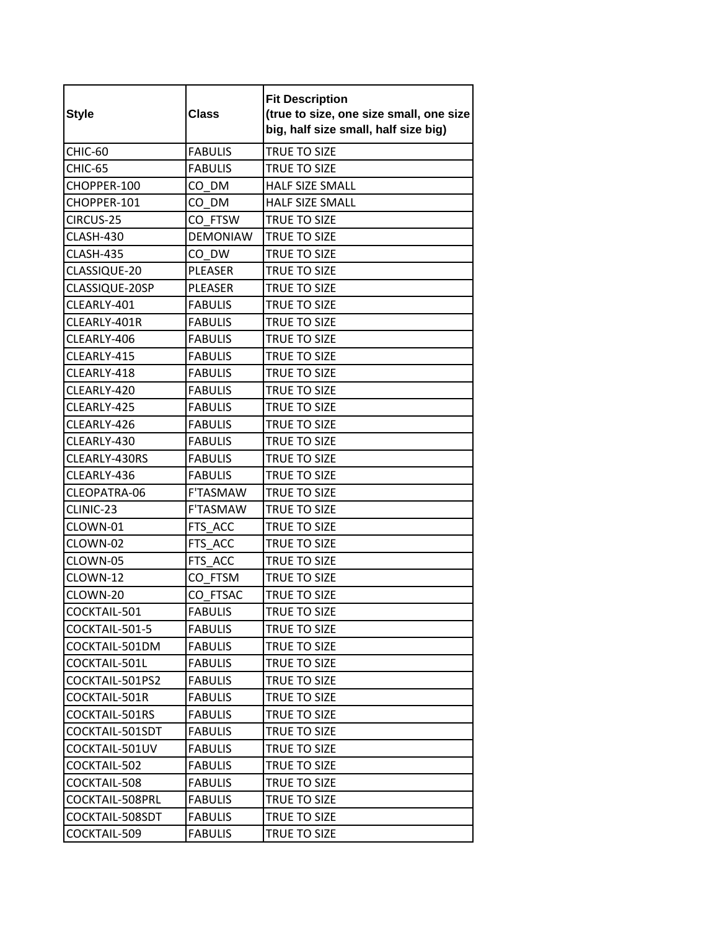| <b>Style</b>    | <b>Class</b>    | <b>Fit Description</b><br>(true to size, one size small, one size<br>big, half size small, half size big) |
|-----------------|-----------------|-----------------------------------------------------------------------------------------------------------|
| CHIC-60         | <b>FABULIS</b>  | TRUE TO SIZE                                                                                              |
| CHIC-65         | <b>FABULIS</b>  | TRUE TO SIZE                                                                                              |
| CHOPPER-100     | CO DM           | <b>HALF SIZE SMALL</b>                                                                                    |
| CHOPPER-101     | CO DM           | <b>HALF SIZE SMALL</b>                                                                                    |
| CIRCUS-25       | CO FTSW         | TRUE TO SIZE                                                                                              |
| CLASH-430       | <b>DEMONIAW</b> | <b>TRUE TO SIZE</b>                                                                                       |
| CLASH-435       | CO_DW           | TRUE TO SIZE                                                                                              |
| CLASSIQUE-20    | <b>PLEASER</b>  | TRUE TO SIZE                                                                                              |
| CLASSIQUE-20SP  | <b>PLEASER</b>  | TRUE TO SIZE                                                                                              |
| CLEARLY-401     | <b>FABULIS</b>  | TRUE TO SIZE                                                                                              |
| CLEARLY-401R    | <b>FABULIS</b>  | TRUE TO SIZE                                                                                              |
| CLEARLY-406     | <b>FABULIS</b>  | TRUE TO SIZE                                                                                              |
| CLEARLY-415     | <b>FABULIS</b>  | TRUE TO SIZE                                                                                              |
| CLEARLY-418     | <b>FABULIS</b>  | TRUE TO SIZE                                                                                              |
| CLEARLY-420     | <b>FABULIS</b>  | <b>TRUE TO SIZE</b>                                                                                       |
| CLEARLY-425     | <b>FABULIS</b>  | TRUE TO SIZE                                                                                              |
| CLEARLY-426     | <b>FABULIS</b>  | TRUE TO SIZE                                                                                              |
| CLEARLY-430     | <b>FABULIS</b>  | TRUE TO SIZE                                                                                              |
| CLEARLY-430RS   | <b>FABULIS</b>  | TRUE TO SIZE                                                                                              |
| CLEARLY-436     | <b>FABULIS</b>  | TRUE TO SIZE                                                                                              |
| CLEOPATRA-06    | F'TASMAW        | TRUE TO SIZE                                                                                              |
| CLINIC-23       | F'TASMAW        | TRUE TO SIZE                                                                                              |
| CLOWN-01        | FTS ACC         | TRUE TO SIZE                                                                                              |
| CLOWN-02        | FTS ACC         | TRUE TO SIZE                                                                                              |
| CLOWN-05        | FTS ACC         | TRUE TO SIZE                                                                                              |
| CLOWN-12        | CO FTSM         | TRUE TO SIZE                                                                                              |
| CLOWN-20        | CO FTSAC        | TRUE TO SIZE                                                                                              |
| COCKTAIL-501    | <b>FABULIS</b>  | TRUE TO SIZE                                                                                              |
| COCKTAIL-501-5  | <b>FABULIS</b>  | TRUE TO SIZE                                                                                              |
| COCKTAIL-501DM  | <b>FABULIS</b>  | TRUE TO SIZE                                                                                              |
| COCKTAIL-501L   | <b>FABULIS</b>  | TRUE TO SIZE                                                                                              |
| COCKTAIL-501PS2 | <b>FABULIS</b>  | TRUE TO SIZE                                                                                              |
| COCKTAIL-501R   | <b>FABULIS</b>  | TRUE TO SIZE                                                                                              |
| COCKTAIL-501RS  | <b>FABULIS</b>  | TRUE TO SIZE                                                                                              |
| COCKTAIL-501SDT | <b>FABULIS</b>  | TRUE TO SIZE                                                                                              |
| COCKTAIL-501UV  | <b>FABULIS</b>  | <b>TRUE TO SIZE</b>                                                                                       |
| COCKTAIL-502    | <b>FABULIS</b>  | TRUE TO SIZE                                                                                              |
| COCKTAIL-508    | <b>FABULIS</b>  | TRUE TO SIZE                                                                                              |
| COCKTAIL-508PRL | <b>FABULIS</b>  | TRUE TO SIZE                                                                                              |
| COCKTAIL-508SDT | <b>FABULIS</b>  | TRUE TO SIZE                                                                                              |
| COCKTAIL-509    | <b>FABULIS</b>  | TRUE TO SIZE                                                                                              |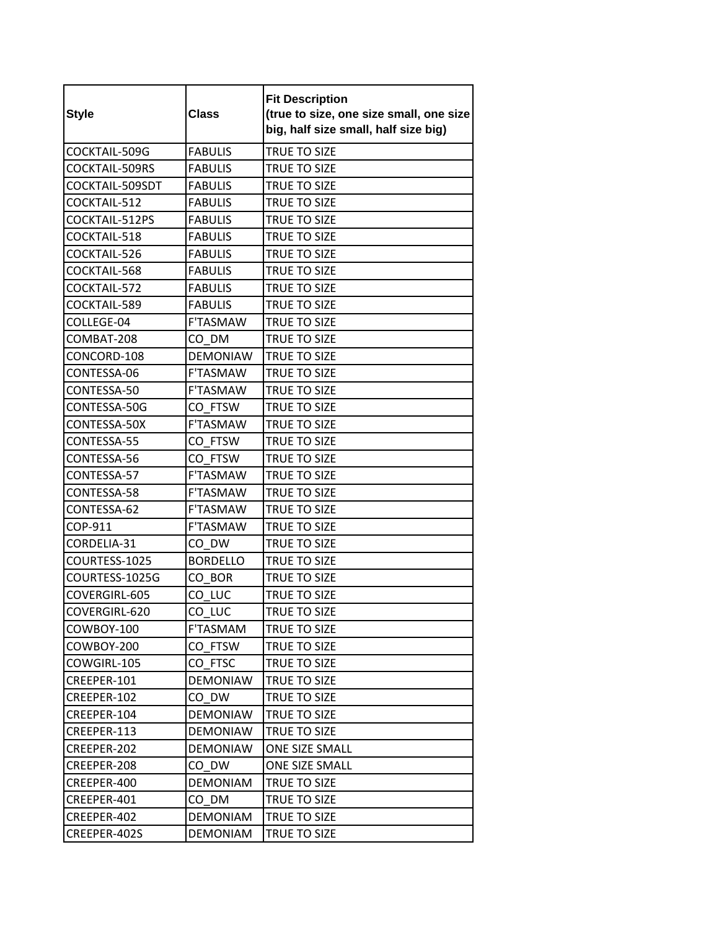| <b>Style</b>    | <b>Class</b>    | <b>Fit Description</b><br>(true to size, one size small, one size<br>big, half size small, half size big) |
|-----------------|-----------------|-----------------------------------------------------------------------------------------------------------|
| COCKTAIL-509G   | <b>FABULIS</b>  | TRUE TO SIZE                                                                                              |
| COCKTAIL-509RS  | <b>FABULIS</b>  | TRUE TO SIZE                                                                                              |
| COCKTAIL-509SDT | <b>FABULIS</b>  | TRUE TO SIZE                                                                                              |
| COCKTAIL-512    | <b>FABULIS</b>  | TRUE TO SIZE                                                                                              |
| COCKTAIL-512PS  | <b>FABULIS</b>  | TRUE TO SIZE                                                                                              |
| COCKTAIL-518    | <b>FABULIS</b>  | TRUE TO SIZE                                                                                              |
| COCKTAIL-526    | <b>FABULIS</b>  | TRUE TO SIZE                                                                                              |
| COCKTAIL-568    | <b>FABULIS</b>  | TRUE TO SIZE                                                                                              |
| COCKTAIL-572    | <b>FABULIS</b>  | TRUE TO SIZE                                                                                              |
| COCKTAIL-589    | <b>FABULIS</b>  | TRUE TO SIZE                                                                                              |
| COLLEGE-04      | <b>F'TASMAW</b> | <b>TRUE TO SIZE</b>                                                                                       |
| COMBAT-208      | CO DM           | <b>TRUE TO SIZE</b>                                                                                       |
| CONCORD-108     | <b>DEMONIAW</b> | <b>TRUE TO SIZE</b>                                                                                       |
| CONTESSA-06     | <b>F'TASMAW</b> | TRUE TO SIZE                                                                                              |
| CONTESSA-50     | <b>F'TASMAW</b> | TRUE TO SIZE                                                                                              |
| CONTESSA-50G    | CO FTSW         | TRUE TO SIZE                                                                                              |
| CONTESSA-50X    | <b>F'TASMAW</b> | TRUE TO SIZE                                                                                              |
| CONTESSA-55     | CO FTSW         | TRUE TO SIZE                                                                                              |
| CONTESSA-56     | CO FTSW         | TRUE TO SIZE                                                                                              |
| CONTESSA-57     | <b>F'TASMAW</b> | <b>TRUE TO SIZE</b>                                                                                       |
| CONTESSA-58     | <b>F'TASMAW</b> | TRUE TO SIZE                                                                                              |
| CONTESSA-62     | <b>F'TASMAW</b> | <b>TRUE TO SIZE</b>                                                                                       |
| COP-911         | <b>F'TASMAW</b> | TRUE TO SIZE                                                                                              |
| CORDELIA-31     | CO DW           | TRUE TO SIZE                                                                                              |
| COURTESS-1025   | <b>BORDELLO</b> | TRUE TO SIZE                                                                                              |
| COURTESS-1025G  | CO BOR          | TRUE TO SIZE                                                                                              |
| COVERGIRL-605   | CO LUC          | TRUE TO SIZE                                                                                              |
| COVERGIRL-620   | CO_LUC          | TRUE TO SIZE                                                                                              |
| COWBOY-100      | F'TASMAM        | TRUE TO SIZE                                                                                              |
| COWBOY-200      | CO FTSW         | TRUE TO SIZE                                                                                              |
| COWGIRL-105     | CO FTSC         | TRUE TO SIZE                                                                                              |
| CREEPER-101     | <b>DEMONIAW</b> | TRUE TO SIZE                                                                                              |
| CREEPER-102     | CO DW           | TRUE TO SIZE                                                                                              |
| CREEPER-104     | <b>DEMONIAW</b> | TRUE TO SIZE                                                                                              |
| CREEPER-113     | <b>DEMONIAW</b> | TRUE TO SIZE                                                                                              |
| CREEPER-202     | <b>DEMONIAW</b> | ONE SIZE SMALL                                                                                            |
| CREEPER-208     | CO DW           | ONE SIZE SMALL                                                                                            |
| CREEPER-400     | <b>DEMONIAM</b> | TRUE TO SIZE                                                                                              |
| CREEPER-401     | CO DM           | TRUE TO SIZE                                                                                              |
| CREEPER-402     | <b>DEMONIAM</b> | TRUE TO SIZE                                                                                              |
| CREEPER-402S    | <b>DEMONIAM</b> | TRUE TO SIZE                                                                                              |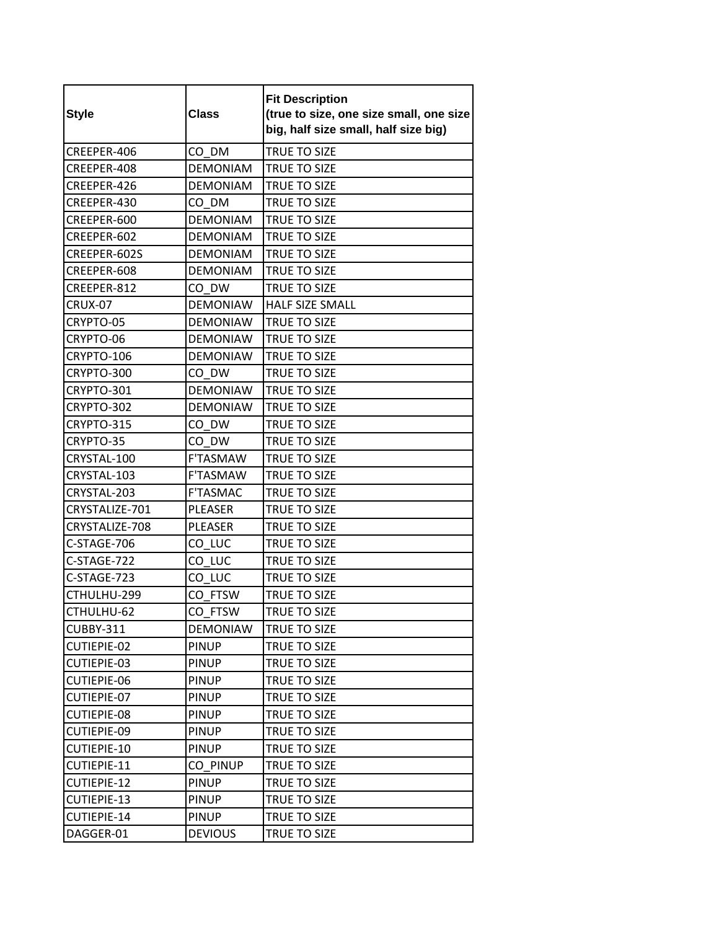| <b>Style</b>       | <b>Class</b>    | <b>Fit Description</b><br>(true to size, one size small, one size<br>big, half size small, half size big) |
|--------------------|-----------------|-----------------------------------------------------------------------------------------------------------|
| CREEPER-406        | CO DM           | TRUE TO SIZE                                                                                              |
| CREEPER-408        | <b>DEMONIAM</b> | TRUE TO SIZE                                                                                              |
| CREEPER-426        | <b>DEMONIAM</b> | TRUE TO SIZE                                                                                              |
| CREEPER-430        | CO DM           | TRUE TO SIZE                                                                                              |
| CREEPER-600        | <b>DEMONIAM</b> | TRUE TO SIZE                                                                                              |
| CREEPER-602        | <b>DEMONIAM</b> | <b>TRUE TO SIZE</b>                                                                                       |
| CREEPER-602S       | <b>DEMONIAM</b> | TRUE TO SIZE                                                                                              |
| CREEPER-608        | <b>DEMONIAM</b> | TRUE TO SIZE                                                                                              |
| CREEPER-812        | CO DW           | <b>TRUE TO SIZE</b>                                                                                       |
| <b>CRUX-07</b>     | <b>DEMONIAW</b> | <b>HALF SIZE SMALL</b>                                                                                    |
| CRYPTO-05          | <b>DEMONIAW</b> | <b>TRUE TO SIZE</b>                                                                                       |
| CRYPTO-06          | <b>DEMONIAW</b> | TRUE TO SIZE                                                                                              |
| CRYPTO-106         | <b>DEMONIAW</b> | <b>TRUE TO SIZE</b>                                                                                       |
| CRYPTO-300         | CO DW           | TRUE TO SIZE                                                                                              |
| CRYPTO-301         | <b>DEMONIAW</b> | TRUE TO SIZE                                                                                              |
| CRYPTO-302         | <b>DEMONIAW</b> | <b>TRUE TO SIZE</b>                                                                                       |
| CRYPTO-315         | CO DW           | TRUE TO SIZE                                                                                              |
| CRYPTO-35          | CO DW           | TRUE TO SIZE                                                                                              |
| CRYSTAL-100        | F'TASMAW        | TRUE TO SIZE                                                                                              |
| CRYSTAL-103        | <b>F'TASMAW</b> | TRUE TO SIZE                                                                                              |
| CRYSTAL-203        | <b>F'TASMAC</b> | TRUE TO SIZE                                                                                              |
| CRYSTALIZE-701     | PLEASER         | TRUE TO SIZE                                                                                              |
| CRYSTALIZE-708     | <b>PLEASER</b>  | TRUE TO SIZE                                                                                              |
| C-STAGE-706        | CO LUC          | TRUE TO SIZE                                                                                              |
| C-STAGE-722        | CO LUC          | TRUE TO SIZE                                                                                              |
| C-STAGE-723        | CO_LUC          | TRUE TO SIZE                                                                                              |
| CTHULHU-299        | CO FTSW         | TRUE TO SIZE                                                                                              |
| CTHULHU-62         | CO FTSW         | TRUE TO SIZE                                                                                              |
| CUBBY-311          | <b>DEMONIAW</b> | TRUE TO SIZE                                                                                              |
| <b>CUTIEPIE-02</b> | <b>PINUP</b>    | TRUE TO SIZE                                                                                              |
| CUTIEPIE-03        | <b>PINUP</b>    | TRUE TO SIZE                                                                                              |
| CUTIEPIE-06        | <b>PINUP</b>    | TRUE TO SIZE                                                                                              |
| CUTIEPIE-07        | <b>PINUP</b>    | TRUE TO SIZE                                                                                              |
| CUTIEPIE-08        | <b>PINUP</b>    | <b>TRUE TO SIZE</b>                                                                                       |
| CUTIEPIE-09        | <b>PINUP</b>    | TRUE TO SIZE                                                                                              |
| CUTIEPIE-10        | <b>PINUP</b>    | TRUE TO SIZE                                                                                              |
| CUTIEPIE-11        | CO PINUP        | TRUE TO SIZE                                                                                              |
| CUTIEPIE-12        | <b>PINUP</b>    | TRUE TO SIZE                                                                                              |
| CUTIEPIE-13        | <b>PINUP</b>    | TRUE TO SIZE                                                                                              |
| CUTIEPIE-14        | <b>PINUP</b>    | TRUE TO SIZE                                                                                              |
| DAGGER-01          | <b>DEVIOUS</b>  | TRUE TO SIZE                                                                                              |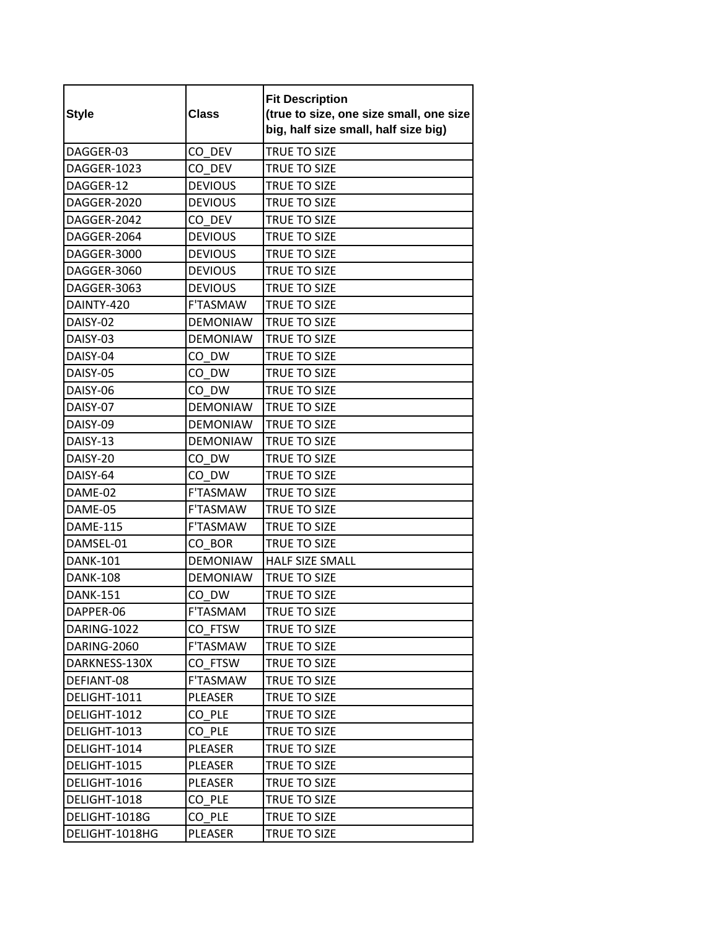| <b>Style</b>    | <b>Class</b>    | <b>Fit Description</b><br>(true to size, one size small, one size<br>big, half size small, half size big) |
|-----------------|-----------------|-----------------------------------------------------------------------------------------------------------|
| DAGGER-03       | CO DEV          | TRUE TO SIZE                                                                                              |
| DAGGER-1023     | CO DEV          | TRUE TO SIZE                                                                                              |
| DAGGER-12       | <b>DEVIOUS</b>  | TRUE TO SIZE                                                                                              |
| DAGGER-2020     | <b>DEVIOUS</b>  | TRUE TO SIZE                                                                                              |
| DAGGER-2042     | CO DEV          | TRUE TO SIZE                                                                                              |
| DAGGER-2064     | <b>DEVIOUS</b>  | TRUE TO SIZE                                                                                              |
| DAGGER-3000     | <b>DEVIOUS</b>  | TRUE TO SIZE                                                                                              |
| DAGGER-3060     | <b>DEVIOUS</b>  | TRUE TO SIZE                                                                                              |
| DAGGER-3063     | <b>DEVIOUS</b>  | TRUE TO SIZE                                                                                              |
| DAINTY-420      | <b>F'TASMAW</b> | TRUE TO SIZE                                                                                              |
| DAISY-02        | <b>DEMONIAW</b> | <b>TRUE TO SIZE</b>                                                                                       |
| DAISY-03        | <b>DEMONIAW</b> | <b>TRUE TO SIZE</b>                                                                                       |
| DAISY-04        | CO DW           | TRUE TO SIZE                                                                                              |
| DAISY-05        | CO DW           | <b>TRUE TO SIZE</b>                                                                                       |
| DAISY-06        | CO DW           | TRUE TO SIZE                                                                                              |
| DAISY-07        | <b>DEMONIAW</b> | TRUE TO SIZE                                                                                              |
| DAISY-09        | <b>DEMONIAW</b> | <b>TRUE TO SIZE</b>                                                                                       |
| DAISY-13        | <b>DEMONIAW</b> | TRUE TO SIZE                                                                                              |
| DAISY-20        | CO DW           | TRUE TO SIZE                                                                                              |
| DAISY-64        | CO DW           | TRUE TO SIZE                                                                                              |
| DAME-02         | F'TASMAW        | TRUE TO SIZE                                                                                              |
| DAME-05         | <b>F'TASMAW</b> | <b>TRUE TO SIZE</b>                                                                                       |
| <b>DAME-115</b> | <b>F'TASMAW</b> | TRUE TO SIZE                                                                                              |
| DAMSEL-01       | CO BOR          | TRUE TO SIZE                                                                                              |
| <b>DANK-101</b> | <b>DEMONIAW</b> | HALF SIZE SMALL                                                                                           |
| <b>DANK-108</b> | <b>DEMONIAW</b> | TRUE TO SIZE                                                                                              |
| <b>DANK-151</b> | CO DW           | TRUE TO SIZE                                                                                              |
| DAPPER-06       | F'TASMAM        | TRUE TO SIZE                                                                                              |
| DARING-1022     | CO FTSW         | TRUE TO SIZE                                                                                              |
| DARING-2060     | F'TASMAW        | TRUE TO SIZE                                                                                              |
| DARKNESS-130X   | CO FTSW         | TRUE TO SIZE                                                                                              |
| DEFIANT-08      | F'TASMAW        | TRUE TO SIZE                                                                                              |
| DELIGHT-1011    | PLEASER         | TRUE TO SIZE                                                                                              |
| DELIGHT-1012    | CO PLE          | TRUE TO SIZE                                                                                              |
| DELIGHT-1013    | CO PLE          | TRUE TO SIZE                                                                                              |
| DELIGHT-1014    | PLEASER         | TRUE TO SIZE                                                                                              |
| DELIGHT-1015    | PLEASER         | TRUE TO SIZE                                                                                              |
| DELIGHT-1016    | PLEASER         | TRUE TO SIZE                                                                                              |
| DELIGHT-1018    | CO PLE          | TRUE TO SIZE                                                                                              |
| DELIGHT-1018G   | CO PLE          | TRUE TO SIZE                                                                                              |
| DELIGHT-1018HG  | PLEASER         | TRUE TO SIZE                                                                                              |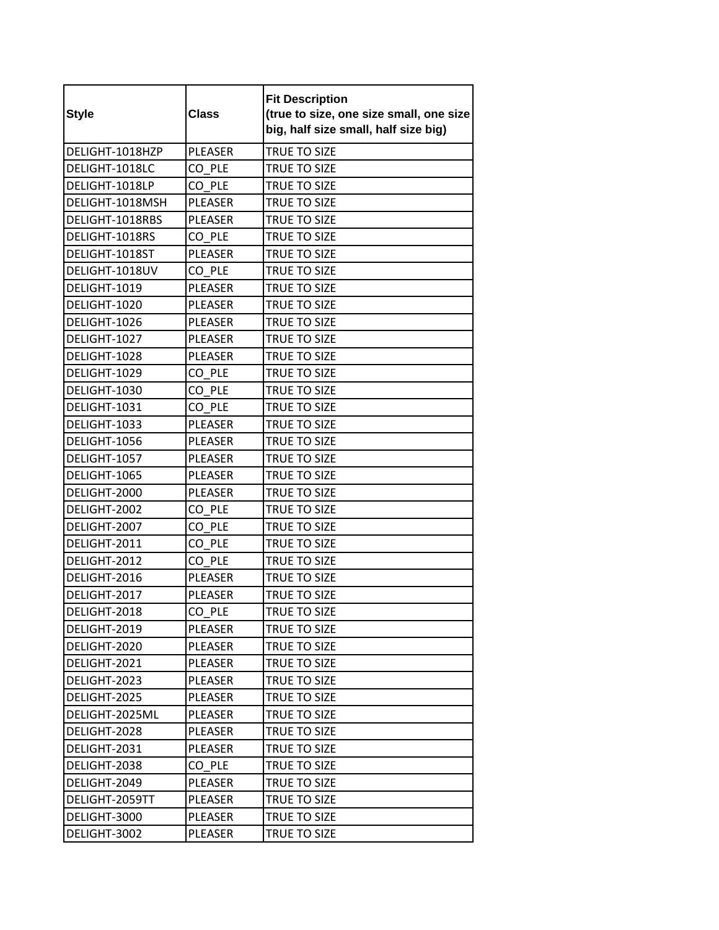| <b>Style</b>    | <b>Class</b>   | <b>Fit Description</b><br>(true to size, one size small, one size<br>big, half size small, half size big) |
|-----------------|----------------|-----------------------------------------------------------------------------------------------------------|
| DELIGHT-1018HZP | <b>PLEASER</b> | TRUE TO SIZE                                                                                              |
| DELIGHT-1018LC  | CO PLE         | <b>TRUE TO SIZE</b>                                                                                       |
| DELIGHT-1018LP  | CO PLE         | TRUE TO SIZE                                                                                              |
| DELIGHT-1018MSH | PLEASER        | TRUE TO SIZE                                                                                              |
| DELIGHT-1018RBS | <b>PLEASER</b> | TRUE TO SIZE                                                                                              |
| DELIGHT-1018RS  | CO PLE         | TRUE TO SIZE                                                                                              |
| DELIGHT-1018ST  | PLEASER        | TRUE TO SIZE                                                                                              |
| DELIGHT-1018UV  | CO PLE         | TRUE TO SIZE                                                                                              |
| DELIGHT-1019    | <b>PLEASER</b> | <b>TRUE TO SIZE</b>                                                                                       |
| DELIGHT-1020    | <b>PLEASER</b> | TRUE TO SIZE                                                                                              |
| DELIGHT-1026    | <b>PLEASER</b> | TRUE TO SIZE                                                                                              |
| DELIGHT-1027    | PLEASER        | TRUE TO SIZE                                                                                              |
| DELIGHT-1028    | <b>PLEASER</b> | TRUE TO SIZE                                                                                              |
| DELIGHT-1029    | CO_PLE         | TRUE TO SIZE                                                                                              |
| DELIGHT-1030    | CO PLE         | <b>TRUE TO SIZE</b>                                                                                       |
| DELIGHT-1031    | CO PLE         | TRUE TO SIZE                                                                                              |
| DELIGHT-1033    | <b>PLEASER</b> | TRUE TO SIZE                                                                                              |
| DELIGHT-1056    | PLEASER        | TRUE TO SIZE                                                                                              |
| DELIGHT-1057    | <b>PLEASER</b> | TRUE TO SIZE                                                                                              |
| DELIGHT-1065    | PLEASER        | TRUE TO SIZE                                                                                              |
| DELIGHT-2000    | PLEASER        | TRUE TO SIZE                                                                                              |
| DELIGHT-2002    | CO PLE         | TRUE TO SIZE                                                                                              |
| DELIGHT-2007    | CO PLE         | TRUE TO SIZE                                                                                              |
| DELIGHT-2011    | CO PLE         | TRUE TO SIZE                                                                                              |
| DELIGHT-2012    | CO PLE         | TRUE TO SIZE                                                                                              |
| DELIGHT-2016    | PLEASER        | TRUE TO SIZE                                                                                              |
| DELIGHT-2017    | PLEASER        | TRUE TO SIZE                                                                                              |
| DELIGHT-2018    | CO_PLE         | TRUE TO SIZE                                                                                              |
| DELIGHT-2019    | PLEASER        | TRUE TO SIZE                                                                                              |
| DELIGHT-2020    | PLEASER        | TRUE TO SIZE                                                                                              |
| DELIGHT-2021    | PLEASER        | TRUE TO SIZE                                                                                              |
| DELIGHT-2023    | PLEASER        | TRUE TO SIZE                                                                                              |
| DELIGHT-2025    | PLEASER        | TRUE TO SIZE                                                                                              |
| DELIGHT-2025ML  | PLEASER        | TRUE TO SIZE                                                                                              |
| DELIGHT-2028    | PLEASER        | TRUE TO SIZE                                                                                              |
| DELIGHT-2031    | PLEASER        | <b>TRUE TO SIZE</b>                                                                                       |
| DELIGHT-2038    | CO PLE         | TRUE TO SIZE                                                                                              |
| DELIGHT-2049    | PLEASER        | TRUE TO SIZE                                                                                              |
| DELIGHT-2059TT  | PLEASER        | TRUE TO SIZE                                                                                              |
| DELIGHT-3000    | PLEASER        | TRUE TO SIZE                                                                                              |
| DELIGHT-3002    | PLEASER        | TRUE TO SIZE                                                                                              |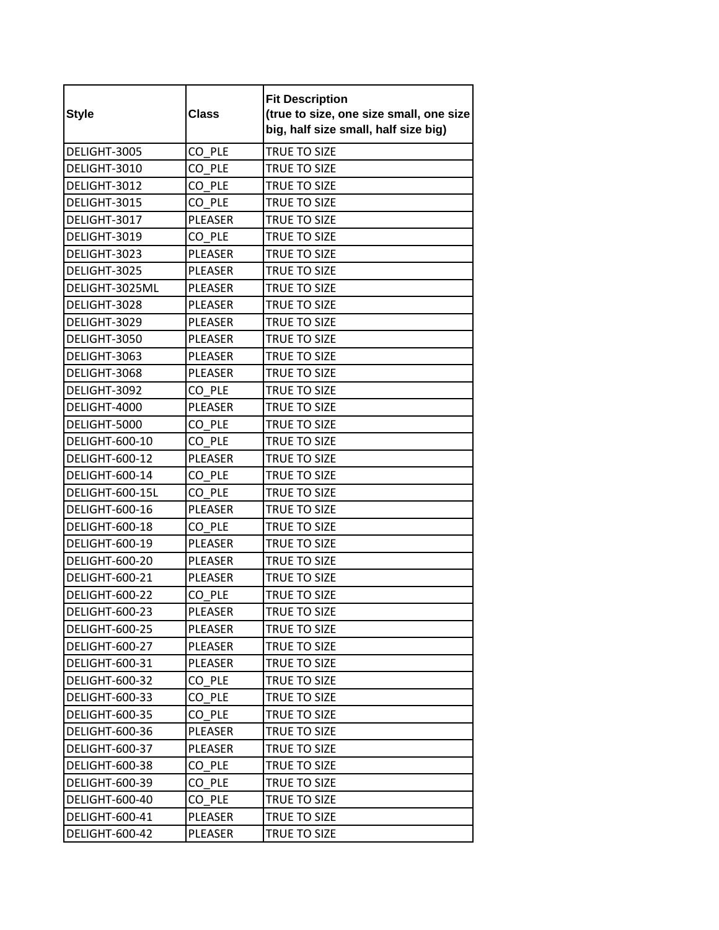| <b>Style</b>          | <b>Class</b>   | <b>Fit Description</b><br>(true to size, one size small, one size<br>big, half size small, half size big) |
|-----------------------|----------------|-----------------------------------------------------------------------------------------------------------|
| DELIGHT-3005          | CO PLE         | TRUE TO SIZE                                                                                              |
| DELIGHT-3010          | CO PLE         | TRUE TO SIZE                                                                                              |
| DELIGHT-3012          | CO PLE         | TRUE TO SIZE                                                                                              |
| DELIGHT-3015          | CO PLE         | TRUE TO SIZE                                                                                              |
| DELIGHT-3017          | <b>PLEASER</b> | TRUE TO SIZE                                                                                              |
| DELIGHT-3019          | CO PLE         | TRUE TO SIZE                                                                                              |
| DELIGHT-3023          | PLEASER        | TRUE TO SIZE                                                                                              |
| DELIGHT-3025          | <b>PLEASER</b> | TRUE TO SIZE                                                                                              |
| DELIGHT-3025ML        | <b>PLEASER</b> | TRUE TO SIZE                                                                                              |
| DELIGHT-3028          | <b>PLEASER</b> | TRUE TO SIZE                                                                                              |
| DELIGHT-3029          | PLEASER        | TRUE TO SIZE                                                                                              |
| DELIGHT-3050          | PLEASER        | TRUE TO SIZE                                                                                              |
| DELIGHT-3063          | <b>PLEASER</b> | TRUE TO SIZE                                                                                              |
| DELIGHT-3068          | <b>PLEASER</b> | TRUE TO SIZE                                                                                              |
| DELIGHT-3092          | CO PLE         | <b>TRUE TO SIZE</b>                                                                                       |
| DELIGHT-4000          | <b>PLEASER</b> | TRUE TO SIZE                                                                                              |
| DELIGHT-5000          | CO PLE         | TRUE TO SIZE                                                                                              |
| DELIGHT-600-10        | CO PLE         | TRUE TO SIZE                                                                                              |
| DELIGHT-600-12        | <b>PLEASER</b> | TRUE TO SIZE                                                                                              |
| DELIGHT-600-14        | CO PLE         | TRUE TO SIZE                                                                                              |
| DELIGHT-600-15L       | CO PLE         | TRUE TO SIZE                                                                                              |
| DELIGHT-600-16        | PLEASER        | TRUE TO SIZE                                                                                              |
| DELIGHT-600-18        | CO PLE         | TRUE TO SIZE                                                                                              |
| DELIGHT-600-19        | <b>PLEASER</b> | TRUE TO SIZE                                                                                              |
| DELIGHT-600-20        | PLEASER        | TRUE TO SIZE                                                                                              |
| DELIGHT-600-21        | PLEASER        | TRUE TO SIZE                                                                                              |
| DELIGHT-600-22        | CO PLE         | TRUE TO SIZE                                                                                              |
| DELIGHT-600-23        | PLEASER        | TRUE TO SIZE                                                                                              |
| <b>DELIGHT-600-25</b> | PLEASER        | TRUE TO SIZE                                                                                              |
| DELIGHT-600-27        | PLEASER        | TRUE TO SIZE                                                                                              |
| DELIGHT-600-31        | PLEASER        | TRUE TO SIZE                                                                                              |
| <b>DELIGHT-600-32</b> | CO PLE         | <b>TRUE TO SIZE</b>                                                                                       |
| DELIGHT-600-33        | CO PLE         | TRUE TO SIZE                                                                                              |
| DELIGHT-600-35        | CO PLE         | TRUE TO SIZE                                                                                              |
| DELIGHT-600-36        | PLEASER        | TRUE TO SIZE                                                                                              |
| <b>DELIGHT-600-37</b> | PLEASER        | TRUE TO SIZE                                                                                              |
| DELIGHT-600-38        | CO PLE         | TRUE TO SIZE                                                                                              |
| DELIGHT-600-39        | CO PLE         | TRUE TO SIZE                                                                                              |
| DELIGHT-600-40        | CO PLE         | TRUE TO SIZE                                                                                              |
| DELIGHT-600-41        | PLEASER        | TRUE TO SIZE                                                                                              |
| <b>DELIGHT-600-42</b> | PLEASER        | TRUE TO SIZE                                                                                              |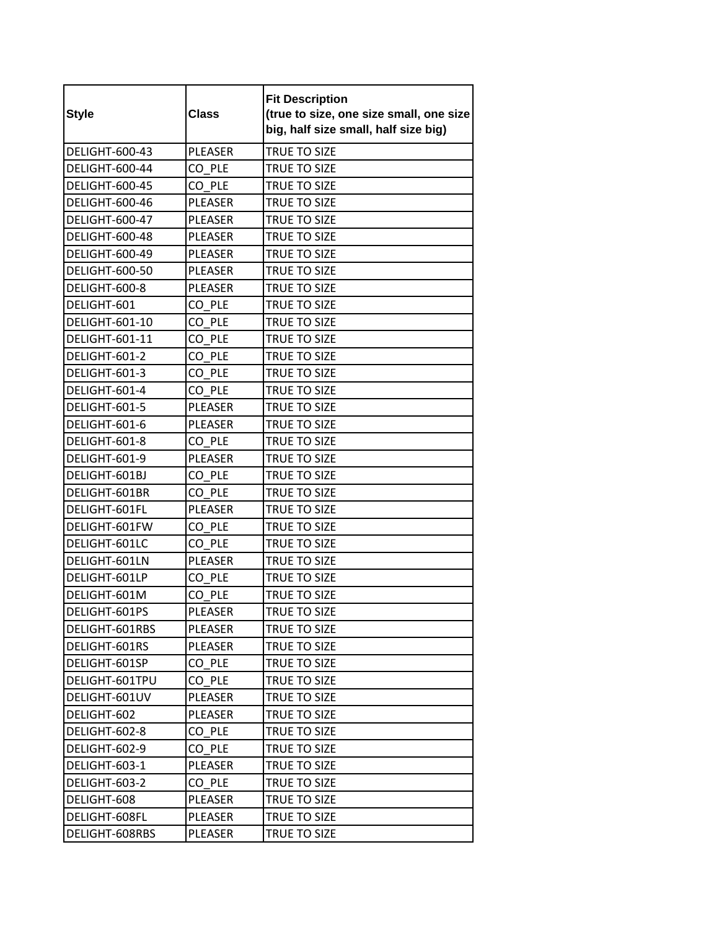| <b>Style</b>          | <b>Class</b>   | <b>Fit Description</b><br>(true to size, one size small, one size<br>big, half size small, half size big) |
|-----------------------|----------------|-----------------------------------------------------------------------------------------------------------|
| DELIGHT-600-43        | <b>PLEASER</b> | TRUE TO SIZE                                                                                              |
| DELIGHT-600-44        | CO PLE         | TRUE TO SIZE                                                                                              |
| DELIGHT-600-45        | CO PLE         | TRUE TO SIZE                                                                                              |
| DELIGHT-600-46        | PLEASER        | TRUE TO SIZE                                                                                              |
| <b>DELIGHT-600-47</b> | <b>PLEASER</b> | <b>TRUE TO SIZE</b>                                                                                       |
| <b>DELIGHT-600-48</b> | <b>PLEASER</b> | TRUE TO SIZE                                                                                              |
| <b>DELIGHT-600-49</b> | <b>PLEASER</b> | TRUE TO SIZE                                                                                              |
| DELIGHT-600-50        | <b>PLEASER</b> | TRUE TO SIZE                                                                                              |
| DELIGHT-600-8         | <b>PLEASER</b> | <b>TRUE TO SIZE</b>                                                                                       |
| DELIGHT-601           | CO PLE         | TRUE TO SIZE                                                                                              |
| <b>DELIGHT-601-10</b> | CO PLE         | TRUE TO SIZE                                                                                              |
| DELIGHT-601-11        | CO PLE         | TRUE TO SIZE                                                                                              |
| DELIGHT-601-2         | CO PLE         | TRUE TO SIZE                                                                                              |
| DELIGHT-601-3         | CO PLE         | TRUE TO SIZE                                                                                              |
| DELIGHT-601-4         | CO PLE         | TRUE TO SIZE                                                                                              |
| DELIGHT-601-5         | PLEASER        | TRUE TO SIZE                                                                                              |
| DELIGHT-601-6         | <b>PLEASER</b> | <b>TRUE TO SIZE</b>                                                                                       |
| DELIGHT-601-8         | CO PLE         | TRUE TO SIZE                                                                                              |
| DELIGHT-601-9         | <b>PLEASER</b> | TRUE TO SIZE                                                                                              |
| DELIGHT-601BJ         | CO PLE         | TRUE TO SIZE                                                                                              |
| DELIGHT-601BR         | CO PLE         | TRUE TO SIZE                                                                                              |
| DELIGHT-601FL         | <b>PLEASER</b> | TRUE TO SIZE                                                                                              |
| DELIGHT-601FW         | CO PLE         | TRUE TO SIZE                                                                                              |
| DELIGHT-601LC         | CO PLE         | TRUE TO SIZE                                                                                              |
| DELIGHT-601LN         | PLEASER        | TRUE TO SIZE                                                                                              |
| DELIGHT-601LP         | CO PLE         | TRUE TO SIZE                                                                                              |
| DELIGHT-601M          | CO PLE         | TRUE TO SIZE                                                                                              |
| DELIGHT-601PS         | PLEASER        | TRUE TO SIZE                                                                                              |
| DELIGHT-601RBS        | PLEASER        | TRUE TO SIZE                                                                                              |
| DELIGHT-601RS         | PLEASER        | TRUE TO SIZE                                                                                              |
| DELIGHT-601SP         | CO PLE         | TRUE TO SIZE                                                                                              |
| DELIGHT-601TPU        | CO PLE         | TRUE TO SIZE                                                                                              |
| DELIGHT-601UV         | PLEASER        | TRUE TO SIZE                                                                                              |
| DELIGHT-602           | PLEASER        | TRUE TO SIZE                                                                                              |
| DELIGHT-602-8         | CO PLE         | TRUE TO SIZE                                                                                              |
| DELIGHT-602-9         | CO PLE         | TRUE TO SIZE                                                                                              |
| DELIGHT-603-1         | PLEASER        | TRUE TO SIZE                                                                                              |
| DELIGHT-603-2         | CO PLE         | TRUE TO SIZE                                                                                              |
| DELIGHT-608           | PLEASER        | TRUE TO SIZE                                                                                              |
| DELIGHT-608FL         | PLEASER        | TRUE TO SIZE                                                                                              |
| DELIGHT-608RBS        | PLEASER        | TRUE TO SIZE                                                                                              |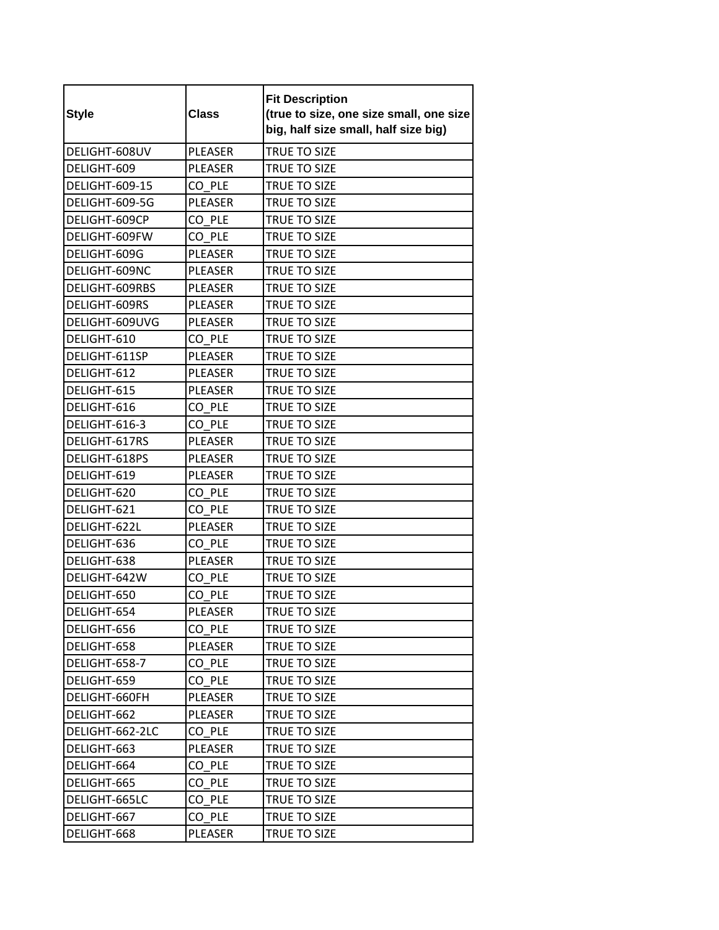| <b>Style</b>          | <b>Class</b>   | <b>Fit Description</b><br>(true to size, one size small, one size<br>big, half size small, half size big) |
|-----------------------|----------------|-----------------------------------------------------------------------------------------------------------|
| DELIGHT-608UV         | <b>PLEASER</b> | TRUE TO SIZE                                                                                              |
| DELIGHT-609           | <b>PLEASER</b> | TRUE TO SIZE                                                                                              |
| <b>DELIGHT-609-15</b> | CO PLE         | TRUE TO SIZE                                                                                              |
| DELIGHT-609-5G        | <b>PLEASER</b> | TRUE TO SIZE                                                                                              |
| DELIGHT-609CP         | CO PLE         | TRUE TO SIZE                                                                                              |
| DELIGHT-609FW         | CO PLE         | TRUE TO SIZE                                                                                              |
| DELIGHT-609G          | PLEASER        | TRUE TO SIZE                                                                                              |
| DELIGHT-609NC         | <b>PLEASER</b> | TRUE TO SIZE                                                                                              |
| DELIGHT-609RBS        | <b>PLEASER</b> | TRUE TO SIZE                                                                                              |
| DELIGHT-609RS         | <b>PLEASER</b> | TRUE TO SIZE                                                                                              |
| DELIGHT-609UVG        | <b>PLEASER</b> | TRUE TO SIZE                                                                                              |
| DELIGHT-610           | CO PLE         | TRUE TO SIZE                                                                                              |
| DELIGHT-611SP         | PLEASER        | TRUE TO SIZE                                                                                              |
| DELIGHT-612           | <b>PLEASER</b> | TRUE TO SIZE                                                                                              |
| DELIGHT-615           | <b>PLEASER</b> | TRUE TO SIZE                                                                                              |
| DELIGHT-616           | CO PLE         | TRUE TO SIZE                                                                                              |
| DELIGHT-616-3         | CO PLE         | TRUE TO SIZE                                                                                              |
| DELIGHT-617RS         | PLEASER        | TRUE TO SIZE                                                                                              |
| DELIGHT-618PS         | <b>PLEASER</b> | TRUE TO SIZE                                                                                              |
| DELIGHT-619           | <b>PLEASER</b> | TRUE TO SIZE                                                                                              |
| DELIGHT-620           | CO PLE         | TRUE TO SIZE                                                                                              |
| DELIGHT-621           | CO PLE         | TRUE TO SIZE                                                                                              |
| DELIGHT-622L          | <b>PLEASER</b> | TRUE TO SIZE                                                                                              |
| DELIGHT-636           | CO PLE         | TRUE TO SIZE                                                                                              |
| DELIGHT-638           | PLEASER        | TRUE TO SIZE                                                                                              |
| DELIGHT-642W          | CO PLE         | TRUE TO SIZE                                                                                              |
| DELIGHT-650           | CO PLE         | TRUE TO SIZE                                                                                              |
| DELIGHT-654           | PLEASER        | TRUE TO SIZE                                                                                              |
| DELIGHT-656           | CO PLE         | TRUE TO SIZE                                                                                              |
| DELIGHT-658           | PLEASER        | TRUE TO SIZE                                                                                              |
| DELIGHT-658-7         | CO PLE         | TRUE TO SIZE                                                                                              |
| DELIGHT-659           | CO PLE         | TRUE TO SIZE                                                                                              |
| DELIGHT-660FH         | PLEASER        | TRUE TO SIZE                                                                                              |
| DELIGHT-662           | PLEASER        | TRUE TO SIZE                                                                                              |
| DELIGHT-662-2LC       | CO PLE         | <b>TRUE TO SIZE</b>                                                                                       |
| DELIGHT-663           | PLEASER        | TRUE TO SIZE                                                                                              |
| DELIGHT-664           | CO PLE         | TRUE TO SIZE                                                                                              |
| DELIGHT-665           | CO PLE         | TRUE TO SIZE                                                                                              |
| DELIGHT-665LC         | CO PLE         | TRUE TO SIZE                                                                                              |
| DELIGHT-667           | CO PLE         | TRUE TO SIZE                                                                                              |
| DELIGHT-668           | PLEASER        | TRUE TO SIZE                                                                                              |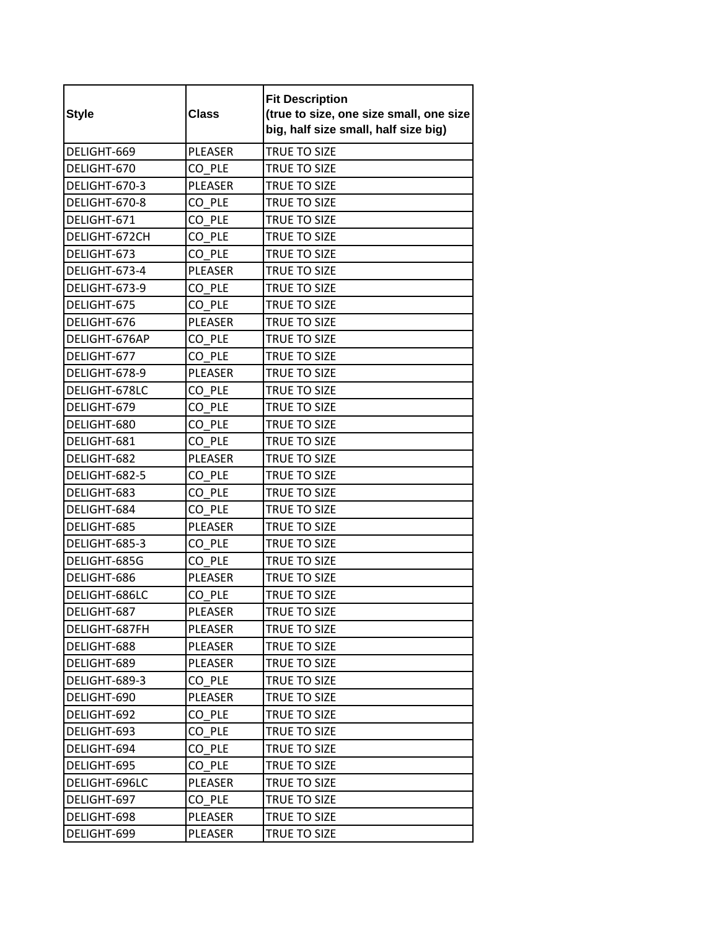| <b>Style</b>  | <b>Class</b>   | <b>Fit Description</b><br>(true to size, one size small, one size<br>big, half size small, half size big) |
|---------------|----------------|-----------------------------------------------------------------------------------------------------------|
| DELIGHT-669   | <b>PLEASER</b> | TRUE TO SIZE                                                                                              |
| DELIGHT-670   | CO PLE         | TRUE TO SIZE                                                                                              |
| DELIGHT-670-3 | <b>PLEASER</b> | <b>TRUE TO SIZE</b>                                                                                       |
| DELIGHT-670-8 | CO PLE         | TRUE TO SIZE                                                                                              |
| DELIGHT-671   | CO PLE         | <b>TRUE TO SIZE</b>                                                                                       |
| DELIGHT-672CH | CO PLE         | TRUE TO SIZE                                                                                              |
| DELIGHT-673   | CO PLE         | TRUE TO SIZE                                                                                              |
| DELIGHT-673-4 | <b>PLEASER</b> | TRUE TO SIZE                                                                                              |
| DELIGHT-673-9 | CO PLE         | <b>TRUE TO SIZE</b>                                                                                       |
| DELIGHT-675   | CO PLE         | TRUE TO SIZE                                                                                              |
| DELIGHT-676   | <b>PLEASER</b> | TRUE TO SIZE                                                                                              |
| DELIGHT-676AP | CO PLE         | TRUE TO SIZE                                                                                              |
| DELIGHT-677   | CO PLE         | TRUE TO SIZE                                                                                              |
| DELIGHT-678-9 | <b>PLEASER</b> | TRUE TO SIZE                                                                                              |
| DELIGHT-678LC | CO PLE         | <b>TRUE TO SIZE</b>                                                                                       |
| DELIGHT-679   | CO PLE         | TRUE TO SIZE                                                                                              |
| DELIGHT-680   | CO PLE         | <b>TRUE TO SIZE</b>                                                                                       |
| DELIGHT-681   | CO PLE         | TRUE TO SIZE                                                                                              |
| DELIGHT-682   | <b>PLEASER</b> | TRUE TO SIZE                                                                                              |
| DELIGHT-682-5 | CO PLE         | TRUE TO SIZE                                                                                              |
| DELIGHT-683   | CO PLE         | TRUE TO SIZE                                                                                              |
| DELIGHT-684   | CO PLE         | TRUE TO SIZE                                                                                              |
| DELIGHT-685   | <b>PLEASER</b> | TRUE TO SIZE                                                                                              |
| DELIGHT-685-3 | CO PLE         | <b>TRUE TO SIZE</b>                                                                                       |
| DELIGHT-685G  | CO PLE         | TRUE TO SIZE                                                                                              |
| DELIGHT-686   | PLEASER        | TRUE TO SIZE                                                                                              |
| DELIGHT-686LC | CO PLE         | TRUE TO SIZE                                                                                              |
| DELIGHT-687   | PLEASER        | TRUE TO SIZE                                                                                              |
| DELIGHT-687FH | PLEASER        | TRUE TO SIZE                                                                                              |
| DELIGHT-688   | PLEASER        | TRUE TO SIZE                                                                                              |
| DELIGHT-689   | PLEASER        | TRUE TO SIZE                                                                                              |
| DELIGHT-689-3 | CO PLE         | TRUE TO SIZE                                                                                              |
| DELIGHT-690   | PLEASER        | TRUE TO SIZE                                                                                              |
| DELIGHT-692   | CO PLE         | TRUE TO SIZE                                                                                              |
| DELIGHT-693   | CO PLE         | TRUE TO SIZE                                                                                              |
| DELIGHT-694   | CO PLE         | TRUE TO SIZE                                                                                              |
| DELIGHT-695   | CO PLE         | TRUE TO SIZE                                                                                              |
| DELIGHT-696LC | PLEASER        | TRUE TO SIZE                                                                                              |
| DELIGHT-697   | CO PLE         | TRUE TO SIZE                                                                                              |
| DELIGHT-698   | PLEASER        | TRUE TO SIZE                                                                                              |
| DELIGHT-699   | PLEASER        | TRUE TO SIZE                                                                                              |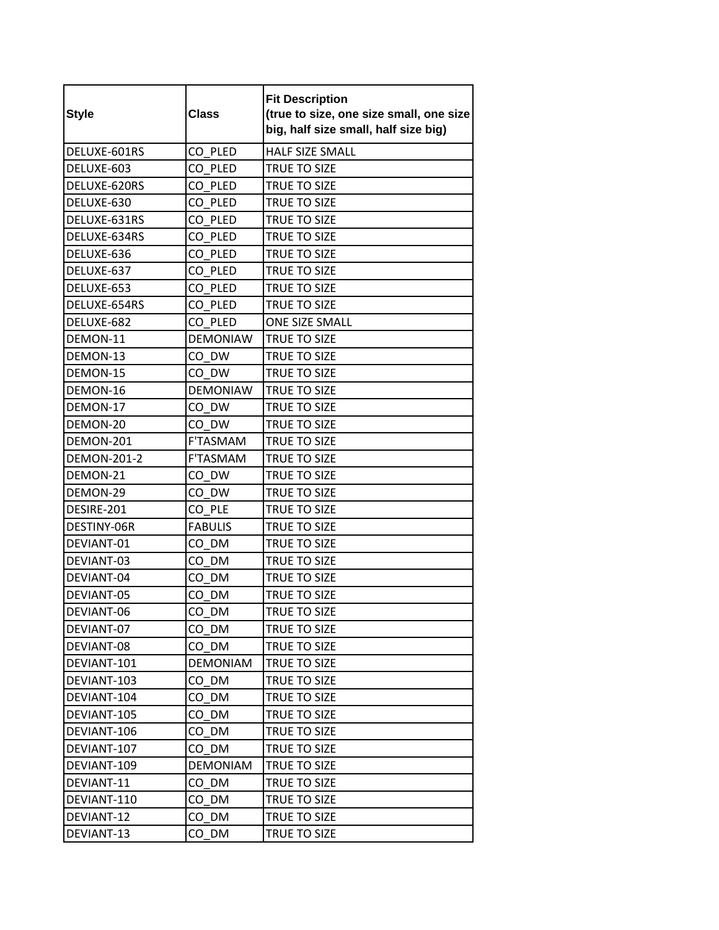| <b>Style</b>       | <b>Class</b>    | <b>Fit Description</b><br>(true to size, one size small, one size<br>big, half size small, half size big) |
|--------------------|-----------------|-----------------------------------------------------------------------------------------------------------|
| DELUXE-601RS       | CO PLED         | <b>HALF SIZE SMALL</b>                                                                                    |
| DELUXE-603         | CO PLED         | TRUE TO SIZE                                                                                              |
| DELUXE-620RS       | CO PLED         | <b>TRUE TO SIZE</b>                                                                                       |
| DELUXE-630         | CO PLED         | TRUE TO SIZE                                                                                              |
| DELUXE-631RS       | CO PLED         | <b>TRUE TO SIZE</b>                                                                                       |
| DELUXE-634RS       | CO PLED         | <b>TRUE TO SIZE</b>                                                                                       |
| DELUXE-636         | CO PLED         | TRUE TO SIZE                                                                                              |
| DELUXE-637         | CO PLED         | TRUE TO SIZE                                                                                              |
| DELUXE-653         | CO PLED         | <b>TRUE TO SIZE</b>                                                                                       |
| DELUXE-654RS       | CO PLED         | <b>TRUE TO SIZE</b>                                                                                       |
| DELUXE-682         | CO PLED         | <b>ONE SIZE SMALL</b>                                                                                     |
| DEMON-11           | <b>DEMONIAW</b> | TRUE TO SIZE                                                                                              |
| DEMON-13           | CO DW           | TRUE TO SIZE                                                                                              |
| DEMON-15           | CO DW           | TRUE TO SIZE                                                                                              |
| DEMON-16           | <b>DEMONIAW</b> | TRUE TO SIZE                                                                                              |
| DEMON-17           | CO DW           | TRUE TO SIZE                                                                                              |
| DEMON-20           | CO DW           | <b>TRUE TO SIZE</b>                                                                                       |
| DEMON-201          | F'TASMAM        | TRUE TO SIZE                                                                                              |
| <b>DEMON-201-2</b> | <b>F'TASMAM</b> | TRUE TO SIZE                                                                                              |
| DEMON-21           | CO DW           | TRUE TO SIZE                                                                                              |
| DEMON-29           | CO DW           | TRUE TO SIZE                                                                                              |
| DESIRE-201         | CO PLE          | TRUE TO SIZE                                                                                              |
| DESTINY-06R        | <b>FABULIS</b>  | TRUE TO SIZE                                                                                              |
| DEVIANT-01         | CO DM           | TRUE TO SIZE                                                                                              |
| DEVIANT-03         | CO DM           | TRUE TO SIZE                                                                                              |
| DEVIANT-04         | CO DM           | TRUE TO SIZE                                                                                              |
| DEVIANT-05         | CO DM           | TRUE TO SIZE                                                                                              |
| DEVIANT-06         | CO_DM           | TRUE TO SIZE                                                                                              |
| DEVIANT-07         | CO DM           | TRUE TO SIZE                                                                                              |
| DEVIANT-08         | CO DM           | TRUE TO SIZE                                                                                              |
| DEVIANT-101        | <b>DEMONIAM</b> | TRUE TO SIZE                                                                                              |
| DEVIANT-103        | CO DM           | TRUE TO SIZE                                                                                              |
| DEVIANT-104        | CO DM           | TRUE TO SIZE                                                                                              |
| DEVIANT-105        | CO DM           | TRUE TO SIZE                                                                                              |
| DEVIANT-106        | CO DM           | <b>TRUE TO SIZE</b>                                                                                       |
| DEVIANT-107        | CO DM           | TRUE TO SIZE                                                                                              |
| DEVIANT-109        | <b>DEMONIAM</b> | TRUE TO SIZE                                                                                              |
| DEVIANT-11         | CO DM           | TRUE TO SIZE                                                                                              |
| DEVIANT-110        | CO DM           | TRUE TO SIZE                                                                                              |
| DEVIANT-12         | CO DM           | TRUE TO SIZE                                                                                              |
| DEVIANT-13         | CO_DM           | TRUE TO SIZE                                                                                              |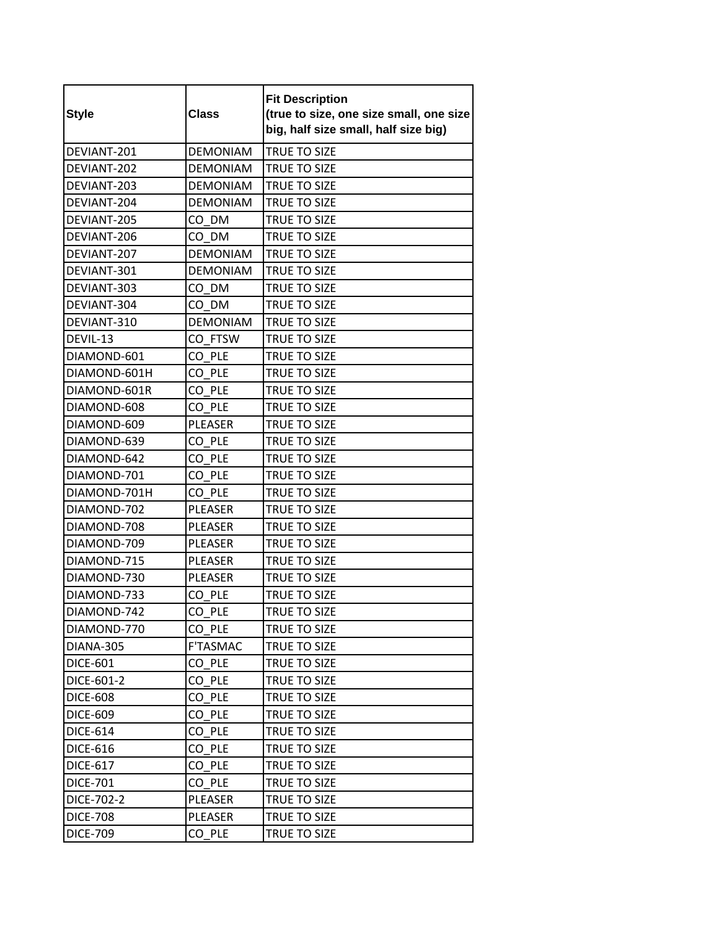| <b>Style</b>    | <b>Class</b>    | <b>Fit Description</b><br>(true to size, one size small, one size<br>big, half size small, half size big) |
|-----------------|-----------------|-----------------------------------------------------------------------------------------------------------|
| DEVIANT-201     | <b>DEMONIAM</b> | TRUE TO SIZE                                                                                              |
| DEVIANT-202     | <b>DEMONIAM</b> | TRUE TO SIZE                                                                                              |
| DEVIANT-203     | <b>DEMONIAM</b> | <b>TRUE TO SIZE</b>                                                                                       |
| DEVIANT-204     | <b>DEMONIAM</b> | TRUE TO SIZE                                                                                              |
| DEVIANT-205     | CO DM           | TRUE TO SIZE                                                                                              |
| DEVIANT-206     | CO DM           | TRUE TO SIZE                                                                                              |
| DEVIANT-207     | <b>DEMONIAM</b> | TRUE TO SIZE                                                                                              |
| DEVIANT-301     | <b>DEMONIAM</b> | TRUE TO SIZE                                                                                              |
| DEVIANT-303     | CO DM           | <b>TRUE TO SIZE</b>                                                                                       |
| DEVIANT-304     | CO DM           | TRUE TO SIZE                                                                                              |
| DEVIANT-310     | <b>DEMONIAM</b> | <b>TRUE TO SIZE</b>                                                                                       |
| DEVIL-13        | CO FTSW         | <b>TRUE TO SIZE</b>                                                                                       |
| DIAMOND-601     | CO PLE          | TRUE TO SIZE                                                                                              |
| DIAMOND-601H    | CO PLE          | TRUE TO SIZE                                                                                              |
| DIAMOND-601R    | CO PLE          | TRUE TO SIZE                                                                                              |
| DIAMOND-608     | CO PLE          | TRUE TO SIZE                                                                                              |
| DIAMOND-609     | <b>PLEASER</b>  | TRUE TO SIZE                                                                                              |
| DIAMOND-639     | CO PLE          | TRUE TO SIZE                                                                                              |
| DIAMOND-642     | CO PLE          | TRUE TO SIZE                                                                                              |
| DIAMOND-701     | CO PLE          | TRUE TO SIZE                                                                                              |
| DIAMOND-701H    | CO PLE          | TRUE TO SIZE                                                                                              |
| DIAMOND-702     | PLEASER         | TRUE TO SIZE                                                                                              |
| DIAMOND-708     | <b>PLEASER</b>  | TRUE TO SIZE                                                                                              |
| DIAMOND-709     | <b>PLEASER</b>  | TRUE TO SIZE                                                                                              |
| DIAMOND-715     | PLEASER         | TRUE TO SIZE                                                                                              |
| DIAMOND-730     | PLEASER         | TRUE TO SIZE                                                                                              |
| DIAMOND-733     | CO PLE          | TRUE TO SIZE                                                                                              |
| DIAMOND-742     | CO_PLE          | TRUE TO SIZE                                                                                              |
| DIAMOND-770     | CO PLE          | TRUE TO SIZE                                                                                              |
| DIANA-305       | <b>F'TASMAC</b> | TRUE TO SIZE                                                                                              |
| <b>DICE-601</b> | CO PLE          | TRUE TO SIZE                                                                                              |
| DICE-601-2      | CO PLE          | TRUE TO SIZE                                                                                              |
| <b>DICE-608</b> | CO PLE          | TRUE TO SIZE                                                                                              |
| <b>DICE-609</b> | CO PLE          | TRUE TO SIZE                                                                                              |
| <b>DICE-614</b> | CO PLE          | TRUE TO SIZE                                                                                              |
| <b>DICE-616</b> | CO PLE          | TRUE TO SIZE                                                                                              |
| <b>DICE-617</b> | CO PLE          | TRUE TO SIZE                                                                                              |
| <b>DICE-701</b> | CO PLE          | TRUE TO SIZE                                                                                              |
| DICE-702-2      | PLEASER         | TRUE TO SIZE                                                                                              |
| <b>DICE-708</b> | PLEASER         | TRUE TO SIZE                                                                                              |
| <b>DICE-709</b> | CO PLE          | TRUE TO SIZE                                                                                              |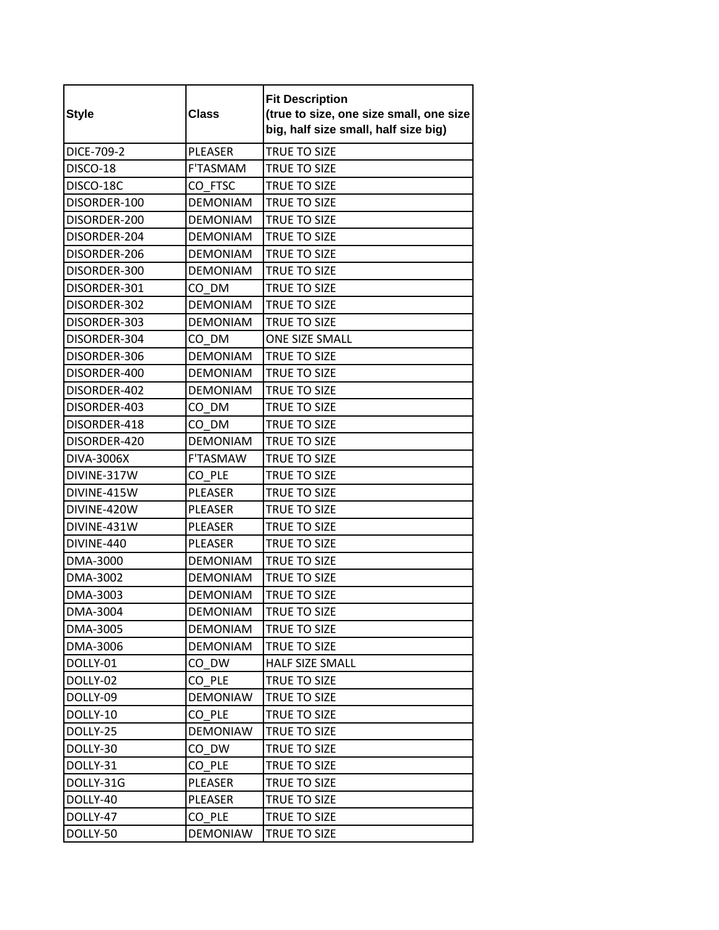| <b>Style</b> | <b>Class</b>    | <b>Fit Description</b><br>(true to size, one size small, one size<br>big, half size small, half size big) |
|--------------|-----------------|-----------------------------------------------------------------------------------------------------------|
| DICE-709-2   | <b>PLEASER</b>  | TRUE TO SIZE                                                                                              |
| DISCO-18     | <b>F'TASMAM</b> | TRUE TO SIZE                                                                                              |
| DISCO-18C    | CO FTSC         | TRUE TO SIZE                                                                                              |
| DISORDER-100 | <b>DEMONIAM</b> | <b>TRUE TO SIZE</b>                                                                                       |
| DISORDER-200 | <b>DEMONIAM</b> | TRUE TO SIZE                                                                                              |
| DISORDER-204 | <b>DEMONIAM</b> | <b>TRUE TO SIZE</b>                                                                                       |
| DISORDER-206 | <b>DEMONIAM</b> | TRUE TO SIZE                                                                                              |
| DISORDER-300 | <b>DEMONIAM</b> | TRUE TO SIZE                                                                                              |
| DISORDER-301 | CO DM           | TRUE TO SIZE                                                                                              |
| DISORDER-302 | <b>DEMONIAM</b> | TRUE TO SIZE                                                                                              |
| DISORDER-303 | <b>DEMONIAM</b> | TRUE TO SIZE                                                                                              |
| DISORDER-304 | CO DM           | <b>ONE SIZE SMALL</b>                                                                                     |
| DISORDER-306 | <b>DEMONIAM</b> | <b>TRUE TO SIZE</b>                                                                                       |
| DISORDER-400 | <b>DEMONIAM</b> | TRUE TO SIZE                                                                                              |
| DISORDER-402 | <b>DEMONIAM</b> | TRUE TO SIZE                                                                                              |
| DISORDER-403 | CO DM           | TRUE TO SIZE                                                                                              |
| DISORDER-418 | CO DM           | TRUE TO SIZE                                                                                              |
| DISORDER-420 | <b>DEMONIAM</b> | <b>TRUE TO SIZE</b>                                                                                       |
| DIVA-3006X   | <b>F'TASMAW</b> | TRUE TO SIZE                                                                                              |
| DIVINE-317W  | CO PLE          | TRUE TO SIZE                                                                                              |
| DIVINE-415W  | <b>PLEASER</b>  | TRUE TO SIZE                                                                                              |
| DIVINE-420W  | PLEASER         | TRUE TO SIZE                                                                                              |
| DIVINE-431W  | <b>PLEASER</b>  | TRUE TO SIZE                                                                                              |
| DIVINE-440   | <b>PLEASER</b>  | TRUE TO SIZE                                                                                              |
| DMA-3000     | <b>DEMONIAM</b> | <b>TRUE TO SIZE</b>                                                                                       |
| DMA-3002     | <b>DEMONIAM</b> | TRUE TO SIZE                                                                                              |
| DMA-3003     | <b>DEMONIAM</b> | TRUE TO SIZE                                                                                              |
| DMA-3004     | <b>DEMONIAM</b> | TRUE TO SIZE                                                                                              |
| DMA-3005     | <b>DEMONIAM</b> | TRUE TO SIZE                                                                                              |
| DMA-3006     | <b>DEMONIAM</b> | TRUE TO SIZE                                                                                              |
| DOLLY-01     | CO DW           | HALF SIZE SMALL                                                                                           |
| DOLLY-02     | CO PLE          | TRUE TO SIZE                                                                                              |
| DOLLY-09     | <b>DEMONIAW</b> | TRUE TO SIZE                                                                                              |
| DOLLY-10     | CO PLE          | TRUE TO SIZE                                                                                              |
| DOLLY-25     | <b>DEMONIAW</b> | TRUE TO SIZE                                                                                              |
| DOLLY-30     | CO DW           | TRUE TO SIZE                                                                                              |
| DOLLY-31     | CO PLE          | TRUE TO SIZE                                                                                              |
| DOLLY-31G    | PLEASER         | TRUE TO SIZE                                                                                              |
| DOLLY-40     | PLEASER         | TRUE TO SIZE                                                                                              |
| DOLLY-47     | CO PLE          | TRUE TO SIZE                                                                                              |
| DOLLY-50     | <b>DEMONIAW</b> | TRUE TO SIZE                                                                                              |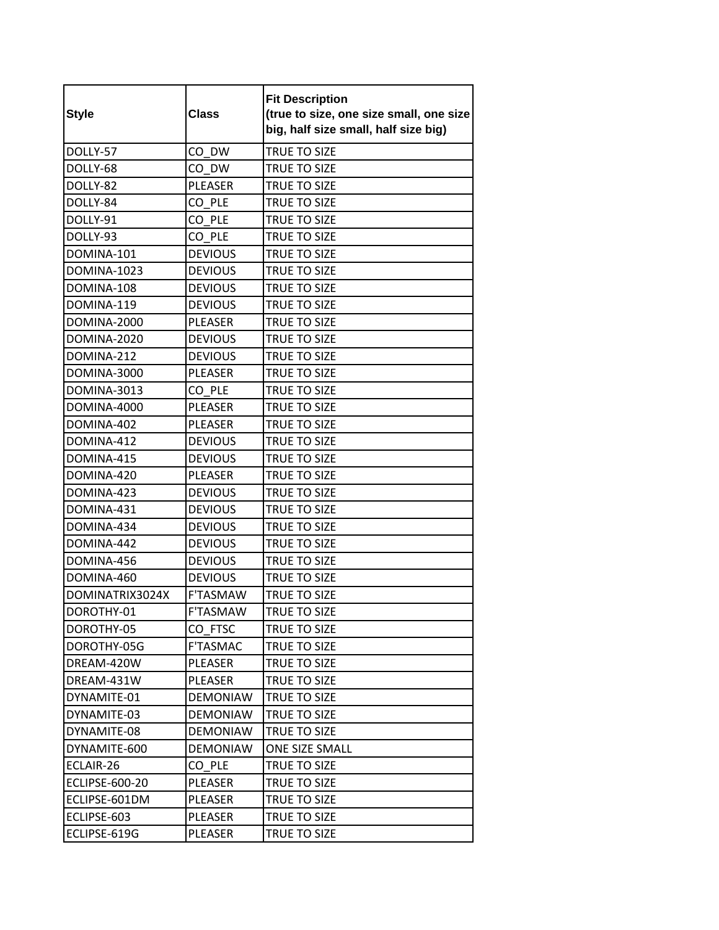| <b>Style</b>          | <b>Class</b>    | <b>Fit Description</b><br>(true to size, one size small, one size<br>big, half size small, half size big) |
|-----------------------|-----------------|-----------------------------------------------------------------------------------------------------------|
| DOLLY-57              | CO DW           | <b>TRUE TO SIZE</b>                                                                                       |
| DOLLY-68              | CO DW           | TRUE TO SIZE                                                                                              |
| DOLLY-82              | <b>PLEASER</b>  | TRUE TO SIZE                                                                                              |
| DOLLY-84              | CO PLE          | TRUE TO SIZE                                                                                              |
| DOLLY-91              | CO PLE          | TRUE TO SIZE                                                                                              |
| DOLLY-93              | CO PLE          | TRUE TO SIZE                                                                                              |
| DOMINA-101            | <b>DEVIOUS</b>  | TRUE TO SIZE                                                                                              |
| DOMINA-1023           | <b>DEVIOUS</b>  | TRUE TO SIZE                                                                                              |
| DOMINA-108            | <b>DEVIOUS</b>  | TRUE TO SIZE                                                                                              |
| DOMINA-119            | <b>DEVIOUS</b>  | TRUE TO SIZE                                                                                              |
| DOMINA-2000           | PLEASER         | TRUE TO SIZE                                                                                              |
| <b>DOMINA-2020</b>    | <b>DEVIOUS</b>  | <b>TRUE TO SIZE</b>                                                                                       |
| DOMINA-212            | <b>DEVIOUS</b>  | <b>TRUE TO SIZE</b>                                                                                       |
| DOMINA-3000           | <b>PLEASER</b>  | TRUE TO SIZE                                                                                              |
| DOMINA-3013           | CO PLE          | TRUE TO SIZE                                                                                              |
| DOMINA-4000           | PLEASER         | TRUE TO SIZE                                                                                              |
| DOMINA-402            | <b>PLEASER</b>  | <b>TRUE TO SIZE</b>                                                                                       |
| DOMINA-412            | <b>DEVIOUS</b>  | TRUE TO SIZE                                                                                              |
| DOMINA-415            | <b>DEVIOUS</b>  | TRUE TO SIZE                                                                                              |
| DOMINA-420            | PLEASER         | TRUE TO SIZE                                                                                              |
| DOMINA-423            | <b>DEVIOUS</b>  | TRUE TO SIZE                                                                                              |
| DOMINA-431            | <b>DEVIOUS</b>  | <b>TRUE TO SIZE</b>                                                                                       |
| DOMINA-434            | <b>DEVIOUS</b>  | TRUE TO SIZE                                                                                              |
| DOMINA-442            | <b>DEVIOUS</b>  | TRUE TO SIZE                                                                                              |
| DOMINA-456            | <b>DEVIOUS</b>  | TRUE TO SIZE                                                                                              |
| DOMINA-460            | <b>DEVIOUS</b>  | TRUE TO SIZE                                                                                              |
| DOMINATRIX3024X       | <b>F'TASMAW</b> | TRUE TO SIZE                                                                                              |
| DOROTHY-01            | F'TASMAW        | TRUE TO SIZE                                                                                              |
| DOROTHY-05            | CO FTSC         | TRUE TO SIZE                                                                                              |
| DOROTHY-05G           | <b>F'TASMAC</b> | TRUE TO SIZE                                                                                              |
| DREAM-420W            | <b>PLEASER</b>  | <b>TRUE TO SIZE</b>                                                                                       |
| DREAM-431W            | PLEASER         | TRUE TO SIZE                                                                                              |
| DYNAMITE-01           | <b>DEMONIAW</b> | TRUE TO SIZE                                                                                              |
| DYNAMITE-03           | <b>DEMONIAW</b> | TRUE TO SIZE                                                                                              |
| DYNAMITE-08           | <b>DEMONIAW</b> | TRUE TO SIZE                                                                                              |
| DYNAMITE-600          | <b>DEMONIAW</b> | <b>ONE SIZE SMALL</b>                                                                                     |
| ECLAIR-26             | CO PLE          | TRUE TO SIZE                                                                                              |
| <b>ECLIPSE-600-20</b> | PLEASER         | TRUE TO SIZE                                                                                              |
| ECLIPSE-601DM         | PLEASER         | TRUE TO SIZE                                                                                              |
| ECLIPSE-603           | PLEASER         | TRUE TO SIZE                                                                                              |
| ECLIPSE-619G          | PLEASER         | TRUE TO SIZE                                                                                              |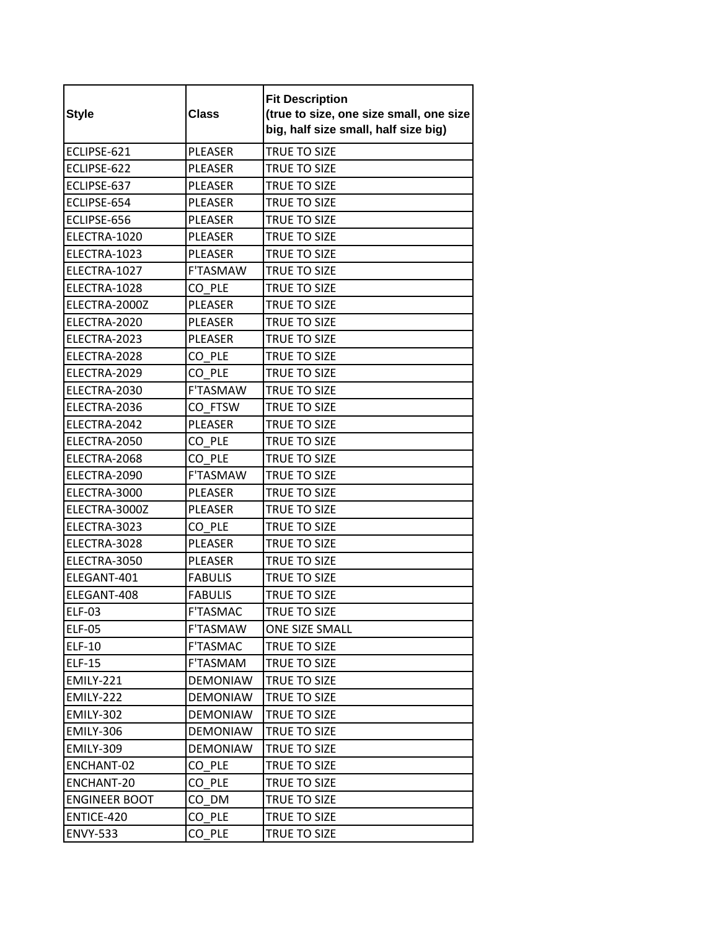| <b>Style</b>         | <b>Class</b>    | <b>Fit Description</b><br>(true to size, one size small, one size<br>big, half size small, half size big) |
|----------------------|-----------------|-----------------------------------------------------------------------------------------------------------|
| ECLIPSE-621          | <b>PLEASER</b>  | TRUE TO SIZE                                                                                              |
| ECLIPSE-622          | <b>PLEASER</b>  | TRUE TO SIZE                                                                                              |
| ECLIPSE-637          | <b>PLEASER</b>  | <b>TRUE TO SIZE</b>                                                                                       |
| ECLIPSE-654          | <b>PLEASER</b>  | TRUE TO SIZE                                                                                              |
| ECLIPSE-656          | <b>PLEASER</b>  | TRUE TO SIZE                                                                                              |
| ELECTRA-1020         | <b>PLEASER</b>  | TRUE TO SIZE                                                                                              |
| ELECTRA-1023         | PLEASER         | TRUE TO SIZE                                                                                              |
| ELECTRA-1027         | F'TASMAW        | TRUE TO SIZE                                                                                              |
| ELECTRA-1028         | CO PLE          | TRUE TO SIZE                                                                                              |
| ELECTRA-2000Z        | <b>PLEASER</b>  | TRUE TO SIZE                                                                                              |
| ELECTRA-2020         | PLEASER         | TRUE TO SIZE                                                                                              |
| ELECTRA-2023         | <b>PLEASER</b>  | TRUE TO SIZE                                                                                              |
| ELECTRA-2028         | CO PLE          | TRUE TO SIZE                                                                                              |
| ELECTRA-2029         | CO PLE          | TRUE TO SIZE                                                                                              |
| ELECTRA-2030         | F'TASMAW        | TRUE TO SIZE                                                                                              |
| ELECTRA-2036         | CO FTSW         | TRUE TO SIZE                                                                                              |
| ELECTRA-2042         | <b>PLEASER</b>  | <b>TRUE TO SIZE</b>                                                                                       |
| ELECTRA-2050         | CO PLE          | TRUE TO SIZE                                                                                              |
| ELECTRA-2068         | CO PLE          | TRUE TO SIZE                                                                                              |
| ELECTRA-2090         | F'TASMAW        | TRUE TO SIZE                                                                                              |
| ELECTRA-3000         | PLEASER         | TRUE TO SIZE                                                                                              |
| ELECTRA-3000Z        | <b>PLEASER</b>  | <b>TRUE TO SIZE</b>                                                                                       |
| ELECTRA-3023         | CO PLE          | TRUE TO SIZE                                                                                              |
| ELECTRA-3028         | <b>PLEASER</b>  | TRUE TO SIZE                                                                                              |
| ELECTRA-3050         | PLEASER         | TRUE TO SIZE                                                                                              |
| ELEGANT-401          | <b>FABULIS</b>  | TRUE TO SIZE                                                                                              |
| ELEGANT-408          | <b>FABULIS</b>  | TRUE TO SIZE                                                                                              |
| <b>ELF-03</b>        | <b>F'TASMAC</b> | TRUE TO SIZE                                                                                              |
| <b>ELF-05</b>        | F'TASMAW        | ONE SIZE SMALL                                                                                            |
| <b>ELF-10</b>        | F'TASMAC        | TRUE TO SIZE                                                                                              |
| <b>ELF-15</b>        | F'TASMAM        | TRUE TO SIZE                                                                                              |
| <b>EMILY-221</b>     | <b>DEMONIAW</b> | <b>TRUE TO SIZE</b>                                                                                       |
| EMILY-222            | <b>DEMONIAW</b> | TRUE TO SIZE                                                                                              |
| <b>EMILY-302</b>     | <b>DEMONIAW</b> | TRUE TO SIZE                                                                                              |
| EMILY-306            | <b>DEMONIAW</b> | TRUE TO SIZE                                                                                              |
| EMILY-309            | <b>DEMONIAW</b> | TRUE TO SIZE                                                                                              |
| ENCHANT-02           | CO PLE          | TRUE TO SIZE                                                                                              |
| ENCHANT-20           | CO PLE          | TRUE TO SIZE                                                                                              |
| <b>ENGINEER BOOT</b> | CO DM           | TRUE TO SIZE                                                                                              |
| ENTICE-420           | CO PLE          | TRUE TO SIZE                                                                                              |
| <b>ENVY-533</b>      | CO PLE          | TRUE TO SIZE                                                                                              |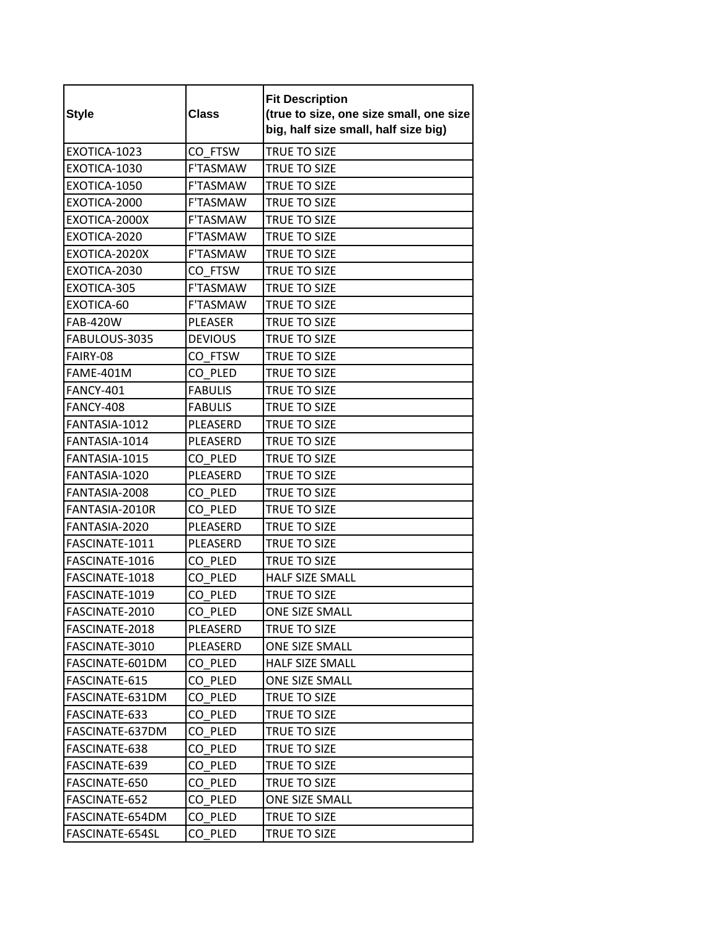| <b>Style</b>     | <b>Class</b>    | <b>Fit Description</b><br>(true to size, one size small, one size<br>big, half size small, half size big) |
|------------------|-----------------|-----------------------------------------------------------------------------------------------------------|
| EXOTICA-1023     | CO FTSW         | TRUE TO SIZE                                                                                              |
| EXOTICA-1030     | <b>F'TASMAW</b> | TRUE TO SIZE                                                                                              |
| EXOTICA-1050     | <b>F'TASMAW</b> | <b>TRUE TO SIZE</b>                                                                                       |
| EXOTICA-2000     | <b>F'TASMAW</b> | TRUE TO SIZE                                                                                              |
| EXOTICA-2000X    | <b>F'TASMAW</b> | TRUE TO SIZE                                                                                              |
| EXOTICA-2020     | <b>F'TASMAW</b> | TRUE TO SIZE                                                                                              |
| EXOTICA-2020X    | <b>F'TASMAW</b> | TRUE TO SIZE                                                                                              |
| EXOTICA-2030     | CO FTSW         | TRUE TO SIZE                                                                                              |
| EXOTICA-305      | F'TASMAW        | TRUE TO SIZE                                                                                              |
| EXOTICA-60       | <b>F'TASMAW</b> | TRUE TO SIZE                                                                                              |
| <b>FAB-420W</b>  | PLEASER         | TRUE TO SIZE                                                                                              |
| FABULOUS-3035    | <b>DEVIOUS</b>  | TRUE TO SIZE                                                                                              |
| FAIRY-08         | CO FTSW         | TRUE TO SIZE                                                                                              |
| FAME-401M        | CO PLED         | TRUE TO SIZE                                                                                              |
| <b>FANCY-401</b> | <b>FABULIS</b>  | TRUE TO SIZE                                                                                              |
| <b>FANCY-408</b> | <b>FABULIS</b>  | TRUE TO SIZE                                                                                              |
| FANTASIA-1012    | PLEASERD        | <b>TRUE TO SIZE</b>                                                                                       |
| FANTASIA-1014    | PLEASERD        | TRUE TO SIZE                                                                                              |
| FANTASIA-1015    | CO PLED         | TRUE TO SIZE                                                                                              |
| FANTASIA-1020    | PLEASERD        | TRUE TO SIZE                                                                                              |
| FANTASIA-2008    | CO PLED         | TRUE TO SIZE                                                                                              |
| FANTASIA-2010R   | CO PLED         | TRUE TO SIZE                                                                                              |
| FANTASIA-2020    | PLEASERD        | TRUE TO SIZE                                                                                              |
| FASCINATE-1011   | PLEASERD        | TRUE TO SIZE                                                                                              |
| FASCINATE-1016   | CO PLED         | TRUE TO SIZE                                                                                              |
| FASCINATE-1018   | CO PLED         | <b>HALF SIZE SMALL</b>                                                                                    |
| FASCINATE-1019   | CO PLED         | TRUE TO SIZE                                                                                              |
| FASCINATE-2010   | CO_PLED         | ONE SIZE SMALL                                                                                            |
| FASCINATE-2018   | PLEASERD        | TRUE TO SIZE                                                                                              |
| FASCINATE-3010   | PLEASERD        | ONE SIZE SMALL                                                                                            |
| FASCINATE-601DM  | CO PLED         | <b>HALF SIZE SMALL</b>                                                                                    |
| FASCINATE-615    | CO PLED         | ONE SIZE SMALL                                                                                            |
| FASCINATE-631DM  | CO PLED         | TRUE TO SIZE                                                                                              |
| FASCINATE-633    | CO PLED         | TRUE TO SIZE                                                                                              |
| FASCINATE-637DM  | CO PLED         | TRUE TO SIZE                                                                                              |
| FASCINATE-638    | CO PLED         | TRUE TO SIZE                                                                                              |
| FASCINATE-639    | CO PLED         | TRUE TO SIZE                                                                                              |
| FASCINATE-650    | CO PLED         | TRUE TO SIZE                                                                                              |
| FASCINATE-652    | CO PLED         | ONE SIZE SMALL                                                                                            |
| FASCINATE-654DM  | CO PLED         | TRUE TO SIZE                                                                                              |
| FASCINATE-654SL  | CO PLED         | TRUE TO SIZE                                                                                              |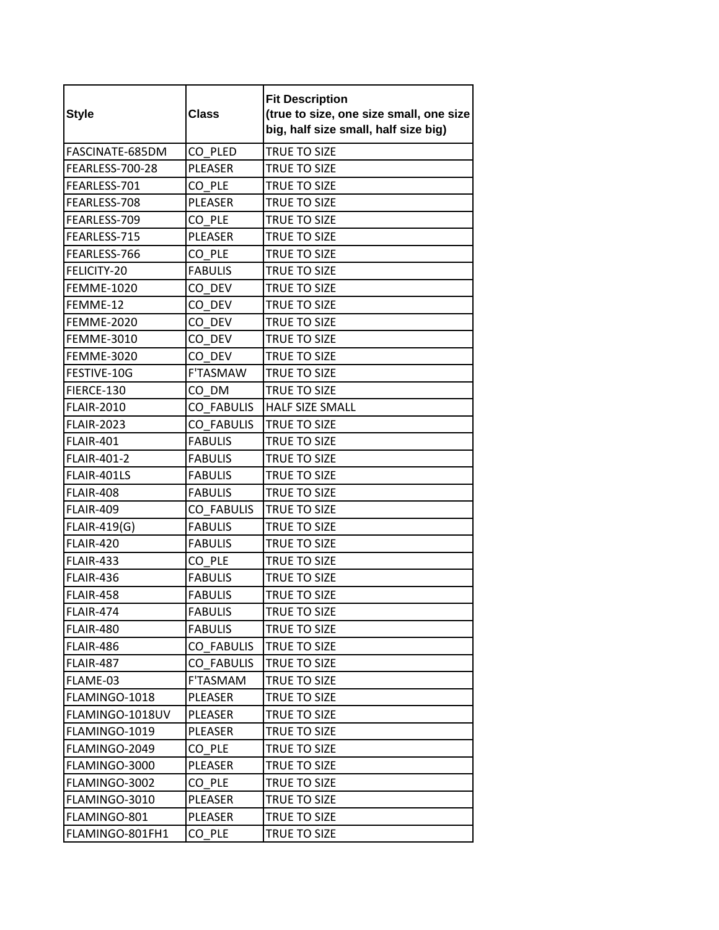| <b>Style</b>      | <b>Class</b>      | <b>Fit Description</b><br>(true to size, one size small, one size<br>big, half size small, half size big) |
|-------------------|-------------------|-----------------------------------------------------------------------------------------------------------|
| FASCINATE-685DM   | CO PLED           | TRUE TO SIZE                                                                                              |
| FEARLESS-700-28   | <b>PLEASER</b>    | TRUE TO SIZE                                                                                              |
| FEARLESS-701      | CO PLE            | TRUE TO SIZE                                                                                              |
| FEARLESS-708      | <b>PLEASER</b>    | TRUE TO SIZE                                                                                              |
| FEARLESS-709      | CO PLE            | TRUE TO SIZE                                                                                              |
| FEARLESS-715      | PLEASER           | TRUE TO SIZE                                                                                              |
| FEARLESS-766      | CO PLE            | TRUE TO SIZE                                                                                              |
| FELICITY-20       | <b>FABULIS</b>    | TRUE TO SIZE                                                                                              |
| <b>FEMME-1020</b> | CO DEV            | TRUE TO SIZE                                                                                              |
| FEMME-12          | CO DEV            | TRUE TO SIZE                                                                                              |
| <b>FEMME-2020</b> | CO DEV            | TRUE TO SIZE                                                                                              |
| <b>FEMME-3010</b> | CO DEV            | TRUE TO SIZE                                                                                              |
| <b>FEMME-3020</b> | CO DEV            | <b>TRUE TO SIZE</b>                                                                                       |
| FESTIVE-10G       | <b>F'TASMAW</b>   | TRUE TO SIZE                                                                                              |
| FIERCE-130        | CO DM             | TRUE TO SIZE                                                                                              |
| <b>FLAIR-2010</b> | <b>CO FABULIS</b> | <b>HALF SIZE SMALL</b>                                                                                    |
| <b>FLAIR-2023</b> | <b>CO FABULIS</b> | <b>TRUE TO SIZE</b>                                                                                       |
| <b>FLAIR-401</b>  | <b>FABULIS</b>    | TRUE TO SIZE                                                                                              |
| FLAIR-401-2       | <b>FABULIS</b>    | TRUE TO SIZE                                                                                              |
| FLAIR-401LS       | <b>FABULIS</b>    | <b>TRUE TO SIZE</b>                                                                                       |
| <b>FLAIR-408</b>  | <b>FABULIS</b>    | TRUE TO SIZE                                                                                              |
| <b>FLAIR-409</b>  | <b>CO FABULIS</b> | TRUE TO SIZE                                                                                              |
| FLAIR-419(G)      | <b>FABULIS</b>    | TRUE TO SIZE                                                                                              |
| <b>FLAIR-420</b>  | <b>FABULIS</b>    | TRUE TO SIZE                                                                                              |
| <b>FLAIR-433</b>  | CO PLE            | TRUE TO SIZE                                                                                              |
| <b>FLAIR-436</b>  | <b>FABULIS</b>    | TRUE TO SIZE                                                                                              |
| <b>FLAIR-458</b>  | <b>FABULIS</b>    | TRUE TO SIZE                                                                                              |
| <b>FLAIR-474</b>  | <b>FABULIS</b>    | TRUE TO SIZE                                                                                              |
| FLAIR-480         | <b>FABULIS</b>    | TRUE TO SIZE                                                                                              |
| FLAIR-486         | CO FABULIS        | TRUE TO SIZE                                                                                              |
| FLAIR-487         | CO FABULIS        | TRUE TO SIZE                                                                                              |
| FLAME-03          | F'TASMAM          | TRUE TO SIZE                                                                                              |
| FLAMINGO-1018     | PLEASER           | TRUE TO SIZE                                                                                              |
| FLAMINGO-1018UV   | PLEASER           | TRUE TO SIZE                                                                                              |
| FLAMINGO-1019     | PLEASER           | TRUE TO SIZE                                                                                              |
| FLAMINGO-2049     | CO PLE            | TRUE TO SIZE                                                                                              |
| FLAMINGO-3000     | PLEASER           | TRUE TO SIZE                                                                                              |
| FLAMINGO-3002     | CO PLE            | TRUE TO SIZE                                                                                              |
| FLAMINGO-3010     | PLEASER           | TRUE TO SIZE                                                                                              |
| FLAMINGO-801      | PLEASER           | TRUE TO SIZE                                                                                              |
| FLAMINGO-801FH1   | CO PLE            | TRUE TO SIZE                                                                                              |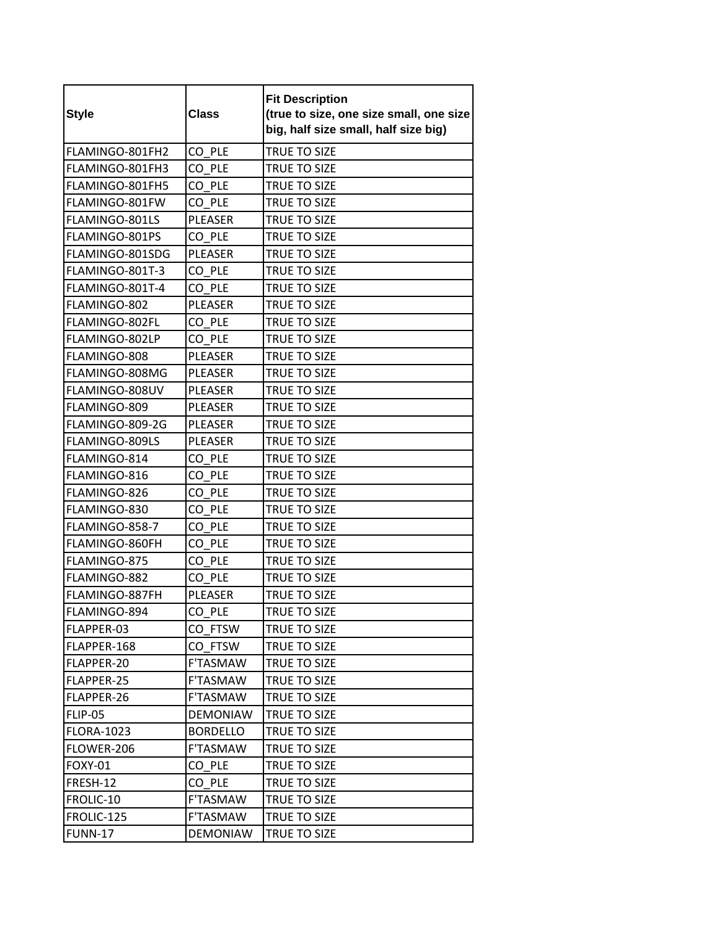| <b>Style</b>      | <b>Class</b>    | <b>Fit Description</b><br>(true to size, one size small, one size<br>big, half size small, half size big) |
|-------------------|-----------------|-----------------------------------------------------------------------------------------------------------|
| FLAMINGO-801FH2   | CO PLE          | <b>TRUE TO SIZE</b>                                                                                       |
| FLAMINGO-801FH3   | CO PLE          | TRUE TO SIZE                                                                                              |
| FLAMINGO-801FH5   | CO PLE          | TRUE TO SIZE                                                                                              |
| FLAMINGO-801FW    | CO PLE          | TRUE TO SIZE                                                                                              |
| FLAMINGO-801LS    | <b>PLEASER</b>  | TRUE TO SIZE                                                                                              |
| FLAMINGO-801PS    | CO PLE          | TRUE TO SIZE                                                                                              |
| FLAMINGO-801SDG   | PLEASER         | TRUE TO SIZE                                                                                              |
| FLAMINGO-801T-3   | CO PLE          | TRUE TO SIZE                                                                                              |
| FLAMINGO-801T-4   | CO PLE          | <b>TRUE TO SIZE</b>                                                                                       |
| FLAMINGO-802      | <b>PLEASER</b>  | TRUE TO SIZE                                                                                              |
| FLAMINGO-802FL    | CO PLE          | TRUE TO SIZE                                                                                              |
| FLAMINGO-802LP    | CO PLE          | TRUE TO SIZE                                                                                              |
| FLAMINGO-808      | <b>PLEASER</b>  | TRUE TO SIZE                                                                                              |
| FLAMINGO-808MG    | <b>PLEASER</b>  | TRUE TO SIZE                                                                                              |
| FLAMINGO-808UV    | <b>PLEASER</b>  | TRUE TO SIZE                                                                                              |
| FLAMINGO-809      | <b>PLEASER</b>  | TRUE TO SIZE                                                                                              |
| FLAMINGO-809-2G   | <b>PLEASER</b>  | TRUE TO SIZE                                                                                              |
| FLAMINGO-809LS    | PLEASER         | TRUE TO SIZE                                                                                              |
| FLAMINGO-814      | CO PLE          | TRUE TO SIZE                                                                                              |
| FLAMINGO-816      | CO PLE          | TRUE TO SIZE                                                                                              |
| FLAMINGO-826      | CO PLE          | TRUE TO SIZE                                                                                              |
| FLAMINGO-830      | CO PLE          | TRUE TO SIZE                                                                                              |
| FLAMINGO-858-7    | CO PLE          | TRUE TO SIZE                                                                                              |
| FLAMINGO-860FH    | CO PLE          | TRUE TO SIZE                                                                                              |
| FLAMINGO-875      | CO PLE          | TRUE TO SIZE                                                                                              |
| FLAMINGO-882      | CO PLE          | TRUE TO SIZE                                                                                              |
| FLAMINGO-887FH    | PLEASER         | TRUE TO SIZE                                                                                              |
| FLAMINGO-894      | CO_PLE          | TRUE TO SIZE                                                                                              |
| FLAPPER-03        | CO FTSW         | TRUE TO SIZE                                                                                              |
| FLAPPER-168       | CO FTSW         | TRUE TO SIZE                                                                                              |
| FLAPPER-20        | F'TASMAW        | TRUE TO SIZE                                                                                              |
| FLAPPER-25        | F'TASMAW        | TRUE TO SIZE                                                                                              |
| FLAPPER-26        | F'TASMAW        | TRUE TO SIZE                                                                                              |
| <b>FLIP-05</b>    | <b>DEMONIAW</b> | <b>TRUE TO SIZE</b>                                                                                       |
| <b>FLORA-1023</b> | <b>BORDELLO</b> | TRUE TO SIZE                                                                                              |
| FLOWER-206        | F'TASMAW        | TRUE TO SIZE                                                                                              |
| <b>FOXY-01</b>    | CO PLE          | TRUE TO SIZE                                                                                              |
| FRESH-12          | CO PLE          | TRUE TO SIZE                                                                                              |
| FROLIC-10         | F'TASMAW        | TRUE TO SIZE                                                                                              |
| FROLIC-125        | F'TASMAW        | TRUE TO SIZE                                                                                              |
| <b>FUNN-17</b>    | <b>DEMONIAW</b> | TRUE TO SIZE                                                                                              |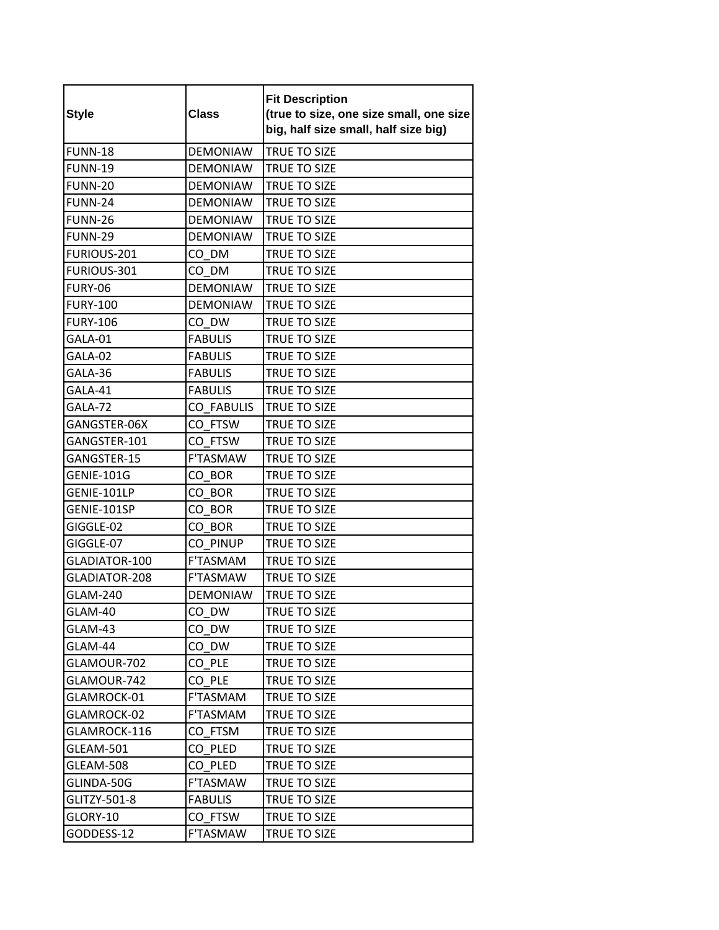| <b>Style</b>      | <b>Class</b>      | <b>Fit Description</b><br>(true to size, one size small, one size<br>big, half size small, half size big) |
|-------------------|-------------------|-----------------------------------------------------------------------------------------------------------|
| <b>FUNN-18</b>    | <b>DEMONIAW</b>   | <b>TRUE TO SIZE</b>                                                                                       |
| <b>FUNN-19</b>    | <b>DEMONIAW</b>   | TRUE TO SIZE                                                                                              |
| <b>FUNN-20</b>    | <b>DEMONIAW</b>   | TRUE TO SIZE                                                                                              |
| <b>FUNN-24</b>    | <b>DEMONIAW</b>   | <b>TRUE TO SIZE</b>                                                                                       |
| <b>FUNN-26</b>    | <b>DEMONIAW</b>   | TRUE TO SIZE                                                                                              |
| <b>FUNN-29</b>    | <b>DEMONIAW</b>   | TRUE TO SIZE                                                                                              |
| FURIOUS-201       | CO DM             | TRUE TO SIZE                                                                                              |
| FURIOUS-301       | CO DM             | TRUE TO SIZE                                                                                              |
| <b>FURY-06</b>    | <b>DEMONIAW</b>   | TRUE TO SIZE                                                                                              |
| <b>FURY-100</b>   | <b>DEMONIAW</b>   | TRUE TO SIZE                                                                                              |
| <b>FURY-106</b>   | CO DW             | TRUE TO SIZE                                                                                              |
| GALA-01           | <b>FABULIS</b>    | <b>TRUE TO SIZE</b>                                                                                       |
| GALA-02           | <b>FABULIS</b>    | TRUE TO SIZE                                                                                              |
| GALA-36           | <b>FABULIS</b>    | TRUE TO SIZE                                                                                              |
| GALA-41           | <b>FABULIS</b>    | TRUE TO SIZE                                                                                              |
| GALA-72           | <b>CO FABULIS</b> | <b>TRUE TO SIZE</b>                                                                                       |
| GANGSTER-06X      | CO FTSW           | <b>TRUE TO SIZE</b>                                                                                       |
| GANGSTER-101      | CO FTSW           | TRUE TO SIZE                                                                                              |
| GANGSTER-15       | F'TASMAW          | TRUE TO SIZE                                                                                              |
| <b>GENIE-101G</b> | CO BOR            | TRUE TO SIZE                                                                                              |
| GENIE-101LP       | CO BOR            | TRUE TO SIZE                                                                                              |
| GENIE-101SP       | CO BOR            | TRUE TO SIZE                                                                                              |
| GIGGLE-02         | CO BOR            | TRUE TO SIZE                                                                                              |
| GIGGLE-07         | CO PINUP          | <b>TRUE TO SIZE</b>                                                                                       |
| GLADIATOR-100     | F'TASMAM          | TRUE TO SIZE                                                                                              |
| GLADIATOR-208     | <b>F'TASMAW</b>   | <b>TRUE TO SIZE</b>                                                                                       |
| <b>GLAM-240</b>   | <b>DEMONIAW</b>   | TRUE TO SIZE                                                                                              |
| GLAM-40           | $CO_D$ W          | TRUE TO SIZE                                                                                              |
| GLAM-43           | CO DW             | TRUE TO SIZE                                                                                              |
| GLAM-44           | CO DW             | TRUE TO SIZE                                                                                              |
| GLAMOUR-702       | CO PLE            | TRUE TO SIZE                                                                                              |
| GLAMOUR-742       | CO PLE            | TRUE TO SIZE                                                                                              |
| GLAMROCK-01       | F'TASMAM          | TRUE TO SIZE                                                                                              |
| GLAMROCK-02       | F'TASMAM          | TRUE TO SIZE                                                                                              |
| GLAMROCK-116      | CO_FTSM           | TRUE TO SIZE                                                                                              |
| GLEAM-501         | CO PLED           | TRUE TO SIZE                                                                                              |
| GLEAM-508         | CO PLED           | TRUE TO SIZE                                                                                              |
| GLINDA-50G        | F'TASMAW          | TRUE TO SIZE                                                                                              |
| GLITZY-501-8      | <b>FABULIS</b>    | TRUE TO SIZE                                                                                              |
| GLORY-10          | CO FTSW           | TRUE TO SIZE                                                                                              |
| GODDESS-12        | F'TASMAW          | TRUE TO SIZE                                                                                              |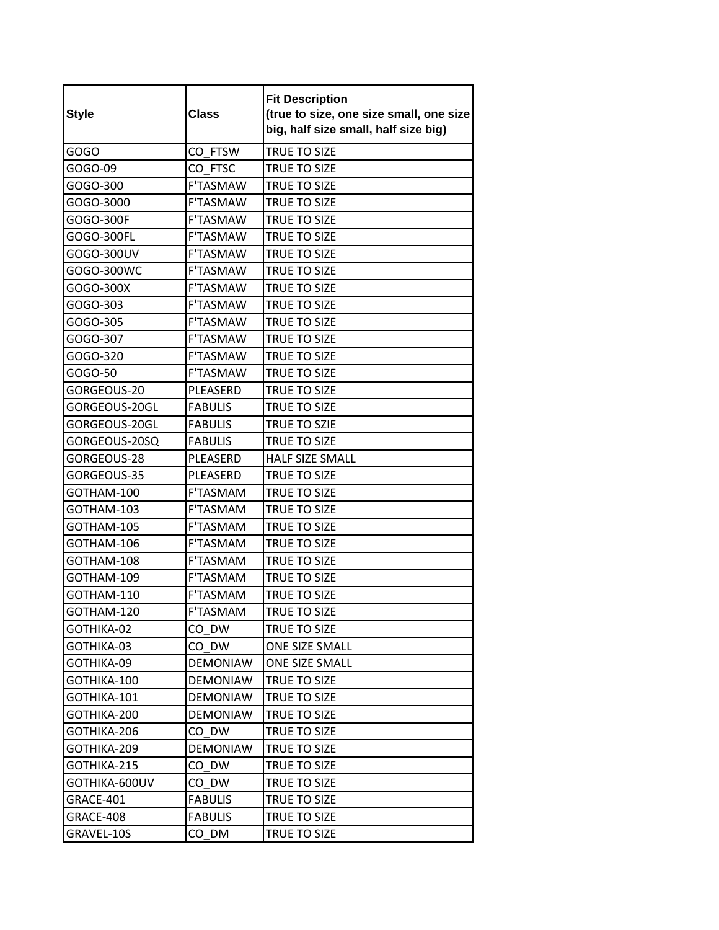| <b>Style</b>  | <b>Class</b>    | <b>Fit Description</b><br>(true to size, one size small, one size<br>big, half size small, half size big) |
|---------------|-----------------|-----------------------------------------------------------------------------------------------------------|
| GOGO          | CO FTSW         | TRUE TO SIZE                                                                                              |
| GOGO-09       | CO FTSC         | TRUE TO SIZE                                                                                              |
| GOGO-300      | <b>F'TASMAW</b> | <b>TRUE TO SIZE</b>                                                                                       |
| GOGO-3000     | <b>F'TASMAW</b> | <b>TRUE TO SIZE</b>                                                                                       |
| GOGO-300F     | <b>F'TASMAW</b> | TRUE TO SIZE                                                                                              |
| GOGO-300FL    | F'TASMAW        | TRUE TO SIZE                                                                                              |
| GOGO-300UV    | <b>F'TASMAW</b> | TRUE TO SIZE                                                                                              |
| GOGO-300WC    | <b>F'TASMAW</b> | TRUE TO SIZE                                                                                              |
| GOGO-300X     | <b>F'TASMAW</b> | <b>TRUE TO SIZE</b>                                                                                       |
| GOGO-303      | <b>F'TASMAW</b> | TRUE TO SIZE                                                                                              |
| GOGO-305      | F'TASMAW        | <b>TRUE TO SIZE</b>                                                                                       |
| GOGO-307      | <b>F'TASMAW</b> | TRUE TO SIZE                                                                                              |
| GOGO-320      | F'TASMAW        | <b>TRUE TO SIZE</b>                                                                                       |
| GOGO-50       | <b>F'TASMAW</b> | TRUE TO SIZE                                                                                              |
| GORGEOUS-20   | PLEASERD        | TRUE TO SIZE                                                                                              |
| GORGEOUS-20GL | <b>FABULIS</b>  | TRUE TO SIZE                                                                                              |
| GORGEOUS-20GL | <b>FABULIS</b>  | TRUE TO SZIE                                                                                              |
| GORGEOUS-20SQ | <b>FABULIS</b>  | TRUE TO SIZE                                                                                              |
| GORGEOUS-28   | PLEASERD        | <b>HALF SIZE SMALL</b>                                                                                    |
| GORGEOUS-35   | PLEASERD        | TRUE TO SIZE                                                                                              |
| GOTHAM-100    | F'TASMAM        | TRUE TO SIZE                                                                                              |
| GOTHAM-103    | F'TASMAM        | TRUE TO SIZE                                                                                              |
| GOTHAM-105    | F'TASMAM        | TRUE TO SIZE                                                                                              |
| GOTHAM-106    | F'TASMAM        | TRUE TO SIZE                                                                                              |
| GOTHAM-108    | F'TASMAM        | TRUE TO SIZE                                                                                              |
| GOTHAM-109    | F'TASMAM        | TRUE TO SIZE                                                                                              |
| GOTHAM-110    | F'TASMAM        | TRUE TO SIZE                                                                                              |
| GOTHAM-120    | F'TASMAM        | TRUE TO SIZE                                                                                              |
| GOTHIKA-02    | CO DW           | TRUE TO SIZE                                                                                              |
| GOTHIKA-03    | CO DW           | <b>ONE SIZE SMALL</b>                                                                                     |
| GOTHIKA-09    | <b>DEMONIAW</b> | ONE SIZE SMALL                                                                                            |
| GOTHIKA-100   | <b>DEMONIAW</b> | TRUE TO SIZE                                                                                              |
| GOTHIKA-101   | <b>DEMONIAW</b> | TRUE TO SIZE                                                                                              |
| GOTHIKA-200   | <b>DEMONIAW</b> | TRUE TO SIZE                                                                                              |
| GOTHIKA-206   | CO DW           | TRUE TO SIZE                                                                                              |
| GOTHIKA-209   | <b>DEMONIAW</b> | TRUE TO SIZE                                                                                              |
| GOTHIKA-215   | CO DW           | TRUE TO SIZE                                                                                              |
| GOTHIKA-600UV | CO DW           | TRUE TO SIZE                                                                                              |
| GRACE-401     | <b>FABULIS</b>  | TRUE TO SIZE                                                                                              |
| GRACE-408     | <b>FABULIS</b>  | TRUE TO SIZE                                                                                              |
| GRAVEL-10S    | CO DM           | TRUE TO SIZE                                                                                              |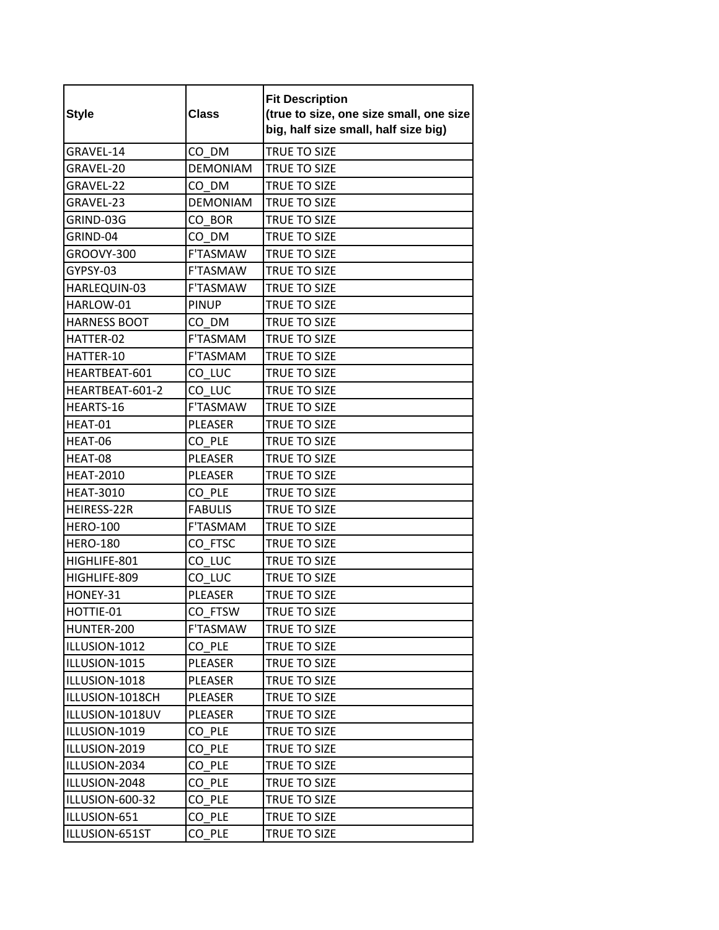| <b>Style</b>        | <b>Class</b>    | <b>Fit Description</b><br>(true to size, one size small, one size<br>big, half size small, half size big) |
|---------------------|-----------------|-----------------------------------------------------------------------------------------------------------|
| GRAVEL-14           | CO DM           | TRUE TO SIZE                                                                                              |
| GRAVEL-20           | <b>DEMONIAM</b> | TRUE TO SIZE                                                                                              |
| GRAVEL-22           | CO DM           | TRUE TO SIZE                                                                                              |
| GRAVEL-23           | <b>DEMONIAM</b> | <b>TRUE TO SIZE</b>                                                                                       |
| GRIND-03G           | CO BOR          | <b>TRUE TO SIZE</b>                                                                                       |
| GRIND-04            | CO DM           | TRUE TO SIZE                                                                                              |
| GROOVY-300          | <b>F'TASMAW</b> | TRUE TO SIZE                                                                                              |
| GYPSY-03            | <b>F'TASMAW</b> | TRUE TO SIZE                                                                                              |
| HARLEQUIN-03        | <b>F'TASMAW</b> | <b>TRUE TO SIZE</b>                                                                                       |
| HARLOW-01           | <b>PINUP</b>    | TRUE TO SIZE                                                                                              |
| <b>HARNESS BOOT</b> | CO DM           | TRUE TO SIZE                                                                                              |
| HATTER-02           | F'TASMAM        | TRUE TO SIZE                                                                                              |
| HATTER-10           | F'TASMAM        | <b>TRUE TO SIZE</b>                                                                                       |
| HEARTBEAT-601       | CO LUC          | TRUE TO SIZE                                                                                              |
| HEARTBEAT-601-2     | CO LUC          | TRUE TO SIZE                                                                                              |
| HEARTS-16           | <b>F'TASMAW</b> | <b>TRUE TO SIZE</b>                                                                                       |
| HEAT-01             | <b>PLEASER</b>  | TRUE TO SIZE                                                                                              |
| HEAT-06             | CO PLE          | TRUE TO SIZE                                                                                              |
| HEAT-08             | <b>PLEASER</b>  | TRUE TO SIZE                                                                                              |
| <b>HEAT-2010</b>    | <b>PLEASER</b>  | TRUE TO SIZE                                                                                              |
| <b>HEAT-3010</b>    | CO PLE          | TRUE TO SIZE                                                                                              |
| HEIRESS-22R         | <b>FABULIS</b>  | TRUE TO SIZE                                                                                              |
| <b>HERO-100</b>     | F'TASMAM        | <b>TRUE TO SIZE</b>                                                                                       |
| <b>HERO-180</b>     | CO FTSC         | TRUE TO SIZE                                                                                              |
| HIGHLIFE-801        | CO LUC          | TRUE TO SIZE                                                                                              |
| HIGHLIFE-809        | CO LUC          | TRUE TO SIZE                                                                                              |
| HONEY-31            | PLEASER         | TRUE TO SIZE                                                                                              |
| HOTTIE-01           | CO_FTSW         | TRUE TO SIZE                                                                                              |
| HUNTER-200          | <b>F'TASMAW</b> | TRUE TO SIZE                                                                                              |
| ILLUSION-1012       | CO PLE          | TRUE TO SIZE                                                                                              |
| ILLUSION-1015       | PLEASER         | TRUE TO SIZE                                                                                              |
| ILLUSION-1018       | PLEASER         | TRUE TO SIZE                                                                                              |
| ILLUSION-1018CH     | PLEASER         | TRUE TO SIZE                                                                                              |
| ILLUSION-1018UV     | PLEASER         | TRUE TO SIZE                                                                                              |
| ILLUSION-1019       | CO PLE          | TRUE TO SIZE                                                                                              |
| ILLUSION-2019       | CO PLE          | <b>TRUE TO SIZE</b>                                                                                       |
| ILLUSION-2034       | CO PLE          | TRUE TO SIZE                                                                                              |
| ILLUSION-2048       | CO PLE          | TRUE TO SIZE                                                                                              |
| ILLUSION-600-32     | CO PLE          | TRUE TO SIZE                                                                                              |
| ILLUSION-651        | CO PLE          | TRUE TO SIZE                                                                                              |
| ILLUSION-651ST      | CO_PLE          | TRUE TO SIZE                                                                                              |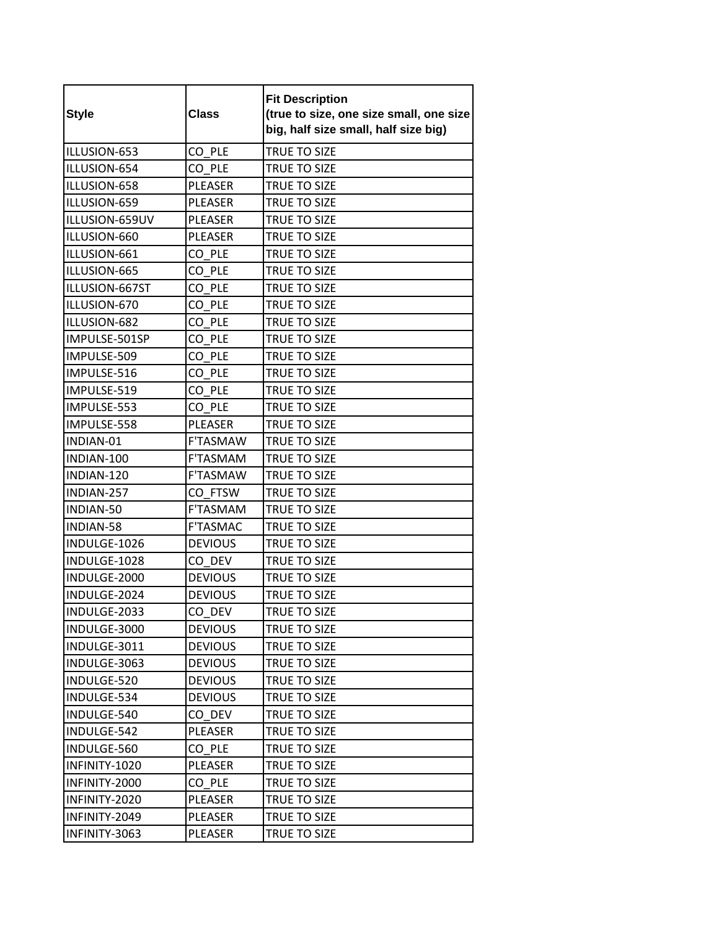| <b>Style</b>   | <b>Class</b>    | <b>Fit Description</b><br>(true to size, one size small, one size<br>big, half size small, half size big) |
|----------------|-----------------|-----------------------------------------------------------------------------------------------------------|
| ILLUSION-653   | CO PLE          | TRUE TO SIZE                                                                                              |
| ILLUSION-654   | CO PLE          | TRUE TO SIZE                                                                                              |
| ILLUSION-658   | <b>PLEASER</b>  | TRUE TO SIZE                                                                                              |
| ILLUSION-659   | PLEASER         | TRUE TO SIZE                                                                                              |
| ILLUSION-659UV | PLEASER         | TRUE TO SIZE                                                                                              |
| ILLUSION-660   | PLEASER         | TRUE TO SIZE                                                                                              |
| ILLUSION-661   | CO_PLE          | TRUE TO SIZE                                                                                              |
| ILLUSION-665   | CO PLE          | TRUE TO SIZE                                                                                              |
| ILLUSION-667ST | CO PLE          | TRUE TO SIZE                                                                                              |
| ILLUSION-670   | CO PLE          | TRUE TO SIZE                                                                                              |
| ILLUSION-682   | CO PLE          | TRUE TO SIZE                                                                                              |
| IMPULSE-501SP  | CO PLE          | TRUE TO SIZE                                                                                              |
| IMPULSE-509    | CO PLE          | TRUE TO SIZE                                                                                              |
| IMPULSE-516    | CO_PLE          | TRUE TO SIZE                                                                                              |
| IMPULSE-519    | CO PLE          | TRUE TO SIZE                                                                                              |
| IMPULSE-553    | CO PLE          | <b>TRUE TO SIZE</b>                                                                                       |
| IMPULSE-558    | PLEASER         | TRUE TO SIZE                                                                                              |
| INDIAN-01      | <b>F'TASMAW</b> | <b>TRUE TO SIZE</b>                                                                                       |
| INDIAN-100     | F'TASMAM        | TRUE TO SIZE                                                                                              |
| INDIAN-120     | F'TASMAW        | <b>TRUE TO SIZE</b>                                                                                       |
| INDIAN-257     | CO FTSW         | TRUE TO SIZE                                                                                              |
| INDIAN-50      | F'TASMAM        | TRUE TO SIZE                                                                                              |
| INDIAN-58      | <b>F'TASMAC</b> | TRUE TO SIZE                                                                                              |
| INDULGE-1026   | <b>DEVIOUS</b>  | TRUE TO SIZE                                                                                              |
| INDULGE-1028   | CO DEV          | TRUE TO SIZE                                                                                              |
| INDULGE-2000   | <b>DEVIOUS</b>  | TRUE TO SIZE                                                                                              |
| INDULGE-2024   | <b>DEVIOUS</b>  | TRUE TO SIZE                                                                                              |
| INDULGE-2033   | CO_DEV          | TRUE TO SIZE                                                                                              |
| INDULGE-3000   | <b>DEVIOUS</b>  | TRUE TO SIZE                                                                                              |
| INDULGE-3011   | <b>DEVIOUS</b>  | TRUE TO SIZE                                                                                              |
| INDULGE-3063   | <b>DEVIOUS</b>  | TRUE TO SIZE                                                                                              |
| INDULGE-520    | <b>DEVIOUS</b>  | TRUE TO SIZE                                                                                              |
| INDULGE-534    | <b>DEVIOUS</b>  | TRUE TO SIZE                                                                                              |
| INDULGE-540    | CO DEV          | TRUE TO SIZE                                                                                              |
| INDULGE-542    | PLEASER         | TRUE TO SIZE                                                                                              |
| INDULGE-560    | CO PLE          | TRUE TO SIZE                                                                                              |
| INFINITY-1020  | PLEASER         | TRUE TO SIZE                                                                                              |
| INFINITY-2000  | CO PLE          | TRUE TO SIZE                                                                                              |
| INFINITY-2020  | PLEASER         | TRUE TO SIZE                                                                                              |
| INFINITY-2049  | PLEASER         | TRUE TO SIZE                                                                                              |
| INFINITY-3063  | PLEASER         | TRUE TO SIZE                                                                                              |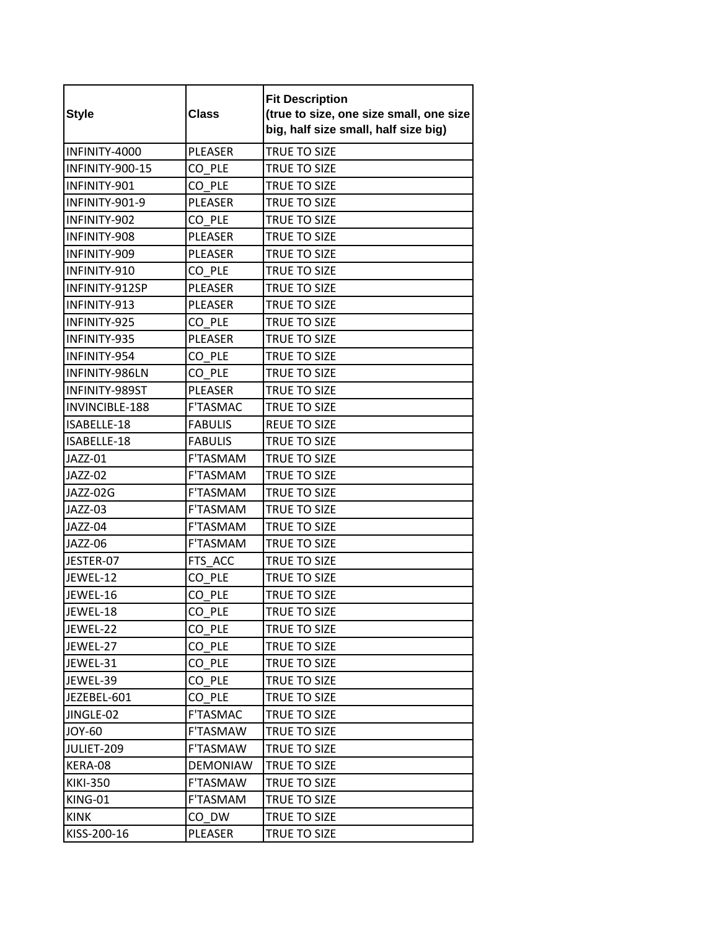| <b>Style</b>    | <b>Class</b>    | <b>Fit Description</b><br>(true to size, one size small, one size<br>big, half size small, half size big) |
|-----------------|-----------------|-----------------------------------------------------------------------------------------------------------|
| INFINITY-4000   | <b>PLEASER</b>  | TRUE TO SIZE                                                                                              |
| INFINITY-900-15 | CO PLE          | TRUE TO SIZE                                                                                              |
| INFINITY-901    | CO PLE          | TRUE TO SIZE                                                                                              |
| INFINITY-901-9  | <b>PLEASER</b>  | TRUE TO SIZE                                                                                              |
| INFINITY-902    | CO PLE          | TRUE TO SIZE                                                                                              |
| INFINITY-908    | PLEASER         | TRUE TO SIZE                                                                                              |
| INFINITY-909    | PLEASER         | TRUE TO SIZE                                                                                              |
| INFINITY-910    | CO PLE          | TRUE TO SIZE                                                                                              |
| INFINITY-912SP  | <b>PLEASER</b>  | TRUE TO SIZE                                                                                              |
| INFINITY-913    | <b>PLEASER</b>  | TRUE TO SIZE                                                                                              |
| INFINITY-925    | CO PLE          | TRUE TO SIZE                                                                                              |
| INFINITY-935    | <b>PLEASER</b>  | TRUE TO SIZE                                                                                              |
| INFINITY-954    | CO PLE          | TRUE TO SIZE                                                                                              |
| INFINITY-986LN  | CO PLE          | TRUE TO SIZE                                                                                              |
| INFINITY-989ST  | <b>PLEASER</b>  | <b>TRUE TO SIZE</b>                                                                                       |
| INVINCIBLE-188  | F'TASMAC        | TRUE TO SIZE                                                                                              |
| ISABELLE-18     | <b>FABULIS</b>  | <b>REUE TO SIZE</b>                                                                                       |
| ISABELLE-18     | <b>FABULIS</b>  | TRUE TO SIZE                                                                                              |
| JAZZ-01         | <b>F'TASMAM</b> | TRUE TO SIZE                                                                                              |
| JAZZ-02         | F'TASMAM        | TRUE TO SIZE                                                                                              |
| JAZZ-02G        | F'TASMAM        | TRUE TO SIZE                                                                                              |
| JAZZ-03         | F'TASMAM        | TRUE TO SIZE                                                                                              |
| JAZZ-04         | F'TASMAM        | TRUE TO SIZE                                                                                              |
| JAZZ-06         | <b>F'TASMAM</b> | TRUE TO SIZE                                                                                              |
| JESTER-07       | FTS ACC         | TRUE TO SIZE                                                                                              |
| JEWEL-12        | CO PLE          | TRUE TO SIZE                                                                                              |
| JEWEL-16        | CO PLE          | TRUE TO SIZE                                                                                              |
| JEWEL-18        | CO_PLE          | TRUE TO SIZE                                                                                              |
| JEWEL-22        | CO PLE          | TRUE TO SIZE                                                                                              |
| JEWEL-27        | CO PLE          | TRUE TO SIZE                                                                                              |
| JEWEL-31        | CO PLE          | TRUE TO SIZE                                                                                              |
| JEWEL-39        | CO PLE          | <b>TRUE TO SIZE</b>                                                                                       |
| JEZEBEL-601     | CO PLE          | TRUE TO SIZE                                                                                              |
| JINGLE-02       | <b>F'TASMAC</b> | <b>TRUE TO SIZE</b>                                                                                       |
| <b>JOY-60</b>   | F'TASMAW        | TRUE TO SIZE                                                                                              |
| JULIET-209      | F'TASMAW        | TRUE TO SIZE                                                                                              |
| KERA-08         | DEMONIAW        | TRUE TO SIZE                                                                                              |
| <b>KIKI-350</b> | F'TASMAW        | TRUE TO SIZE                                                                                              |
| KING-01         | F'TASMAM        | TRUE TO SIZE                                                                                              |
| <b>KINK</b>     | CO DW           | TRUE TO SIZE                                                                                              |
| KISS-200-16     | PLEASER         | TRUE TO SIZE                                                                                              |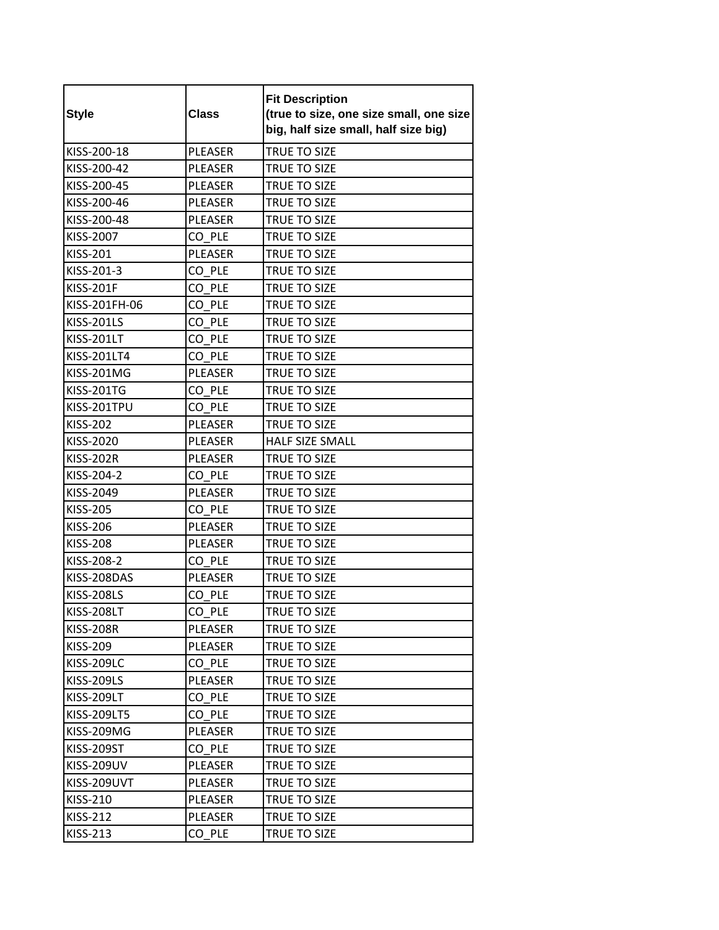| <b>Style</b>      | <b>Class</b>   | <b>Fit Description</b><br>(true to size, one size small, one size<br>big, half size small, half size big) |
|-------------------|----------------|-----------------------------------------------------------------------------------------------------------|
| KISS-200-18       | <b>PLEASER</b> | TRUE TO SIZE                                                                                              |
| KISS-200-42       | <b>PLEASER</b> | TRUE TO SIZE                                                                                              |
| KISS-200-45       | <b>PLEASER</b> | TRUE TO SIZE                                                                                              |
| KISS-200-46       | PLEASER        | <b>TRUE TO SIZE</b>                                                                                       |
| KISS-200-48       | <b>PLEASER</b> | TRUE TO SIZE                                                                                              |
| KISS-2007         | CO PLE         | TRUE TO SIZE                                                                                              |
| KISS-201          | PLEASER        | TRUE TO SIZE                                                                                              |
| KISS-201-3        | CO PLE         | TRUE TO SIZE                                                                                              |
| <b>KISS-201F</b>  | CO PLE         | <b>TRUE TO SIZE</b>                                                                                       |
| KISS-201FH-06     | CO PLE         | TRUE TO SIZE                                                                                              |
| <b>KISS-201LS</b> | CO PLE         | <b>TRUE TO SIZE</b>                                                                                       |
| <b>KISS-201LT</b> | CO PLE         | <b>TRUE TO SIZE</b>                                                                                       |
| KISS-201LT4       | CO PLE         | TRUE TO SIZE                                                                                              |
| <b>KISS-201MG</b> | <b>PLEASER</b> | TRUE TO SIZE                                                                                              |
| <b>KISS-201TG</b> | CO PLE         | TRUE TO SIZE                                                                                              |
| KISS-201TPU       | CO PLE         | <b>TRUE TO SIZE</b>                                                                                       |
| <b>KISS-202</b>   | <b>PLEASER</b> | TRUE TO SIZE                                                                                              |
| KISS-2020         | PLEASER        | HALF SIZE SMALL                                                                                           |
| <b>KISS-202R</b>  | <b>PLEASER</b> | TRUE TO SIZE                                                                                              |
| KISS-204-2        | CO PLE         | TRUE TO SIZE                                                                                              |
| KISS-2049         | PLEASER        | TRUE TO SIZE                                                                                              |
| <b>KISS-205</b>   | CO PLE         | TRUE TO SIZE                                                                                              |
| <b>KISS-206</b>   | PLEASER        | TRUE TO SIZE                                                                                              |
| <b>KISS-208</b>   | <b>PLEASER</b> | TRUE TO SIZE                                                                                              |
| KISS-208-2        | CO PLE         | TRUE TO SIZE                                                                                              |
| KISS-208DAS       | PLEASER        | TRUE TO SIZE                                                                                              |
| <b>KISS-208LS</b> | CO PLE         | TRUE TO SIZE                                                                                              |
| <b>KISS-208LT</b> | CO_PLE         | TRUE TO SIZE                                                                                              |
| <b>KISS-208R</b>  | PLEASER        | TRUE TO SIZE                                                                                              |
| KISS-209          | PLEASER        | TRUE TO SIZE                                                                                              |
| <b>KISS-209LC</b> | CO PLE         | TRUE TO SIZE                                                                                              |
| <b>KISS-209LS</b> | PLEASER        | TRUE TO SIZE                                                                                              |
| <b>KISS-209LT</b> | CO PLE         | TRUE TO SIZE                                                                                              |
| KISS-209LT5       | CO PLE         | TRUE TO SIZE                                                                                              |
| KISS-209MG        | PLEASER        | TRUE TO SIZE                                                                                              |
| <b>KISS-209ST</b> | CO PLE         | TRUE TO SIZE                                                                                              |
| <b>KISS-209UV</b> | PLEASER        | TRUE TO SIZE                                                                                              |
| KISS-209UVT       | PLEASER        | TRUE TO SIZE                                                                                              |
| KISS-210          | PLEASER        | TRUE TO SIZE                                                                                              |
| KISS-212          | PLEASER        | TRUE TO SIZE                                                                                              |
| KISS-213          | CO PLE         | TRUE TO SIZE                                                                                              |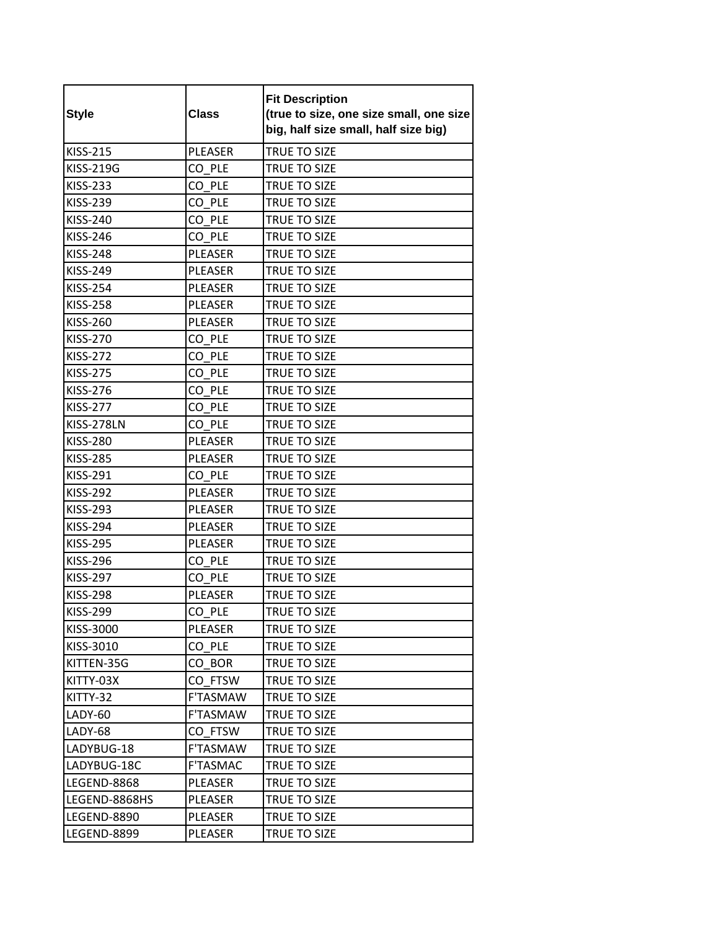| <b>Style</b>       | <b>Class</b>    | <b>Fit Description</b><br>(true to size, one size small, one size<br>big, half size small, half size big) |
|--------------------|-----------------|-----------------------------------------------------------------------------------------------------------|
| <b>KISS-215</b>    | <b>PLEASER</b>  | <b>TRUE TO SIZE</b>                                                                                       |
| <b>KISS-219G</b>   | CO PLE          | TRUE TO SIZE                                                                                              |
| <b>KISS-233</b>    | CO PLE          | TRUE TO SIZE                                                                                              |
| <b>KISS-239</b>    | CO PLE          | TRUE TO SIZE                                                                                              |
| <b>KISS-240</b>    | CO PLE          | TRUE TO SIZE                                                                                              |
| <b>KISS-246</b>    | CO PLE          | TRUE TO SIZE                                                                                              |
| <b>KISS-248</b>    | PLEASER         | TRUE TO SIZE                                                                                              |
| <b>KISS-249</b>    | <b>PLEASER</b>  | TRUE TO SIZE                                                                                              |
| <b>KISS-254</b>    | <b>PLEASER</b>  | <b>TRUE TO SIZE</b>                                                                                       |
| <b>KISS-258</b>    | <b>PLEASER</b>  | TRUE TO SIZE                                                                                              |
| <b>KISS-260</b>    | PLEASER         | TRUE TO SIZE                                                                                              |
| <b>KISS-270</b>    | CO PLE          | <b>TRUE TO SIZE</b>                                                                                       |
| <b>KISS-272</b>    | CO PLE          | TRUE TO SIZE                                                                                              |
| <b>KISS-275</b>    | CO PLE          | TRUE TO SIZE                                                                                              |
| <b>KISS-276</b>    | CO PLE          | TRUE TO SIZE                                                                                              |
| <b>KISS-277</b>    | CO PLE          | TRUE TO SIZE                                                                                              |
| KISS-278LN         | CO PLE          | <b>TRUE TO SIZE</b>                                                                                       |
| <b>KISS-280</b>    | <b>PLEASER</b>  | TRUE TO SIZE                                                                                              |
| <b>KISS-285</b>    | <b>PLEASER</b>  | TRUE TO SIZE                                                                                              |
| KISS-291           | CO PLE          | TRUE TO SIZE                                                                                              |
| KISS-292           | PLEASER         | TRUE TO SIZE                                                                                              |
| KISS-293           | <b>PLEASER</b>  | TRUE TO SIZE                                                                                              |
| <b>KISS-294</b>    | PLEASER         | TRUE TO SIZE                                                                                              |
| <b>KISS-295</b>    | <b>PLEASER</b>  | TRUE TO SIZE                                                                                              |
| <b>KISS-296</b>    | CO PLE          | TRUE TO SIZE                                                                                              |
| <b>KISS-297</b>    | CO PLE          | <b>TRUE TO SIZE</b>                                                                                       |
| <b>KISS-298</b>    | PLEASER         | TRUE TO SIZE                                                                                              |
| KISS-299           | CO_PLE          | TRUE TO SIZE                                                                                              |
| KISS-3000          | <b>PLEASER</b>  | TRUE TO SIZE                                                                                              |
| KISS-3010          | CO PLE          | TRUE TO SIZE                                                                                              |
| KITTEN-35G         | CO BOR          | TRUE TO SIZE                                                                                              |
| KITTY-03X          | CO FTSW         | TRUE TO SIZE                                                                                              |
| KITTY-32           | F'TASMAW        | TRUE TO SIZE                                                                                              |
| LADY-60            | F'TASMAW        | TRUE TO SIZE                                                                                              |
| LADY-68            | CO FTSW         | TRUE TO SIZE                                                                                              |
| LADYBUG-18         | F'TASMAW        | <b>TRUE TO SIZE</b>                                                                                       |
| LADYBUG-18C        | <b>F'TASMAC</b> | TRUE TO SIZE                                                                                              |
| LEGEND-8868        | PLEASER         | TRUE TO SIZE                                                                                              |
| LEGEND-8868HS      | PLEASER         | TRUE TO SIZE                                                                                              |
| LEGEND-8890        | PLEASER         | TRUE TO SIZE                                                                                              |
| <b>LEGEND-8899</b> | PLEASER         | TRUE TO SIZE                                                                                              |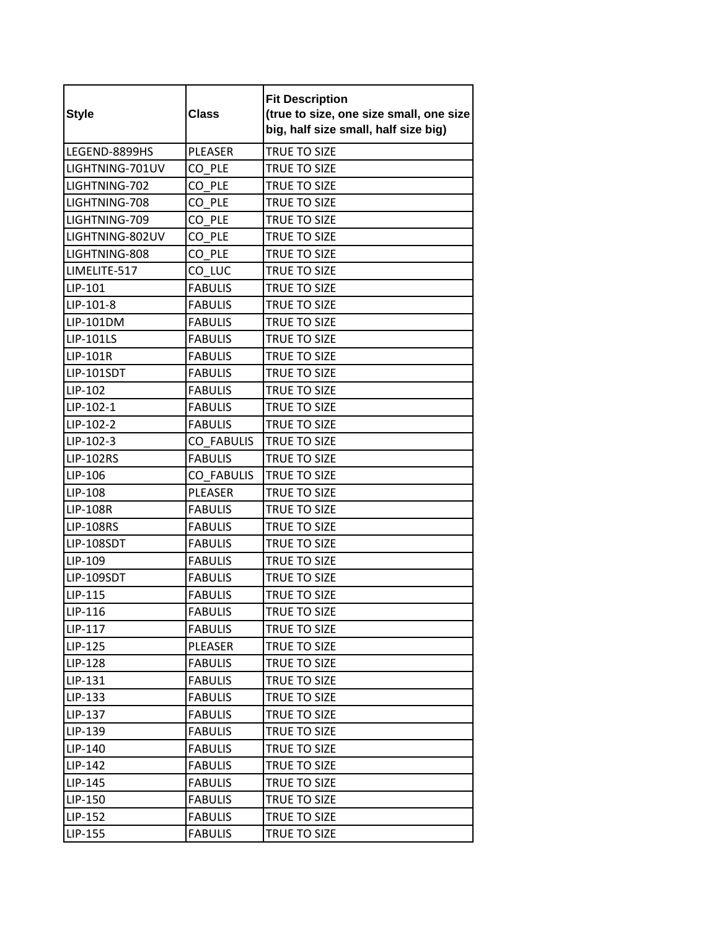| <b>Style</b>     | <b>Class</b>      | <b>Fit Description</b><br>(true to size, one size small, one size<br>big, half size small, half size big) |
|------------------|-------------------|-----------------------------------------------------------------------------------------------------------|
| LEGEND-8899HS    | <b>PLEASER</b>    | TRUE TO SIZE                                                                                              |
| LIGHTNING-701UV  | CO PLE            | TRUE TO SIZE                                                                                              |
| LIGHTNING-702    | CO PLE            | TRUE TO SIZE                                                                                              |
| LIGHTNING-708    | CO PLE            | TRUE TO SIZE                                                                                              |
| LIGHTNING-709    | CO PLE            | <b>TRUE TO SIZE</b>                                                                                       |
| LIGHTNING-802UV  | CO PLE            | TRUE TO SIZE                                                                                              |
| LIGHTNING-808    | CO PLE            | TRUE TO SIZE                                                                                              |
| LIMELITE-517     | CO LUC            | TRUE TO SIZE                                                                                              |
| LIP-101          | <b>FABULIS</b>    | TRUE TO SIZE                                                                                              |
| LIP-101-8        | <b>FABULIS</b>    | TRUE TO SIZE                                                                                              |
| LIP-101DM        | <b>FABULIS</b>    | <b>TRUE TO SIZE</b>                                                                                       |
| <b>LIP-101LS</b> | <b>FABULIS</b>    | <b>TRUE TO SIZE</b>                                                                                       |
| LIP-101R         | <b>FABULIS</b>    | TRUE TO SIZE                                                                                              |
| LIP-101SDT       | <b>FABULIS</b>    | TRUE TO SIZE                                                                                              |
| LIP-102          | <b>FABULIS</b>    | TRUE TO SIZE                                                                                              |
| LIP-102-1        | <b>FABULIS</b>    | <b>TRUE TO SIZE</b>                                                                                       |
| LIP-102-2        | <b>FABULIS</b>    | TRUE TO SIZE                                                                                              |
| LIP-102-3        | <b>CO FABULIS</b> | TRUE TO SIZE                                                                                              |
| <b>LIP-102RS</b> | <b>FABULIS</b>    | TRUE TO SIZE                                                                                              |
| LIP-106          | <b>CO FABULIS</b> | TRUE TO SIZE                                                                                              |
| LIP-108          | <b>PLEASER</b>    | <b>TRUE TO SIZE</b>                                                                                       |
| <b>LIP-108R</b>  | <b>FABULIS</b>    | TRUE TO SIZE                                                                                              |
| <b>LIP-108RS</b> | <b>FABULIS</b>    | <b>TRUE TO SIZE</b>                                                                                       |
| LIP-108SDT       | <b>FABULIS</b>    | <b>TRUE TO SIZE</b>                                                                                       |
| LIP-109          | <b>FABULIS</b>    | TRUE TO SIZE                                                                                              |
| LIP-109SDT       | <b>FABULIS</b>    | TRUE TO SIZE                                                                                              |
| LIP-115          | <b>FABULIS</b>    | TRUE TO SIZE                                                                                              |
| LIP-116          | <b>FABULIS</b>    | TRUE TO SIZE                                                                                              |
| LIP-117          | <b>FABULIS</b>    | TRUE TO SIZE                                                                                              |
| LIP-125          | PLEASER           | TRUE TO SIZE                                                                                              |
| LIP-128          | <b>FABULIS</b>    | TRUE TO SIZE                                                                                              |
| LIP-131          | <b>FABULIS</b>    | TRUE TO SIZE                                                                                              |
| LIP-133          | <b>FABULIS</b>    | TRUE TO SIZE                                                                                              |
| LIP-137          | <b>FABULIS</b>    | TRUE TO SIZE                                                                                              |
| LIP-139          | <b>FABULIS</b>    | TRUE TO SIZE                                                                                              |
| LIP-140          | <b>FABULIS</b>    | <b>TRUE TO SIZE</b>                                                                                       |
| LIP-142          | <b>FABULIS</b>    | TRUE TO SIZE                                                                                              |
| LIP-145          | <b>FABULIS</b>    | TRUE TO SIZE                                                                                              |
| LIP-150          | <b>FABULIS</b>    | TRUE TO SIZE                                                                                              |
| LIP-152          | <b>FABULIS</b>    | TRUE TO SIZE                                                                                              |
| LIP-155          | <b>FABULIS</b>    | TRUE TO SIZE                                                                                              |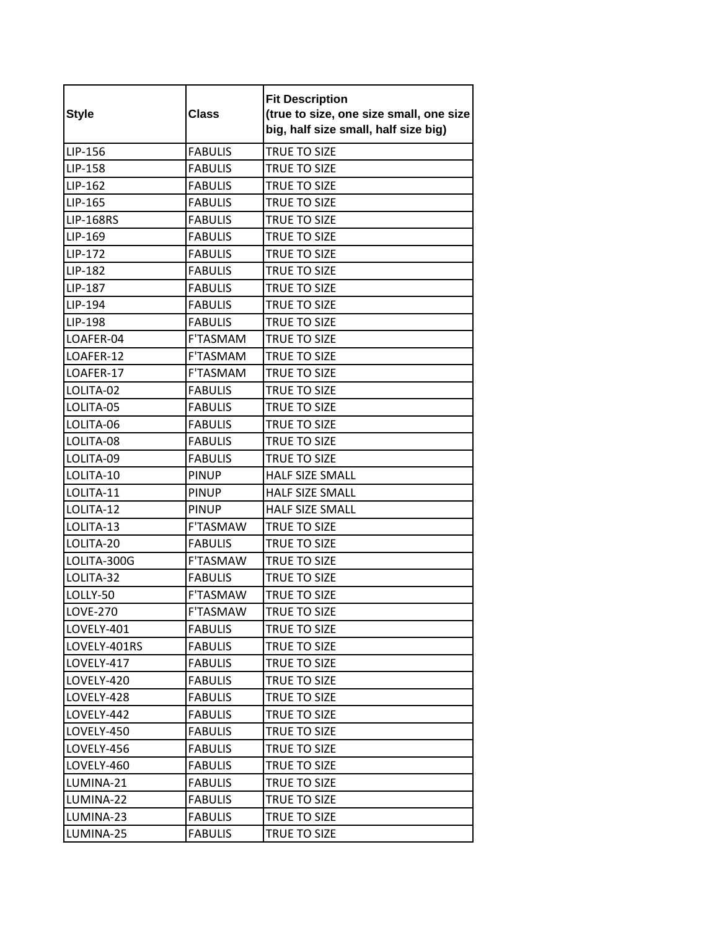| <b>Style</b>     | <b>Class</b>    | <b>Fit Description</b><br>(true to size, one size small, one size<br>big, half size small, half size big) |
|------------------|-----------------|-----------------------------------------------------------------------------------------------------------|
| LIP-156          | <b>FABULIS</b>  | TRUE TO SIZE                                                                                              |
| LIP-158          | <b>FABULIS</b>  | TRUE TO SIZE                                                                                              |
| LIP-162          | <b>FABULIS</b>  | TRUE TO SIZE                                                                                              |
| LIP-165          | <b>FABULIS</b>  | TRUE TO SIZE                                                                                              |
| <b>LIP-168RS</b> | <b>FABULIS</b>  | TRUE TO SIZE                                                                                              |
| LIP-169          | <b>FABULIS</b>  | TRUE TO SIZE                                                                                              |
| LIP-172          | <b>FABULIS</b>  | TRUE TO SIZE                                                                                              |
| LIP-182          | <b>FABULIS</b>  | TRUE TO SIZE                                                                                              |
| LIP-187          | <b>FABULIS</b>  | TRUE TO SIZE                                                                                              |
| LIP-194          | <b>FABULIS</b>  | TRUE TO SIZE                                                                                              |
| LIP-198          | <b>FABULIS</b>  | TRUE TO SIZE                                                                                              |
| LOAFER-04        | F'TASMAM        | <b>TRUE TO SIZE</b>                                                                                       |
| LOAFER-12        | F'TASMAM        | TRUE TO SIZE                                                                                              |
| LOAFER-17        | <b>F'TASMAM</b> | TRUE TO SIZE                                                                                              |
| LOLITA-02        | <b>FABULIS</b>  | TRUE TO SIZE                                                                                              |
| LOLITA-05        | <b>FABULIS</b>  | TRUE TO SIZE                                                                                              |
| LOLITA-06        | <b>FABULIS</b>  | <b>TRUE TO SIZE</b>                                                                                       |
| LOLITA-08        | <b>FABULIS</b>  | TRUE TO SIZE                                                                                              |
| LOLITA-09        | <b>FABULIS</b>  | TRUE TO SIZE                                                                                              |
| LOLITA-10        | <b>PINUP</b>    | <b>HALF SIZE SMALL</b>                                                                                    |
| LOLITA-11        | <b>PINUP</b>    | HALF SIZE SMALL                                                                                           |
| LOLITA-12        | <b>PINUP</b>    | <b>HALF SIZE SMALL</b>                                                                                    |
| LOLITA-13        | <b>F'TASMAW</b> | TRUE TO SIZE                                                                                              |
| LOLITA-20        | <b>FABULIS</b>  | <b>TRUE TO SIZE</b>                                                                                       |
| LOLITA-300G      | <b>F'TASMAW</b> | TRUE TO SIZE                                                                                              |
| LOLITA-32        | <b>FABULIS</b>  | TRUE TO SIZE                                                                                              |
| LOLLY-50         | F'TASMAW        | TRUE TO SIZE                                                                                              |
| <b>LOVE-270</b>  | F'TASMAW        | TRUE TO SIZE                                                                                              |
| LOVELY-401       | <b>FABULIS</b>  | TRUE TO SIZE                                                                                              |
| LOVELY-401RS     | <b>FABULIS</b>  | TRUE TO SIZE                                                                                              |
| LOVELY-417       | <b>FABULIS</b>  | TRUE TO SIZE                                                                                              |
| LOVELY-420       | <b>FABULIS</b>  | TRUE TO SIZE                                                                                              |
| LOVELY-428       | <b>FABULIS</b>  | TRUE TO SIZE                                                                                              |
| LOVELY-442       | <b>FABULIS</b>  | TRUE TO SIZE                                                                                              |
| LOVELY-450       | <b>FABULIS</b>  | <b>TRUE TO SIZE</b>                                                                                       |
| LOVELY-456       | <b>FABULIS</b>  | TRUE TO SIZE                                                                                              |
| LOVELY-460       | <b>FABULIS</b>  | TRUE TO SIZE                                                                                              |
| LUMINA-21        | <b>FABULIS</b>  | TRUE TO SIZE                                                                                              |
| LUMINA-22        | <b>FABULIS</b>  | TRUE TO SIZE                                                                                              |
| LUMINA-23        | <b>FABULIS</b>  | TRUE TO SIZE                                                                                              |
| LUMINA-25        | <b>FABULIS</b>  | TRUE TO SIZE                                                                                              |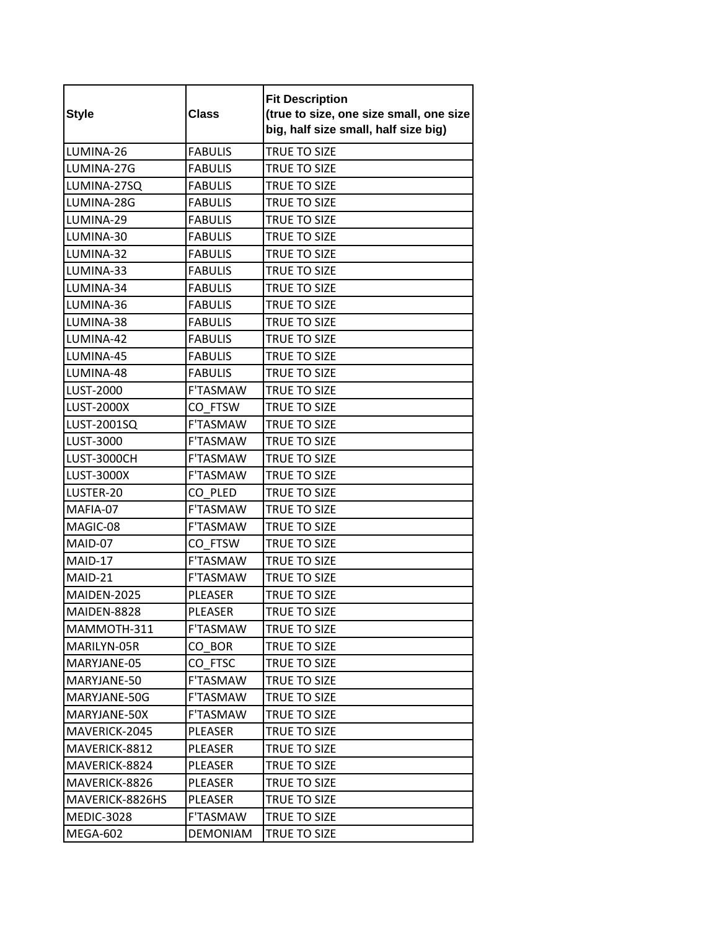| <b>Style</b>      | <b>Class</b>    | <b>Fit Description</b><br>(true to size, one size small, one size<br>big, half size small, half size big) |
|-------------------|-----------------|-----------------------------------------------------------------------------------------------------------|
| LUMINA-26         | <b>FABULIS</b>  | TRUE TO SIZE                                                                                              |
| LUMINA-27G        | <b>FABULIS</b>  | <b>TRUE TO SIZE</b>                                                                                       |
| LUMINA-27SQ       | <b>FABULIS</b>  | TRUE TO SIZE                                                                                              |
| LUMINA-28G        | <b>FABULIS</b>  | TRUE TO SIZE                                                                                              |
| LUMINA-29         | <b>FABULIS</b>  | TRUE TO SIZE                                                                                              |
| LUMINA-30         | <b>FABULIS</b>  | TRUE TO SIZE                                                                                              |
| LUMINA-32         | <b>FABULIS</b>  | TRUE TO SIZE                                                                                              |
| LUMINA-33         | <b>FABULIS</b>  | TRUE TO SIZE                                                                                              |
| LUMINA-34         | <b>FABULIS</b>  | TRUE TO SIZE                                                                                              |
| LUMINA-36         | <b>FABULIS</b>  | TRUE TO SIZE                                                                                              |
| LUMINA-38         | <b>FABULIS</b>  | TRUE TO SIZE                                                                                              |
| LUMINA-42         | <b>FABULIS</b>  | <b>TRUE TO SIZE</b>                                                                                       |
| LUMINA-45         | <b>FABULIS</b>  | TRUE TO SIZE                                                                                              |
| LUMINA-48         | <b>FABULIS</b>  | TRUE TO SIZE                                                                                              |
| <b>LUST-2000</b>  | F'TASMAW        | TRUE TO SIZE                                                                                              |
| <b>LUST-2000X</b> | CO_FTSW         | TRUE TO SIZE                                                                                              |
| LUST-2001SQ       | F'TASMAW        | <b>TRUE TO SIZE</b>                                                                                       |
| LUST-3000         | F'TASMAW        | TRUE TO SIZE                                                                                              |
| LUST-3000CH       | <b>F'TASMAW</b> | TRUE TO SIZE                                                                                              |
| <b>LUST-3000X</b> | F'TASMAW        | TRUE TO SIZE                                                                                              |
| LUSTER-20         | CO PLED         | TRUE TO SIZE                                                                                              |
| MAFIA-07          | F'TASMAW        | TRUE TO SIZE                                                                                              |
| MAGIC-08          | <b>F'TASMAW</b> | TRUE TO SIZE                                                                                              |
| MAID-07           | CO FTSW         | TRUE TO SIZE                                                                                              |
| MAID-17           | F'TASMAW        | TRUE TO SIZE                                                                                              |
| MAID-21           | <b>F'TASMAW</b> | TRUE TO SIZE                                                                                              |
| MAIDEN-2025       | PLEASER         | TRUE TO SIZE                                                                                              |
| MAIDEN-8828       | PLEASER         | TRUE TO SIZE                                                                                              |
| MAMMOTH-311       | <b>F'TASMAW</b> | TRUE TO SIZE                                                                                              |
| MARILYN-05R       | CO BOR          | TRUE TO SIZE                                                                                              |
| MARYJANE-05       | CO FTSC         | <b>TRUE TO SIZE</b>                                                                                       |
| MARYJANE-50       | F'TASMAW        | TRUE TO SIZE                                                                                              |
| MARYJANE-50G      | F'TASMAW        | TRUE TO SIZE                                                                                              |
| MARYJANE-50X      | F'TASMAW        | TRUE TO SIZE                                                                                              |
| MAVERICK-2045     | PLEASER         | <b>TRUE TO SIZE</b>                                                                                       |
| MAVERICK-8812     | PLEASER         | <b>TRUE TO SIZE</b>                                                                                       |
| MAVERICK-8824     | PLEASER         | TRUE TO SIZE                                                                                              |
| MAVERICK-8826     | PLEASER         | TRUE TO SIZE                                                                                              |
| MAVERICK-8826HS   | PLEASER         | TRUE TO SIZE                                                                                              |
| <b>MEDIC-3028</b> | F'TASMAW        | TRUE TO SIZE                                                                                              |
| MEGA-602          | <b>DEMONIAM</b> | TRUE TO SIZE                                                                                              |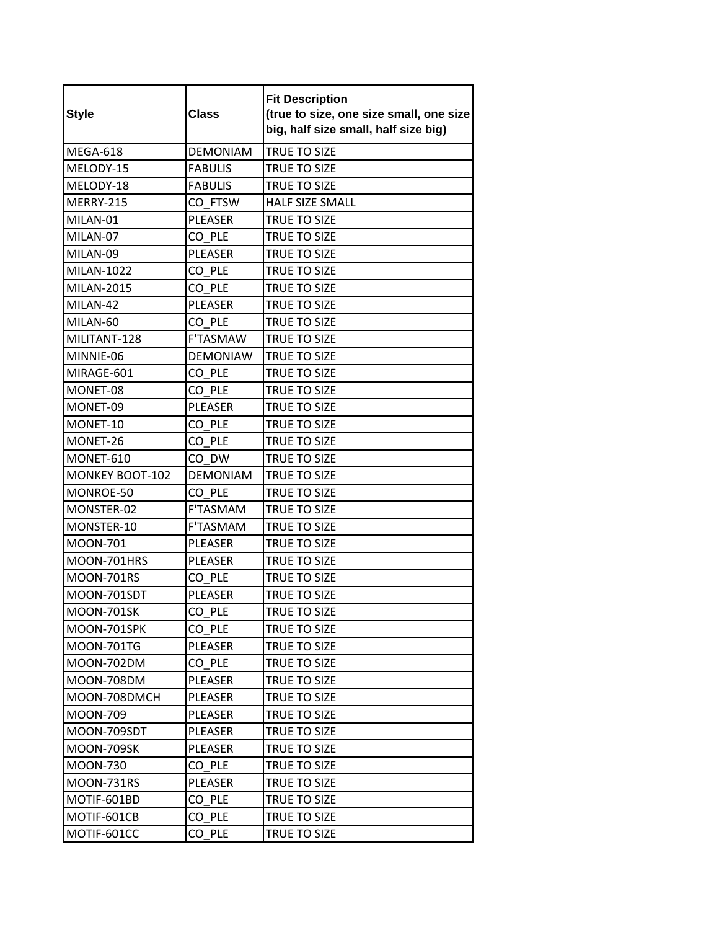| <b>Style</b>      | <b>Class</b>    | <b>Fit Description</b><br>(true to size, one size small, one size<br>big, half size small, half size big) |
|-------------------|-----------------|-----------------------------------------------------------------------------------------------------------|
| MEGA-618          | <b>DEMONIAM</b> | <b>TRUE TO SIZE</b>                                                                                       |
| MELODY-15         | <b>FABULIS</b>  | TRUE TO SIZE                                                                                              |
| MELODY-18         | <b>FABULIS</b>  | <b>TRUE TO SIZE</b>                                                                                       |
| <b>MERRY-215</b>  | CO FTSW         | <b>HALF SIZE SMALL</b>                                                                                    |
| MILAN-01          | <b>PLEASER</b>  | TRUE TO SIZE                                                                                              |
| MILAN-07          | CO PLE          | TRUE TO SIZE                                                                                              |
| MILAN-09          | PLEASER         | TRUE TO SIZE                                                                                              |
| MILAN-1022        | CO PLE          | <b>TRUE TO SIZE</b>                                                                                       |
| <b>MILAN-2015</b> | CO PLE          | TRUE TO SIZE                                                                                              |
| MILAN-42          | <b>PLEASER</b>  | TRUE TO SIZE                                                                                              |
| MILAN-60          | CO PLE          | <b>TRUE TO SIZE</b>                                                                                       |
| MILITANT-128      | <b>F'TASMAW</b> | <b>TRUE TO SIZE</b>                                                                                       |
| MINNIE-06         | <b>DEMONIAW</b> | <b>TRUE TO SIZE</b>                                                                                       |
| MIRAGE-601        | CO PLE          | TRUE TO SIZE                                                                                              |
| MONET-08          | CO PLE          | <b>TRUE TO SIZE</b>                                                                                       |
| MONET-09          | PLEASER         | <b>TRUE TO SIZE</b>                                                                                       |
| MONET-10          | CO PLE          | <b>TRUE TO SIZE</b>                                                                                       |
| MONET-26          | CO PLE          | TRUE TO SIZE                                                                                              |
| MONET-610         | CO DW           | TRUE TO SIZE                                                                                              |
| MONKEY BOOT-102   | <b>DEMONIAM</b> | <b>TRUE TO SIZE</b>                                                                                       |
| MONROE-50         | CO PLE          | TRUE TO SIZE                                                                                              |
| MONSTER-02        | F'TASMAM        | <b>TRUE TO SIZE</b>                                                                                       |
| MONSTER-10        | <b>F'TASMAM</b> | TRUE TO SIZE                                                                                              |
| <b>MOON-701</b>   | <b>PLEASER</b>  | TRUE TO SIZE                                                                                              |
| MOON-701HRS       | PLEASER         | TRUE TO SIZE                                                                                              |
| <b>MOON-701RS</b> | CO PLE          | TRUE TO SIZE                                                                                              |
| MOON-701SDT       | PLEASER         | <b>TRUE TO SIZE</b>                                                                                       |
| MOON-701SK        | $CO$ $PLE$      | TRUE TO SIZE                                                                                              |
| MOON-701SPK       | CO PLE          | TRUE TO SIZE                                                                                              |
| <b>MOON-701TG</b> | PLEASER         | TRUE TO SIZE                                                                                              |
| MOON-702DM        | CO PLE          | <b>TRUE TO SIZE</b>                                                                                       |
| MOON-708DM        | PLEASER         | TRUE TO SIZE                                                                                              |
| MOON-708DMCH      | PLEASER         | TRUE TO SIZE                                                                                              |
| MOON-709          | PLEASER         | TRUE TO SIZE                                                                                              |
| MOON-709SDT       | PLEASER         | TRUE TO SIZE                                                                                              |
| MOON-709SK        | <b>PLEASER</b>  | TRUE TO SIZE                                                                                              |
| <b>MOON-730</b>   | CO PLE          | TRUE TO SIZE                                                                                              |
| MOON-731RS        | PLEASER         | TRUE TO SIZE                                                                                              |
| MOTIF-601BD       | CO PLE          | TRUE TO SIZE                                                                                              |
| MOTIF-601CB       | CO PLE          | TRUE TO SIZE                                                                                              |
| MOTIF-601CC       | CO PLE          | TRUE TO SIZE                                                                                              |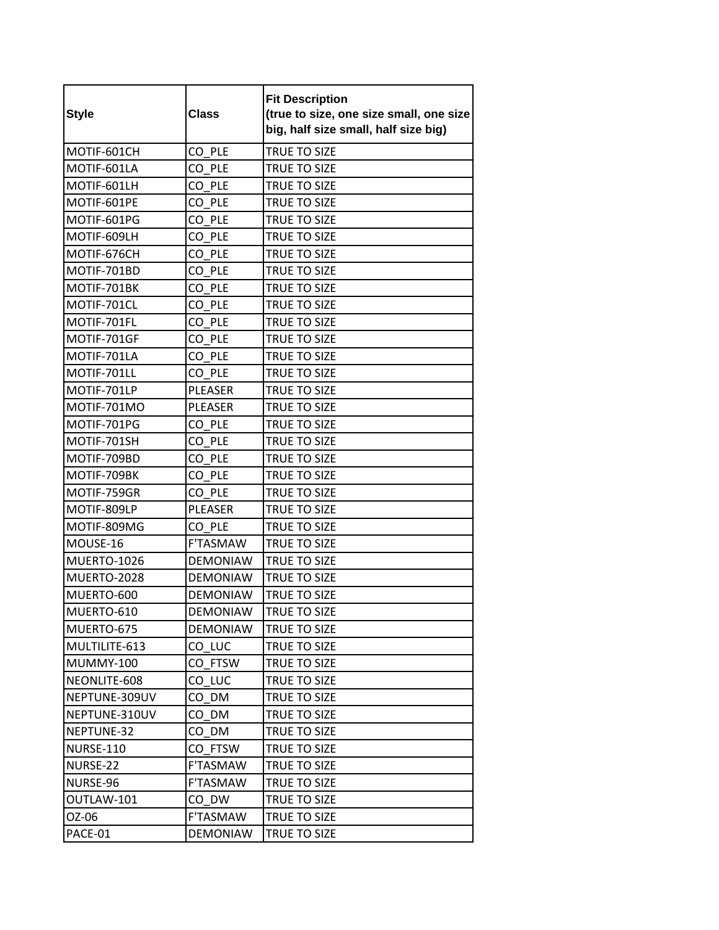| <b>Style</b>       | <b>Class</b>    | <b>Fit Description</b><br>(true to size, one size small, one size<br>big, half size small, half size big) |
|--------------------|-----------------|-----------------------------------------------------------------------------------------------------------|
| MOTIF-601CH        | CO PLE          | TRUE TO SIZE                                                                                              |
| MOTIF-601LA        | CO PLE          | TRUE TO SIZE                                                                                              |
| MOTIF-601LH        | CO PLE          | TRUE TO SIZE                                                                                              |
| MOTIF-601PE        | CO PLE          | <b>TRUE TO SIZE</b>                                                                                       |
| MOTIF-601PG        | CO PLE          | TRUE TO SIZE                                                                                              |
| MOTIF-609LH        | CO PLE          | TRUE TO SIZE                                                                                              |
| MOTIF-676CH        | CO PLE          | TRUE TO SIZE                                                                                              |
| MOTIF-701BD        | CO PLE          | TRUE TO SIZE                                                                                              |
| MOTIF-701BK        | CO PLE          | TRUE TO SIZE                                                                                              |
| MOTIF-701CL        | CO PLE          | TRUE TO SIZE                                                                                              |
| MOTIF-701FL        | CO PLE          | TRUE TO SIZE                                                                                              |
| MOTIF-701GF        | CO PLE          | <b>TRUE TO SIZE</b>                                                                                       |
| MOTIF-701LA        | CO PLE          | TRUE TO SIZE                                                                                              |
| MOTIF-701LL        | CO PLE          | TRUE TO SIZE                                                                                              |
| MOTIF-701LP        | <b>PLEASER</b>  | TRUE TO SIZE                                                                                              |
| MOTIF-701MO        | <b>PLEASER</b>  | TRUE TO SIZE                                                                                              |
| MOTIF-701PG        | CO PLE          | <b>TRUE TO SIZE</b>                                                                                       |
| MOTIF-701SH        | CO PLE          | TRUE TO SIZE                                                                                              |
| MOTIF-709BD        | CO PLE          | TRUE TO SIZE                                                                                              |
| MOTIF-709BK        | CO PLE          | TRUE TO SIZE                                                                                              |
| MOTIF-759GR        | CO PLE          | TRUE TO SIZE                                                                                              |
| MOTIF-809LP        | <b>PLEASER</b>  | <b>TRUE TO SIZE</b>                                                                                       |
| MOTIF-809MG        | CO PLE          | TRUE TO SIZE                                                                                              |
| MOUSE-16           | F'TASMAW        | TRUE TO SIZE                                                                                              |
| <b>MUERTO-1026</b> | <b>DEMONIAW</b> | <b>TRUE TO SIZE</b>                                                                                       |
| MUERTO-2028        | <b>DEMONIAW</b> | TRUE TO SIZE                                                                                              |
| MUERTO-600         | <b>DEMONIAW</b> | TRUE TO SIZE                                                                                              |
| MUERTO-610         | DEMONIAW        | TRUE TO SIZE                                                                                              |
| MUERTO-675         | <b>DEMONIAW</b> | TRUE TO SIZE                                                                                              |
| MULTILITE-613      | CO LUC          | TRUE TO SIZE                                                                                              |
| <b>MUMMY-100</b>   | CO FTSW         | TRUE TO SIZE                                                                                              |
| NEONLITE-608       | CO LUC          | TRUE TO SIZE                                                                                              |
| NEPTUNE-309UV      | CO DM           | TRUE TO SIZE                                                                                              |
| NEPTUNE-310UV      | CO DM           | TRUE TO SIZE                                                                                              |
| NEPTUNE-32         | CO DM           | TRUE TO SIZE                                                                                              |
| NURSE-110          | CO FTSW         | <b>TRUE TO SIZE</b>                                                                                       |
| NURSE-22           | F'TASMAW        | TRUE TO SIZE                                                                                              |
| NURSE-96           | F'TASMAW        | TRUE TO SIZE                                                                                              |
| OUTLAW-101         | CO DW           | TRUE TO SIZE                                                                                              |
| OZ-06              | F'TASMAW        | TRUE TO SIZE                                                                                              |
| PACE-01            | <b>DEMONIAW</b> | TRUE TO SIZE                                                                                              |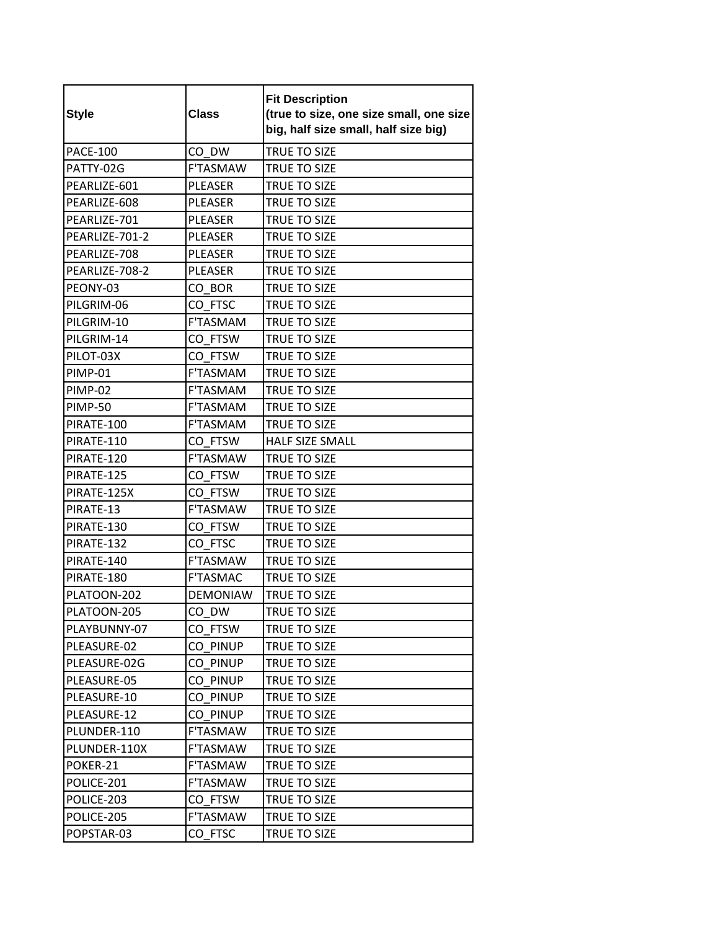| <b>Style</b>    | <b>Class</b>    | <b>Fit Description</b><br>(true to size, one size small, one size<br>big, half size small, half size big) |
|-----------------|-----------------|-----------------------------------------------------------------------------------------------------------|
| <b>PACE-100</b> | CO DW           | TRUE TO SIZE                                                                                              |
| PATTY-02G       | <b>F'TASMAW</b> | TRUE TO SIZE                                                                                              |
| PEARLIZE-601    | <b>PLEASER</b>  | <b>TRUE TO SIZE</b>                                                                                       |
| PEARLIZE-608    | <b>PLEASER</b>  | TRUE TO SIZE                                                                                              |
| PEARLIZE-701    | <b>PLEASER</b>  | TRUE TO SIZE                                                                                              |
| PEARLIZE-701-2  | PLEASER         | TRUE TO SIZE                                                                                              |
| PEARLIZE-708    | PLEASER         | TRUE TO SIZE                                                                                              |
| PEARLIZE-708-2  | <b>PLEASER</b>  | TRUE TO SIZE                                                                                              |
| PEONY-03        | CO BOR          | <b>TRUE TO SIZE</b>                                                                                       |
| PILGRIM-06      | CO FTSC         | TRUE TO SIZE                                                                                              |
| PILGRIM-10      | F'TASMAM        | TRUE TO SIZE                                                                                              |
| PILGRIM-14      | CO FTSW         | TRUE TO SIZE                                                                                              |
| PILOT-03X       | CO FTSW         | TRUE TO SIZE                                                                                              |
| <b>PIMP-01</b>  | <b>F'TASMAM</b> | <b>TRUE TO SIZE</b>                                                                                       |
| <b>PIMP-02</b>  | F'TASMAM        | TRUE TO SIZE                                                                                              |
| <b>PIMP-50</b>  | <b>F'TASMAM</b> | TRUE TO SIZE                                                                                              |
| PIRATE-100      | <b>F'TASMAM</b> | <b>TRUE TO SIZE</b>                                                                                       |
| PIRATE-110      | CO FTSW         | <b>HALF SIZE SMALL</b>                                                                                    |
| PIRATE-120      | <b>F'TASMAW</b> | TRUE TO SIZE                                                                                              |
| PIRATE-125      | CO FTSW         | TRUE TO SIZE                                                                                              |
| PIRATE-125X     | CO FTSW         | <b>TRUE TO SIZE</b>                                                                                       |
| PIRATE-13       | <b>F'TASMAW</b> | TRUE TO SIZE                                                                                              |
| PIRATE-130      | CO FTSW         | TRUE TO SIZE                                                                                              |
| PIRATE-132      | CO FTSC         | TRUE TO SIZE                                                                                              |
| PIRATE-140      | F'TASMAW        | TRUE TO SIZE                                                                                              |
| PIRATE-180      | <b>F'TASMAC</b> | TRUE TO SIZE                                                                                              |
| PLATOON-202     | <b>DEMONIAW</b> | TRUE TO SIZE                                                                                              |
| PLATOON-205     | CO_DW           | TRUE TO SIZE                                                                                              |
| PLAYBUNNY-07    | CO FTSW         | TRUE TO SIZE                                                                                              |
| PLEASURE-02     | CO PINUP        | TRUE TO SIZE                                                                                              |
| PLEASURE-02G    | CO PINUP        | TRUE TO SIZE                                                                                              |
| PLEASURE-05     | CO PINUP        | TRUE TO SIZE                                                                                              |
| PLEASURE-10     | CO PINUP        | TRUE TO SIZE                                                                                              |
| PLEASURE-12     | CO PINUP        | TRUE TO SIZE                                                                                              |
| PLUNDER-110     | F'TASMAW        | TRUE TO SIZE                                                                                              |
| PLUNDER-110X    | F'TASMAW        | TRUE TO SIZE                                                                                              |
| POKER-21        | F'TASMAW        | TRUE TO SIZE                                                                                              |
| POLICE-201      | <b>F'TASMAW</b> | TRUE TO SIZE                                                                                              |
| POLICE-203      | CO FTSW         | TRUE TO SIZE                                                                                              |
| POLICE-205      | F'TASMAW        | TRUE TO SIZE                                                                                              |
| POPSTAR-03      | CO FTSC         | TRUE TO SIZE                                                                                              |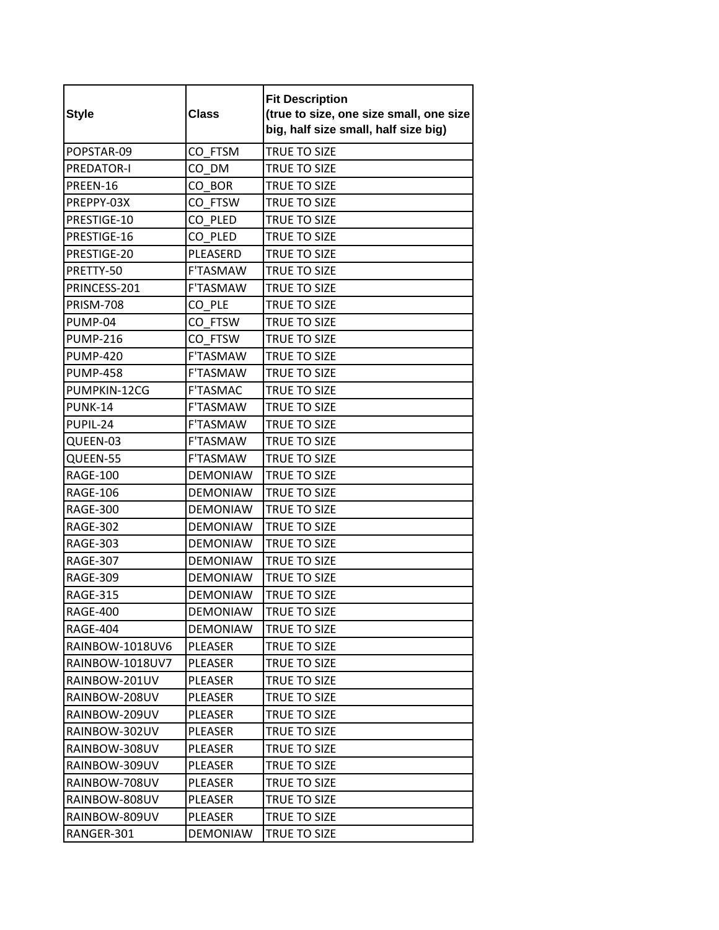| <b>Style</b>      | <b>Class</b>    | <b>Fit Description</b><br>(true to size, one size small, one size<br>big, half size small, half size big) |
|-------------------|-----------------|-----------------------------------------------------------------------------------------------------------|
| POPSTAR-09        | CO FTSM         | TRUE TO SIZE                                                                                              |
| <b>PREDATOR-I</b> | CO DM           | TRUE TO SIZE                                                                                              |
| PREEN-16          | CO BOR          | TRUE TO SIZE                                                                                              |
| PREPPY-03X        | CO FTSW         | TRUE TO SIZE                                                                                              |
| PRESTIGE-10       | CO PLED         | TRUE TO SIZE                                                                                              |
| PRESTIGE-16       | CO PLED         | <b>TRUE TO SIZE</b>                                                                                       |
| PRESTIGE-20       | PLEASERD        | TRUE TO SIZE                                                                                              |
| PRETTY-50         | F'TASMAW        | <b>TRUE TO SIZE</b>                                                                                       |
| PRINCESS-201      | F'TASMAW        | TRUE TO SIZE                                                                                              |
| <b>PRISM-708</b>  | CO PLE          | TRUE TO SIZE                                                                                              |
| PUMP-04           | CO FTSW         | TRUE TO SIZE                                                                                              |
| <b>PUMP-216</b>   | CO FTSW         | TRUE TO SIZE                                                                                              |
| <b>PUMP-420</b>   | F'TASMAW        | <b>TRUE TO SIZE</b>                                                                                       |
| <b>PUMP-458</b>   | <b>F'TASMAW</b> | TRUE TO SIZE                                                                                              |
| PUMPKIN-12CG      | F'TASMAC        | <b>TRUE TO SIZE</b>                                                                                       |
| <b>PUNK-14</b>    | <b>F'TASMAW</b> | <b>TRUE TO SIZE</b>                                                                                       |
| PUPIL-24          | <b>F'TASMAW</b> | TRUE TO SIZE                                                                                              |
| QUEEN-03          | F'TASMAW        | TRUE TO SIZE                                                                                              |
| QUEEN-55          | <b>F'TASMAW</b> | TRUE TO SIZE                                                                                              |
| <b>RAGE-100</b>   | <b>DEMONIAW</b> | <b>TRUE TO SIZE</b>                                                                                       |
| <b>RAGE-106</b>   | <b>DEMONIAW</b> | TRUE TO SIZE                                                                                              |
| <b>RAGE-300</b>   | <b>DEMONIAW</b> | TRUE TO SIZE                                                                                              |
| <b>RAGE-302</b>   | <b>DEMONIAW</b> | <b>TRUE TO SIZE</b>                                                                                       |
| <b>RAGE-303</b>   | <b>DEMONIAW</b> | TRUE TO SIZE                                                                                              |
| <b>RAGE-307</b>   | <b>DEMONIAW</b> | <b>TRUE TO SIZE</b>                                                                                       |
| <b>RAGE-309</b>   | <b>DEMONIAW</b> | TRUE TO SIZE                                                                                              |
| <b>RAGE-315</b>   | <b>DEMONIAW</b> | TRUE TO SIZE                                                                                              |
| <b>RAGE-400</b>   | <b>DEMONIAW</b> | TRUE TO SIZE                                                                                              |
| RAGE-404          | DEMONIAW        | TRUE TO SIZE                                                                                              |
| RAINBOW-1018UV6   | PLEASER         | TRUE TO SIZE                                                                                              |
| RAINBOW-1018UV7   | PLEASER         | TRUE TO SIZE                                                                                              |
| RAINBOW-201UV     | PLEASER         | TRUE TO SIZE                                                                                              |
| RAINBOW-208UV     | PLEASER         | TRUE TO SIZE                                                                                              |
| RAINBOW-209UV     | PLEASER         | TRUE TO SIZE                                                                                              |
| RAINBOW-302UV     | PLEASER         | TRUE TO SIZE                                                                                              |
| RAINBOW-308UV     | PLEASER         | <b>TRUE TO SIZE</b>                                                                                       |
| RAINBOW-309UV     | PLEASER         | TRUE TO SIZE                                                                                              |
| RAINBOW-708UV     | PLEASER         | TRUE TO SIZE                                                                                              |
| RAINBOW-808UV     | PLEASER         | TRUE TO SIZE                                                                                              |
| RAINBOW-809UV     | PLEASER         | TRUE TO SIZE                                                                                              |
| RANGER-301        | <b>DEMONIAW</b> | TRUE TO SIZE                                                                                              |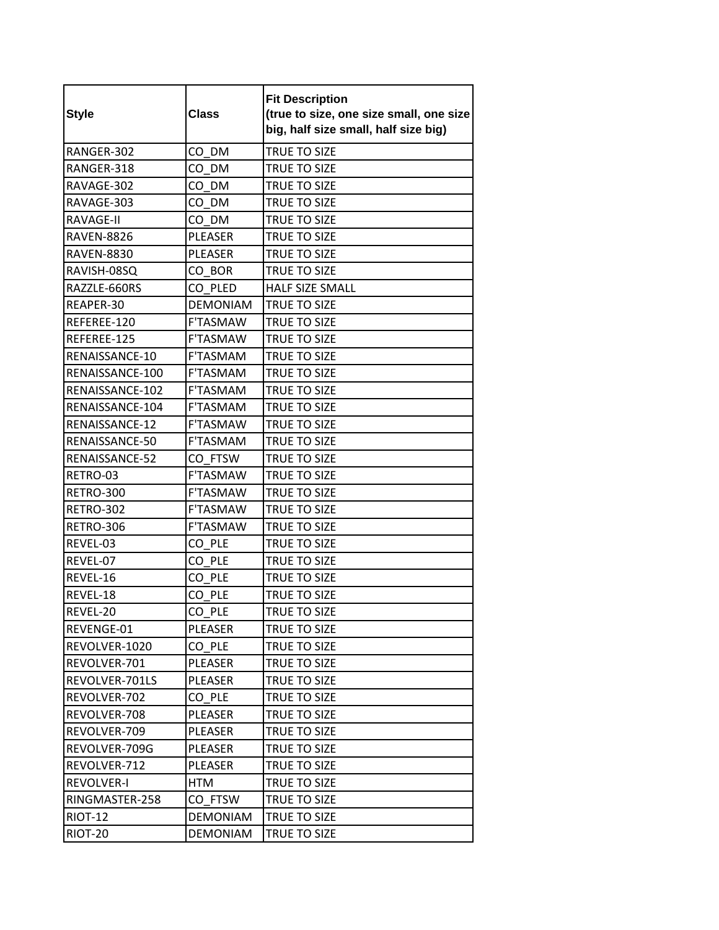| <b>Style</b>      | <b>Class</b>    | <b>Fit Description</b><br>(true to size, one size small, one size<br>big, half size small, half size big) |
|-------------------|-----------------|-----------------------------------------------------------------------------------------------------------|
| RANGER-302        | CO DM           | <b>TRUE TO SIZE</b>                                                                                       |
| RANGER-318        | CO DM           | TRUE TO SIZE                                                                                              |
| RAVAGE-302        | CO DM           | <b>TRUE TO SIZE</b>                                                                                       |
| RAVAGE-303        | CO DM           | TRUE TO SIZE                                                                                              |
| RAVAGE-II         | CO DM           | TRUE TO SIZE                                                                                              |
| <b>RAVEN-8826</b> | <b>PLEASER</b>  | TRUE TO SIZE                                                                                              |
| <b>RAVEN-8830</b> | <b>PLEASER</b>  | TRUE TO SIZE                                                                                              |
| RAVISH-08SQ       | CO BOR          | TRUE TO SIZE                                                                                              |
| RAZZLE-660RS      | CO PLED         | <b>HALF SIZE SMALL</b>                                                                                    |
| REAPER-30         | <b>DEMONIAM</b> | <b>TRUE TO SIZE</b>                                                                                       |
| REFEREE-120       | <b>F'TASMAW</b> | <b>TRUE TO SIZE</b>                                                                                       |
| REFEREE-125       | <b>F'TASMAW</b> | <b>TRUE TO SIZE</b>                                                                                       |
| RENAISSANCE-10    | F'TASMAM        | TRUE TO SIZE                                                                                              |
| RENAISSANCE-100   | <b>F'TASMAM</b> | TRUE TO SIZE                                                                                              |
| RENAISSANCE-102   | <b>F'TASMAM</b> | TRUE TO SIZE                                                                                              |
| RENAISSANCE-104   | <b>F'TASMAM</b> | TRUE TO SIZE                                                                                              |
| RENAISSANCE-12    | <b>F'TASMAW</b> | TRUE TO SIZE                                                                                              |
| RENAISSANCE-50    | F'TASMAM        | TRUE TO SIZE                                                                                              |
| RENAISSANCE-52    | CO FTSW         | TRUE TO SIZE                                                                                              |
| RETRO-03          | <b>F'TASMAW</b> | <b>TRUE TO SIZE</b>                                                                                       |
| RETRO-300         | <b>F'TASMAW</b> | TRUE TO SIZE                                                                                              |
| RETRO-302         | <b>F'TASMAW</b> | <b>TRUE TO SIZE</b>                                                                                       |
| RETRO-306         | <b>F'TASMAW</b> | TRUE TO SIZE                                                                                              |
| REVEL-03          | CO PLE          | TRUE TO SIZE                                                                                              |
| REVEL-07          | CO PLE          | TRUE TO SIZE                                                                                              |
| REVEL-16          | CO PLE          | TRUE TO SIZE                                                                                              |
| REVEL-18          | CO PLE          | TRUE TO SIZE                                                                                              |
| REVEL-20          | CO_PLE          | TRUE TO SIZE                                                                                              |
| REVENGE-01        | PLEASER         | TRUE TO SIZE                                                                                              |
| REVOLVER-1020     | CO PLE          | TRUE TO SIZE                                                                                              |
| REVOLVER-701      | PLEASER         | <b>TRUE TO SIZE</b>                                                                                       |
| REVOLVER-701LS    | PLEASER         | TRUE TO SIZE                                                                                              |
| REVOLVER-702      | CO PLE          | TRUE TO SIZE                                                                                              |
| REVOLVER-708      | PLEASER         | TRUE TO SIZE                                                                                              |
| REVOLVER-709      | PLEASER         | TRUE TO SIZE                                                                                              |
| REVOLVER-709G     | PLEASER         | TRUE TO SIZE                                                                                              |
| REVOLVER-712      | PLEASER         | TRUE TO SIZE                                                                                              |
| <b>REVOLVER-I</b> | HTM             | TRUE TO SIZE                                                                                              |
| RINGMASTER-258    | CO FTSW         | TRUE TO SIZE                                                                                              |
| <b>RIOT-12</b>    | <b>DEMONIAM</b> | TRUE TO SIZE                                                                                              |
| RIOT-20           | <b>DEMONIAM</b> | TRUE TO SIZE                                                                                              |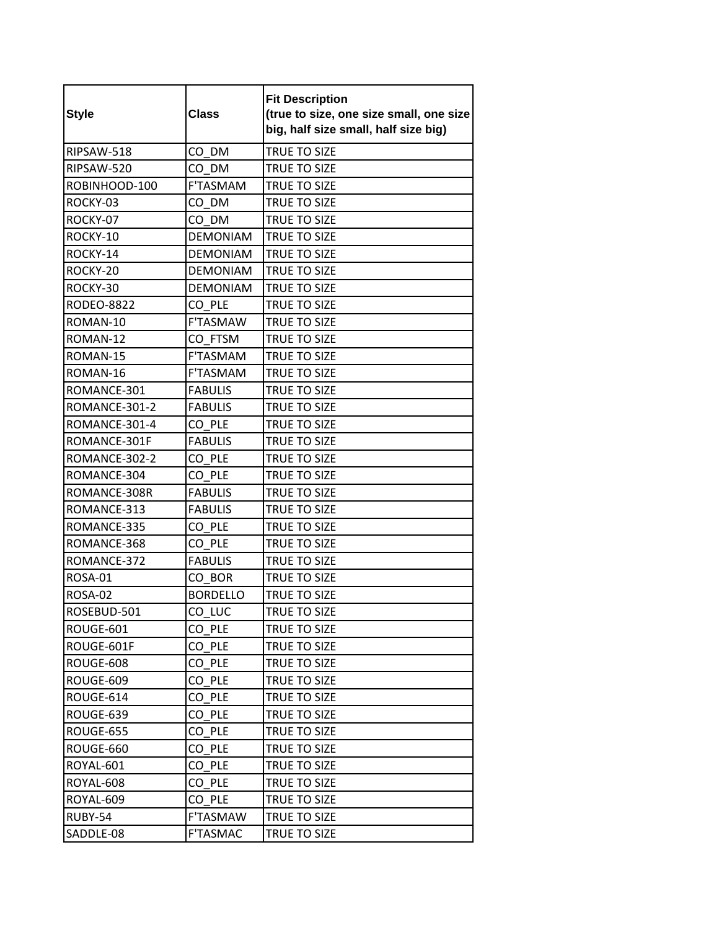| <b>Style</b>      | <b>Class</b>    | <b>Fit Description</b><br>(true to size, one size small, one size<br>big, half size small, half size big) |
|-------------------|-----------------|-----------------------------------------------------------------------------------------------------------|
| RIPSAW-518        | CO DM           | <b>TRUE TO SIZE</b>                                                                                       |
| RIPSAW-520        | CO DM           | TRUE TO SIZE                                                                                              |
| ROBINHOOD-100     | F'TASMAM        | <b>TRUE TO SIZE</b>                                                                                       |
| ROCKY-03          | CO DM           | TRUE TO SIZE                                                                                              |
| ROCKY-07          | CO DM           | <b>TRUE TO SIZE</b>                                                                                       |
| ROCKY-10          | <b>DEMONIAM</b> | <b>TRUE TO SIZE</b>                                                                                       |
| ROCKY-14          | <b>DEMONIAM</b> | TRUE TO SIZE                                                                                              |
| ROCKY-20          | <b>DEMONIAM</b> | TRUE TO SIZE                                                                                              |
| ROCKY-30          | <b>DEMONIAM</b> | TRUE TO SIZE                                                                                              |
| <b>RODEO-8822</b> | CO PLE          | TRUE TO SIZE                                                                                              |
| ROMAN-10          | F'TASMAW        | TRUE TO SIZE                                                                                              |
| ROMAN-12          | CO FTSM         | TRUE TO SIZE                                                                                              |
| ROMAN-15          | F'TASMAM        | <b>TRUE TO SIZE</b>                                                                                       |
| ROMAN-16          | <b>F'TASMAM</b> | TRUE TO SIZE                                                                                              |
| ROMANCE-301       | <b>FABULIS</b>  | <b>TRUE TO SIZE</b>                                                                                       |
| ROMANCE-301-2     | <b>FABULIS</b>  | TRUE TO SIZE                                                                                              |
| ROMANCE-301-4     | CO PLE          | TRUE TO SIZE                                                                                              |
| ROMANCE-301F      | <b>FABULIS</b>  | TRUE TO SIZE                                                                                              |
| ROMANCE-302-2     | CO PLE          | TRUE TO SIZE                                                                                              |
| ROMANCE-304       | CO PLE          | TRUE TO SIZE                                                                                              |
| ROMANCE-308R      | <b>FABULIS</b>  | TRUE TO SIZE                                                                                              |
| ROMANCE-313       | <b>FABULIS</b>  | TRUE TO SIZE                                                                                              |
| ROMANCE-335       | CO PLE          | TRUE TO SIZE                                                                                              |
| ROMANCE-368       | CO PLE          | TRUE TO SIZE                                                                                              |
| ROMANCE-372       | <b>FABULIS</b>  | TRUE TO SIZE                                                                                              |
| ROSA-01           | CO BOR          | TRUE TO SIZE                                                                                              |
| ROSA-02           | <b>BORDELLO</b> | <b>TRUE TO SIZE</b>                                                                                       |
| ROSEBUD-501       | CO_LUC          | TRUE TO SIZE                                                                                              |
| ROUGE-601         | CO PLE          | TRUE TO SIZE                                                                                              |
| ROUGE-601F        | CO PLE          | TRUE TO SIZE                                                                                              |
| ROUGE-608         | CO PLE          | TRUE TO SIZE                                                                                              |
| ROUGE-609         | CO PLE          | TRUE TO SIZE                                                                                              |
| ROUGE-614         | CO PLE          | TRUE TO SIZE                                                                                              |
| ROUGE-639         | CO PLE          | TRUE TO SIZE                                                                                              |
| ROUGE-655         | CO PLE          | TRUE TO SIZE                                                                                              |
| ROUGE-660         | CO PLE          | TRUE TO SIZE                                                                                              |
| ROYAL-601         | CO PLE          | TRUE TO SIZE                                                                                              |
| ROYAL-608         | CO PLE          | TRUE TO SIZE                                                                                              |
| ROYAL-609         | CO PLE          | TRUE TO SIZE                                                                                              |
| RUBY-54           | F'TASMAW        | TRUE TO SIZE                                                                                              |
| SADDLE-08         | F'TASMAC        | TRUE TO SIZE                                                                                              |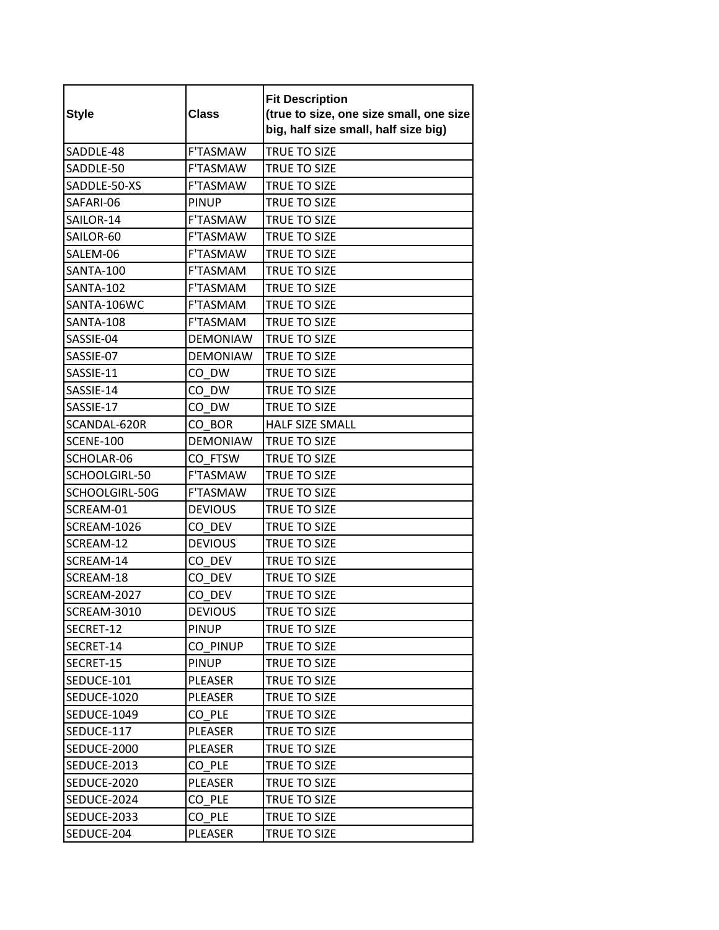| <b>Style</b>       | <b>Class</b>    | <b>Fit Description</b><br>(true to size, one size small, one size<br>big, half size small, half size big) |
|--------------------|-----------------|-----------------------------------------------------------------------------------------------------------|
| SADDLE-48          | <b>F'TASMAW</b> | <b>TRUE TO SIZE</b>                                                                                       |
| SADDLE-50          | F'TASMAW        | TRUE TO SIZE                                                                                              |
| SADDLE-50-XS       | <b>F'TASMAW</b> | TRUE TO SIZE                                                                                              |
| SAFARI-06          | <b>PINUP</b>    | TRUE TO SIZE                                                                                              |
| SAILOR-14          | <b>F'TASMAW</b> | <b>TRUE TO SIZE</b>                                                                                       |
| SAILOR-60          | F'TASMAW        | <b>TRUE TO SIZE</b>                                                                                       |
| SALEM-06           | <b>F'TASMAW</b> | <b>TRUE TO SIZE</b>                                                                                       |
| <b>SANTA-100</b>   | F'TASMAM        | <b>TRUE TO SIZE</b>                                                                                       |
| <b>SANTA-102</b>   | <b>F'TASMAM</b> | TRUE TO SIZE                                                                                              |
| SANTA-106WC        | F'TASMAM        | <b>TRUE TO SIZE</b>                                                                                       |
| <b>SANTA-108</b>   | <b>F'TASMAM</b> | <b>TRUE TO SIZE</b>                                                                                       |
| SASSIE-04          | <b>DEMONIAW</b> | <b>TRUE TO SIZE</b>                                                                                       |
| SASSIE-07          | <b>DEMONIAW</b> | <b>TRUE TO SIZE</b>                                                                                       |
| SASSIE-11          | CO DW           | <b>TRUE TO SIZE</b>                                                                                       |
| SASSIE-14          | CO DW           | TRUE TO SIZE                                                                                              |
| SASSIE-17          | CO DW           | <b>TRUE TO SIZE</b>                                                                                       |
| SCANDAL-620R       | CO BOR          | <b>HALF SIZE SMALL</b>                                                                                    |
| <b>SCENE-100</b>   | <b>DEMONIAW</b> | <b>TRUE TO SIZE</b>                                                                                       |
| SCHOLAR-06         | CO FTSW         | TRUE TO SIZE                                                                                              |
| SCHOOLGIRL-50      | <b>F'TASMAW</b> | TRUE TO SIZE                                                                                              |
| SCHOOLGIRL-50G     | <b>F'TASMAW</b> | TRUE TO SIZE                                                                                              |
| SCREAM-01          | <b>DEVIOUS</b>  | TRUE TO SIZE                                                                                              |
| SCREAM-1026        | CO DEV          | TRUE TO SIZE                                                                                              |
| SCREAM-12          | <b>DEVIOUS</b>  | TRUE TO SIZE                                                                                              |
| SCREAM-14          | CO DEV          | TRUE TO SIZE                                                                                              |
| SCREAM-18          | CO DEV          | TRUE TO SIZE                                                                                              |
| SCREAM-2027        | CO DEV          | TRUE TO SIZE                                                                                              |
| SCREAM-3010        | <b>DEVIOUS</b>  | TRUE TO SIZE                                                                                              |
| SECRET-12          | <b>PINUP</b>    | TRUE TO SIZE                                                                                              |
| SECRET-14          | CO PINUP        | TRUE TO SIZE                                                                                              |
| SECRET-15          | <b>PINUP</b>    | <b>TRUE TO SIZE</b>                                                                                       |
| SEDUCE-101         | PLEASER         | TRUE TO SIZE                                                                                              |
| SEDUCE-1020        | PLEASER         | TRUE TO SIZE                                                                                              |
| <b>SEDUCE-1049</b> | CO PLE          | TRUE TO SIZE                                                                                              |
| SEDUCE-117         | PLEASER         | TRUE TO SIZE                                                                                              |
| SEDUCE-2000        | PLEASER         | TRUE TO SIZE                                                                                              |
| SEDUCE-2013        | CO PLE          | TRUE TO SIZE                                                                                              |
| SEDUCE-2020        | PLEASER         | TRUE TO SIZE                                                                                              |
| SEDUCE-2024        | CO PLE          | TRUE TO SIZE                                                                                              |
| SEDUCE-2033        | CO PLE          | TRUE TO SIZE                                                                                              |
| SEDUCE-204         | PLEASER         | TRUE TO SIZE                                                                                              |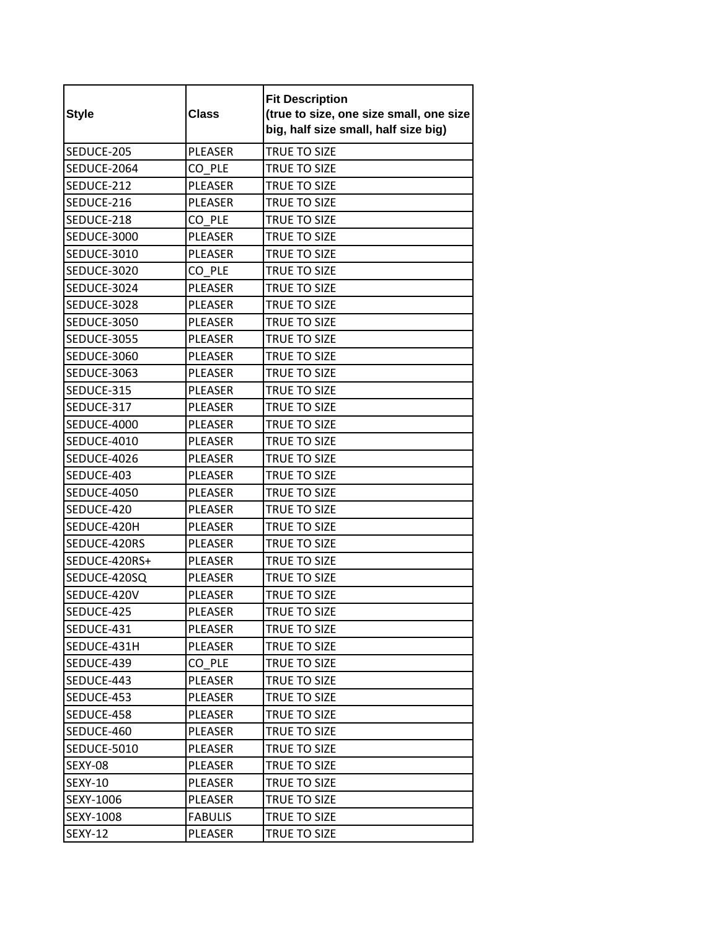| <b>Style</b>       | <b>Class</b>   | <b>Fit Description</b><br>(true to size, one size small, one size<br>big, half size small, half size big) |
|--------------------|----------------|-----------------------------------------------------------------------------------------------------------|
| SEDUCE-205         | <b>PLEASER</b> | TRUE TO SIZE                                                                                              |
| SEDUCE-2064        | CO PLE         | TRUE TO SIZE                                                                                              |
| SEDUCE-212         | <b>PLEASER</b> | TRUE TO SIZE                                                                                              |
| SEDUCE-216         | <b>PLEASER</b> | TRUE TO SIZE                                                                                              |
| SEDUCE-218         | CO PLE         | TRUE TO SIZE                                                                                              |
| <b>SEDUCE-3000</b> | PLEASER        | TRUE TO SIZE                                                                                              |
| SEDUCE-3010        | PLEASER        | TRUE TO SIZE                                                                                              |
| SEDUCE-3020        | CO PLE         | <b>TRUE TO SIZE</b>                                                                                       |
| SEDUCE-3024        | <b>PLEASER</b> | TRUE TO SIZE                                                                                              |
| SEDUCE-3028        | <b>PLEASER</b> | TRUE TO SIZE                                                                                              |
| <b>SEDUCE-3050</b> | PLEASER        | TRUE TO SIZE                                                                                              |
| <b>SEDUCE-3055</b> | PLEASER        | TRUE TO SIZE                                                                                              |
| <b>SEDUCE-3060</b> | <b>PLEASER</b> | TRUE TO SIZE                                                                                              |
| SEDUCE-3063        | <b>PLEASER</b> | TRUE TO SIZE                                                                                              |
| SEDUCE-315         | <b>PLEASER</b> | TRUE TO SIZE                                                                                              |
| SEDUCE-317         | PLEASER        | TRUE TO SIZE                                                                                              |
| SEDUCE-4000        | <b>PLEASER</b> | TRUE TO SIZE                                                                                              |
| <b>SEDUCE-4010</b> | PLEASER        | TRUE TO SIZE                                                                                              |
| SEDUCE-4026        | PLEASER        | TRUE TO SIZE                                                                                              |
| SEDUCE-403         | PLEASER        | TRUE TO SIZE                                                                                              |
| <b>SEDUCE-4050</b> | <b>PLEASER</b> | TRUE TO SIZE                                                                                              |
| SEDUCE-420         | PLEASER        | TRUE TO SIZE                                                                                              |
| SEDUCE-420H        | <b>PLEASER</b> | TRUE TO SIZE                                                                                              |
| SEDUCE-420RS       | <b>PLEASER</b> | TRUE TO SIZE                                                                                              |
| SEDUCE-420RS+      | PLEASER        | TRUE TO SIZE                                                                                              |
| SEDUCE-420SQ       | PLEASER        | TRUE TO SIZE                                                                                              |
| SEDUCE-420V        | PLEASER        | TRUE TO SIZE                                                                                              |
| SEDUCE-425         | PLEASER        | TRUE TO SIZE                                                                                              |
| SEDUCE-431         | PLEASER        | TRUE TO SIZE                                                                                              |
| SEDUCE-431H        | PLEASER        | TRUE TO SIZE                                                                                              |
| SEDUCE-439         | CO PLE         | TRUE TO SIZE                                                                                              |
| SEDUCE-443         | PLEASER        | TRUE TO SIZE                                                                                              |
| SEDUCE-453         | PLEASER        | TRUE TO SIZE                                                                                              |
| SEDUCE-458         | PLEASER        | TRUE TO SIZE                                                                                              |
| SEDUCE-460         | PLEASER        | TRUE TO SIZE                                                                                              |
| SEDUCE-5010        | PLEASER        | <b>TRUE TO SIZE</b>                                                                                       |
| SEXY-08            | PLEASER        | TRUE TO SIZE                                                                                              |
| <b>SEXY-10</b>     | PLEASER        | TRUE TO SIZE                                                                                              |
| SEXY-1006          | PLEASER        | TRUE TO SIZE                                                                                              |
| SEXY-1008          | <b>FABULIS</b> | TRUE TO SIZE                                                                                              |
| SEXY-12            | PLEASER        | TRUE TO SIZE                                                                                              |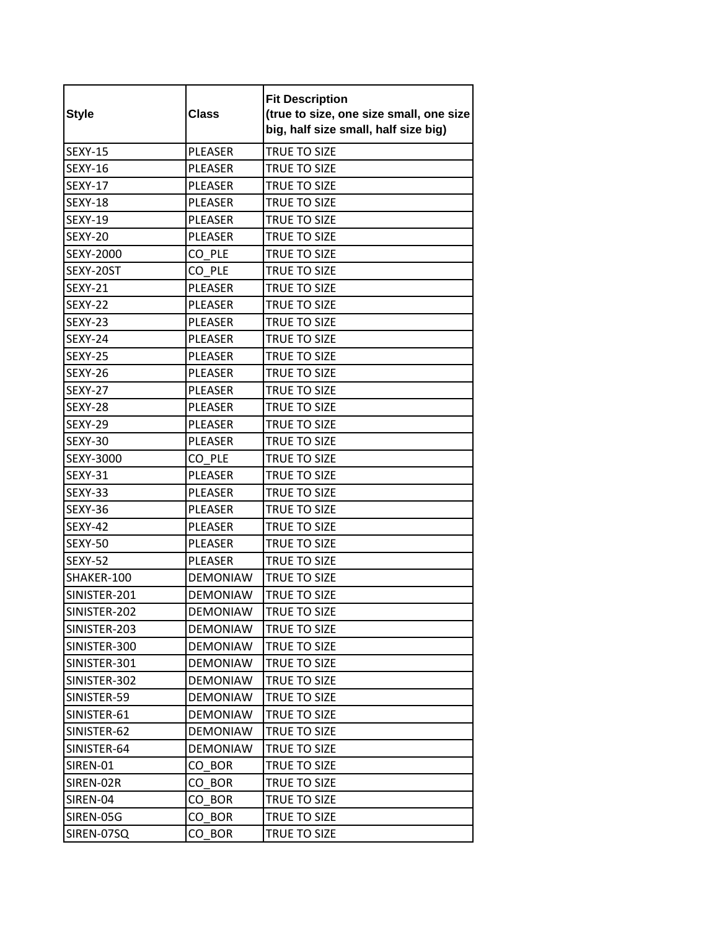| <b>Style</b>     | <b>Class</b>    | <b>Fit Description</b><br>(true to size, one size small, one size<br>big, half size small, half size big) |
|------------------|-----------------|-----------------------------------------------------------------------------------------------------------|
| <b>SEXY-15</b>   | <b>PLEASER</b>  | TRUE TO SIZE                                                                                              |
| <b>SEXY-16</b>   | <b>PLEASER</b>  | TRUE TO SIZE                                                                                              |
| <b>SEXY-17</b>   | <b>PLEASER</b>  | TRUE TO SIZE                                                                                              |
| <b>SEXY-18</b>   | PLEASER         | TRUE TO SIZE                                                                                              |
| <b>SEXY-19</b>   | <b>PLEASER</b>  | TRUE TO SIZE                                                                                              |
| <b>SEXY-20</b>   | <b>PLEASER</b>  | TRUE TO SIZE                                                                                              |
| <b>SEXY-2000</b> | CO PLE          | TRUE TO SIZE                                                                                              |
| SEXY-20ST        | CO PLE          | TRUE TO SIZE                                                                                              |
| <b>SEXY-21</b>   | <b>PLEASER</b>  | TRUE TO SIZE                                                                                              |
| SEXY-22          | <b>PLEASER</b>  | TRUE TO SIZE                                                                                              |
| SEXY-23          | <b>PLEASER</b>  | TRUE TO SIZE                                                                                              |
| SEXY-24          | <b>PLEASER</b>  | <b>TRUE TO SIZE</b>                                                                                       |
| <b>SEXY-25</b>   | <b>PLEASER</b>  | TRUE TO SIZE                                                                                              |
| SEXY-26          | <b>PLEASER</b>  | TRUE TO SIZE                                                                                              |
| <b>SEXY-27</b>   | <b>PLEASER</b>  | TRUE TO SIZE                                                                                              |
| SEXY-28          | <b>PLEASER</b>  | TRUE TO SIZE                                                                                              |
| SEXY-29          | <b>PLEASER</b>  | <b>TRUE TO SIZE</b>                                                                                       |
| <b>SEXY-30</b>   | <b>PLEASER</b>  | TRUE TO SIZE                                                                                              |
| SEXY-3000        | CO PLE          | TRUE TO SIZE                                                                                              |
| <b>SEXY-31</b>   | <b>PLEASER</b>  | TRUE TO SIZE                                                                                              |
| SEXY-33          | PLEASER         | TRUE TO SIZE                                                                                              |
| SEXY-36          | <b>PLEASER</b>  | <b>TRUE TO SIZE</b>                                                                                       |
| SEXY-42          | PLEASER         | TRUE TO SIZE                                                                                              |
| SEXY-50          | <b>PLEASER</b>  | TRUE TO SIZE                                                                                              |
| SEXY-52          | PLEASER         | TRUE TO SIZE                                                                                              |
| SHAKER-100       | <b>DEMONIAW</b> | TRUE TO SIZE                                                                                              |
| SINISTER-201     | <b>DEMONIAW</b> | TRUE TO SIZE                                                                                              |
| SINISTER-202     | <b>DEMONIAW</b> | TRUE TO SIZE                                                                                              |
| SINISTER-203     | <b>DEMONIAW</b> | TRUE TO SIZE                                                                                              |
| SINISTER-300     | <b>DEMONIAW</b> | TRUE TO SIZE                                                                                              |
| SINISTER-301     | <b>DEMONIAW</b> | TRUE TO SIZE                                                                                              |
| SINISTER-302     | <b>DEMONIAW</b> | TRUE TO SIZE                                                                                              |
| SINISTER-59      | <b>DEMONIAW</b> | TRUE TO SIZE                                                                                              |
| SINISTER-61      | <b>DEMONIAW</b> | TRUE TO SIZE                                                                                              |
| SINISTER-62      | <b>DEMONIAW</b> | TRUE TO SIZE                                                                                              |
| SINISTER-64      | <b>DEMONIAW</b> | TRUE TO SIZE                                                                                              |
| SIREN-01         | CO BOR          | TRUE TO SIZE                                                                                              |
| SIREN-02R        | CO BOR          | TRUE TO SIZE                                                                                              |
| SIREN-04         | CO BOR          | TRUE TO SIZE                                                                                              |
| SIREN-05G        | CO BOR          | TRUE TO SIZE                                                                                              |
| SIREN-07SQ       | CO BOR          | TRUE TO SIZE                                                                                              |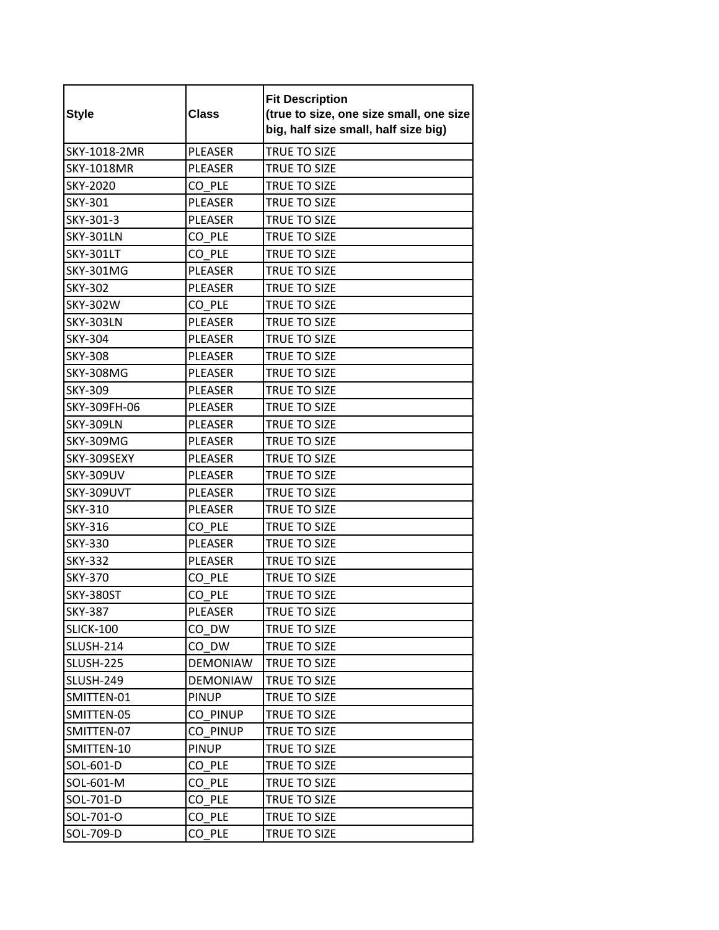| <b>Style</b>      | <b>Class</b>    | <b>Fit Description</b><br>(true to size, one size small, one size<br>big, half size small, half size big) |
|-------------------|-----------------|-----------------------------------------------------------------------------------------------------------|
| SKY-1018-2MR      | PLEASER         | TRUE TO SIZE                                                                                              |
| <b>SKY-1018MR</b> | PLEASER         | TRUE TO SIZE                                                                                              |
| SKY-2020          | CO PLE          | TRUE TO SIZE                                                                                              |
| <b>SKY-301</b>    | <b>PLEASER</b>  | TRUE TO SIZE                                                                                              |
| SKY-301-3         | <b>PLEASER</b>  | TRUE TO SIZE                                                                                              |
| <b>SKY-301LN</b>  | CO PLE          | <b>TRUE TO SIZE</b>                                                                                       |
| <b>SKY-301LT</b>  | CO PLE          | <b>TRUE TO SIZE</b>                                                                                       |
| <b>SKY-301MG</b>  | <b>PLEASER</b>  | TRUE TO SIZE                                                                                              |
| <b>SKY-302</b>    | <b>PLEASER</b>  | TRUE TO SIZE                                                                                              |
| <b>SKY-302W</b>   | CO PLE          | TRUE TO SIZE                                                                                              |
| <b>SKY-303LN</b>  | PLEASER         | TRUE TO SIZE                                                                                              |
| <b>SKY-304</b>    | <b>PLEASER</b>  | <b>TRUE TO SIZE</b>                                                                                       |
| <b>SKY-308</b>    | PLEASER         | TRUE TO SIZE                                                                                              |
| <b>SKY-308MG</b>  | <b>PLEASER</b>  | <b>TRUE TO SIZE</b>                                                                                       |
| <b>SKY-309</b>    | <b>PLEASER</b>  | TRUE TO SIZE                                                                                              |
| SKY-309FH-06      | <b>PLEASER</b>  | <b>TRUE TO SIZE</b>                                                                                       |
| <b>SKY-309LN</b>  | <b>PLEASER</b>  | <b>TRUE TO SIZE</b>                                                                                       |
| SKY-309MG         | <b>PLEASER</b>  | TRUE TO SIZE                                                                                              |
| SKY-309SEXY       | PLEASER         | TRUE TO SIZE                                                                                              |
| <b>SKY-309UV</b>  | PLEASER         | TRUE TO SIZE                                                                                              |
| SKY-309UVT        | <b>PLEASER</b>  | TRUE TO SIZE                                                                                              |
| SKY-310           | <b>PLEASER</b>  | TRUE TO SIZE                                                                                              |
| <b>SKY-316</b>    | CO PLE          | TRUE TO SIZE                                                                                              |
| <b>SKY-330</b>    | <b>PLEASER</b>  | TRUE TO SIZE                                                                                              |
| <b>SKY-332</b>    | PLEASER         | TRUE TO SIZE                                                                                              |
| <b>SKY-370</b>    | CO PLE          | TRUE TO SIZE                                                                                              |
| SKY-380ST         | CO PLE          | TRUE TO SIZE                                                                                              |
| <b>SKY-387</b>    | PLEASER         | TRUE TO SIZE                                                                                              |
| <b>SLICK-100</b>  | CO DW           | TRUE TO SIZE                                                                                              |
| <b>SLUSH-214</b>  | CO DW           | TRUE TO SIZE                                                                                              |
| SLUSH-225         | <b>DEMONIAW</b> | <b>TRUE TO SIZE</b>                                                                                       |
| <b>SLUSH-249</b>  | <b>DEMONIAW</b> | TRUE TO SIZE                                                                                              |
| SMITTEN-01        | <b>PINUP</b>    | TRUE TO SIZE                                                                                              |
| SMITTEN-05        | CO PINUP        | TRUE TO SIZE                                                                                              |
| SMITTEN-07        | CO PINUP        | TRUE TO SIZE                                                                                              |
| SMITTEN-10        | <b>PINUP</b>    | TRUE TO SIZE                                                                                              |
| SOL-601-D         | CO PLE          | TRUE TO SIZE                                                                                              |
| SOL-601-M         | CO PLE          | TRUE TO SIZE                                                                                              |
| SOL-701-D         | CO PLE          | TRUE TO SIZE                                                                                              |
| SOL-701-O         | CO PLE          | TRUE TO SIZE                                                                                              |
| SOL-709-D         | CO PLE          | TRUE TO SIZE                                                                                              |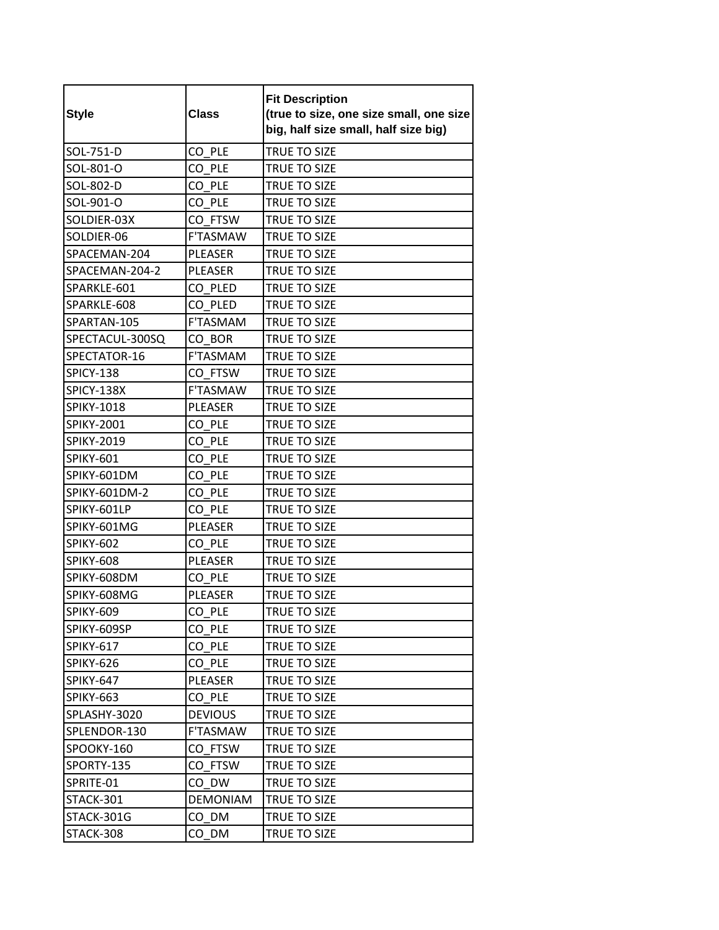| <b>Style</b>      | <b>Class</b>    | <b>Fit Description</b><br>(true to size, one size small, one size<br>big, half size small, half size big) |
|-------------------|-----------------|-----------------------------------------------------------------------------------------------------------|
| SOL-751-D         | CO PLE          | <b>TRUE TO SIZE</b>                                                                                       |
| SOL-801-O         | CO PLE          | TRUE TO SIZE                                                                                              |
| SOL-802-D         | CO PLE          | TRUE TO SIZE                                                                                              |
| SOL-901-O         | CO PLE          | <b>TRUE TO SIZE</b>                                                                                       |
| SOLDIER-03X       | CO FTSW         | TRUE TO SIZE                                                                                              |
| SOLDIER-06        | F'TASMAW        | <b>TRUE TO SIZE</b>                                                                                       |
| SPACEMAN-204      | PLEASER         | TRUE TO SIZE                                                                                              |
| SPACEMAN-204-2    | <b>PLEASER</b>  | TRUE TO SIZE                                                                                              |
| SPARKLE-601       | CO PLED         | TRUE TO SIZE                                                                                              |
| SPARKLE-608       | CO PLED         | TRUE TO SIZE                                                                                              |
| SPARTAN-105       | F'TASMAM        | <b>TRUE TO SIZE</b>                                                                                       |
| SPECTACUL-300SQ   | CO BOR          | <b>TRUE TO SIZE</b>                                                                                       |
| SPECTATOR-16      | F'TASMAM        | <b>TRUE TO SIZE</b>                                                                                       |
| SPICY-138         | CO FTSW         | TRUE TO SIZE                                                                                              |
| SPICY-138X        | F'TASMAW        | TRUE TO SIZE                                                                                              |
| <b>SPIKY-1018</b> | <b>PLEASER</b>  | TRUE TO SIZE                                                                                              |
| <b>SPIKY-2001</b> | CO PLE          | <b>TRUE TO SIZE</b>                                                                                       |
| <b>SPIKY-2019</b> | CO PLE          | TRUE TO SIZE                                                                                              |
| SPIKY-601         | CO PLE          | TRUE TO SIZE                                                                                              |
| SPIKY-601DM       | CO PLE          | TRUE TO SIZE                                                                                              |
| SPIKY-601DM-2     | CO PLE          | TRUE TO SIZE                                                                                              |
| SPIKY-601LP       | CO PLE          | TRUE TO SIZE                                                                                              |
| SPIKY-601MG       | PLEASER         | TRUE TO SIZE                                                                                              |
| SPIKY-602         | CO PLE          | TRUE TO SIZE                                                                                              |
| <b>SPIKY-608</b>  | PLEASER         | TRUE TO SIZE                                                                                              |
| SPIKY-608DM       | CO PLE          | TRUE TO SIZE                                                                                              |
| SPIKY-608MG       | PLEASER         | TRUE TO SIZE                                                                                              |
| SPIKY-609         | $CO$ $PLE$      | TRUE TO SIZE                                                                                              |
| SPIKY-609SP       | CO PLE          | TRUE TO SIZE                                                                                              |
| SPIKY-617         | CO PLE          | TRUE TO SIZE                                                                                              |
| SPIKY-626         | CO PLE          | <b>TRUE TO SIZE</b>                                                                                       |
| SPIKY-647         | PLEASER         | TRUE TO SIZE                                                                                              |
| SPIKY-663         | CO PLE          | TRUE TO SIZE                                                                                              |
| SPLASHY-3020      | <b>DEVIOUS</b>  | TRUE TO SIZE                                                                                              |
| SPLENDOR-130      | F'TASMAW        | <b>TRUE TO SIZE</b>                                                                                       |
| SPOOKY-160        | CO FTSW         | TRUE TO SIZE                                                                                              |
| SPORTY-135        | CO FTSW         | TRUE TO SIZE                                                                                              |
| SPRITE-01         | CO DW           | TRUE TO SIZE                                                                                              |
| STACK-301         | <b>DEMONIAM</b> | TRUE TO SIZE                                                                                              |
| STACK-301G        | CO DM           | TRUE TO SIZE                                                                                              |
| STACK-308         | CO DM           | TRUE TO SIZE                                                                                              |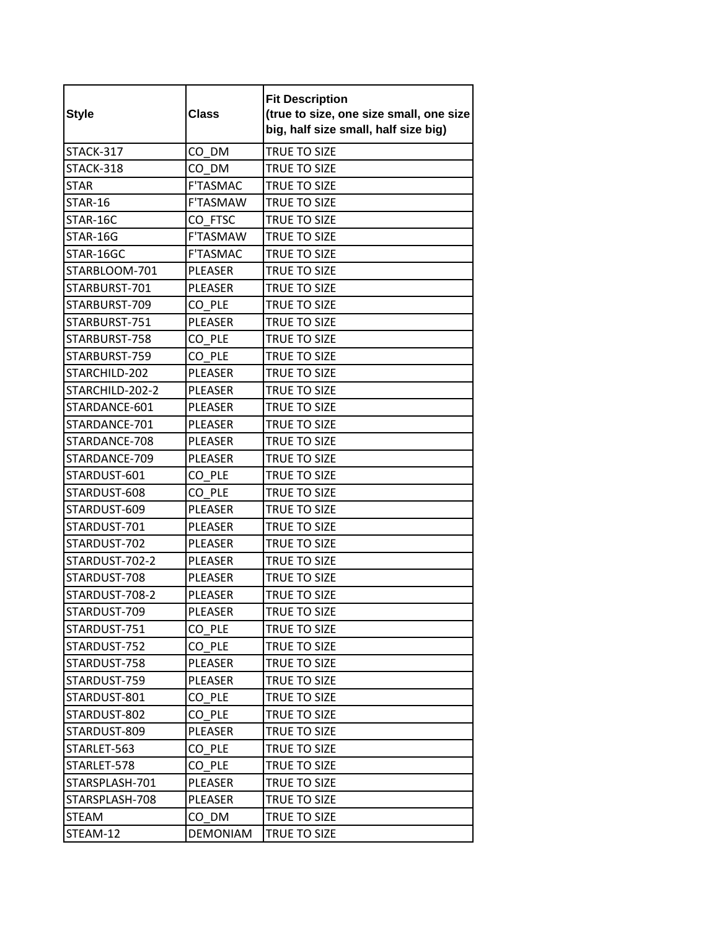| <b>Style</b>    | <b>Class</b>    | <b>Fit Description</b><br>(true to size, one size small, one size<br>big, half size small, half size big) |
|-----------------|-----------------|-----------------------------------------------------------------------------------------------------------|
| STACK-317       | CO DM           | TRUE TO SIZE                                                                                              |
| STACK-318       | CO DM           | TRUE TO SIZE                                                                                              |
| <b>STAR</b>     | <b>F'TASMAC</b> | TRUE TO SIZE                                                                                              |
| STAR-16         | <b>F'TASMAW</b> | <b>TRUE TO SIZE</b>                                                                                       |
| STAR-16C        | CO FTSC         | TRUE TO SIZE                                                                                              |
| STAR-16G        | F'TASMAW        | TRUE TO SIZE                                                                                              |
| STAR-16GC       | <b>F'TASMAC</b> | TRUE TO SIZE                                                                                              |
| STARBLOOM-701   | <b>PLEASER</b>  | TRUE TO SIZE                                                                                              |
| STARBURST-701   | <b>PLEASER</b>  | TRUE TO SIZE                                                                                              |
| STARBURST-709   | CO PLE          | TRUE TO SIZE                                                                                              |
| STARBURST-751   | <b>PLEASER</b>  | TRUE TO SIZE                                                                                              |
| STARBURST-758   | CO PLE          | TRUE TO SIZE                                                                                              |
| STARBURST-759   | CO PLE          | TRUE TO SIZE                                                                                              |
| STARCHILD-202   | <b>PLEASER</b>  | TRUE TO SIZE                                                                                              |
| STARCHILD-202-2 | <b>PLEASER</b>  | TRUE TO SIZE                                                                                              |
| STARDANCE-601   | <b>PLEASER</b>  | TRUE TO SIZE                                                                                              |
| STARDANCE-701   | <b>PLEASER</b>  | <b>TRUE TO SIZE</b>                                                                                       |
| STARDANCE-708   | <b>PLEASER</b>  | TRUE TO SIZE                                                                                              |
| STARDANCE-709   | <b>PLEASER</b>  | TRUE TO SIZE                                                                                              |
| STARDUST-601    | CO PLE          | TRUE TO SIZE                                                                                              |
| STARDUST-608    | CO PLE          | TRUE TO SIZE                                                                                              |
| STARDUST-609    | <b>PLEASER</b>  | <b>TRUE TO SIZE</b>                                                                                       |
| STARDUST-701    | PLEASER         | TRUE TO SIZE                                                                                              |
| STARDUST-702    | <b>PLEASER</b>  | TRUE TO SIZE                                                                                              |
| STARDUST-702-2  | PLEASER         | TRUE TO SIZE                                                                                              |
| STARDUST-708    | PLEASER         | TRUE TO SIZE                                                                                              |
| STARDUST-708-2  | PLEASER         | TRUE TO SIZE                                                                                              |
| STARDUST-709    | PLEASER         | TRUE TO SIZE                                                                                              |
| STARDUST-751    | CO PLE          | TRUE TO SIZE                                                                                              |
| STARDUST-752    | CO PLE          | TRUE TO SIZE                                                                                              |
| STARDUST-758    | PLEASER         | TRUE TO SIZE                                                                                              |
| STARDUST-759    | PLEASER         | TRUE TO SIZE                                                                                              |
| STARDUST-801    | CO PLE          | TRUE TO SIZE                                                                                              |
| STARDUST-802    | CO PLE          | TRUE TO SIZE                                                                                              |
| STARDUST-809    | PLEASER         | TRUE TO SIZE                                                                                              |
| STARLET-563     | CO PLE          | <b>TRUE TO SIZE</b>                                                                                       |
| STARLET-578     | CO PLE          | TRUE TO SIZE                                                                                              |
| STARSPLASH-701  | PLEASER         | TRUE TO SIZE                                                                                              |
| STARSPLASH-708  | PLEASER         | TRUE TO SIZE                                                                                              |
| <b>STEAM</b>    | CO DM           | TRUE TO SIZE                                                                                              |
| STEAM-12        | <b>DEMONIAM</b> | TRUE TO SIZE                                                                                              |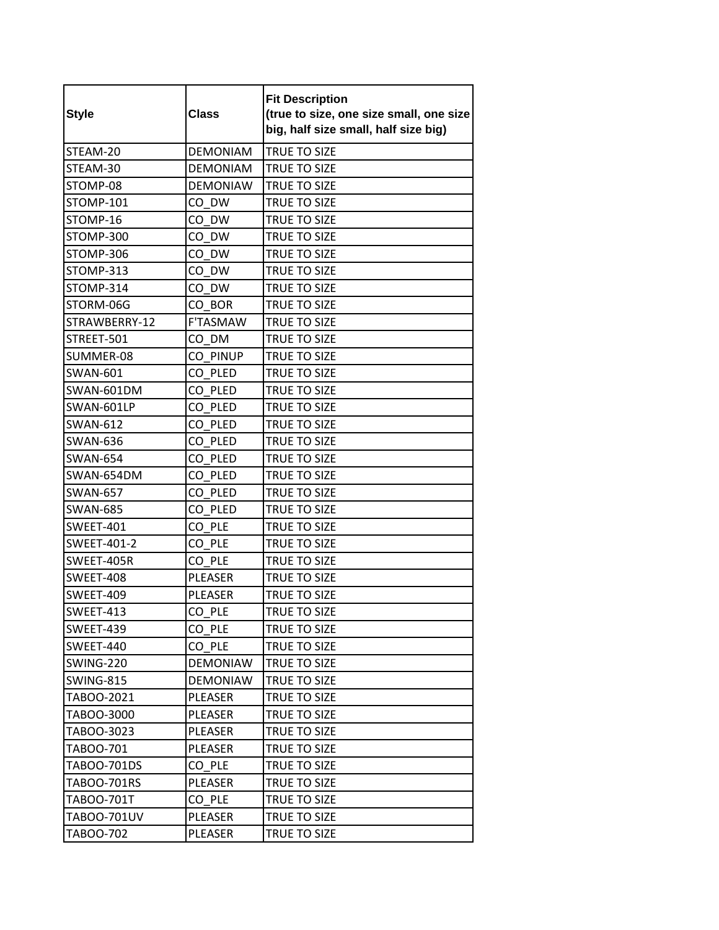| <b>Style</b>       | <b>Class</b>    | <b>Fit Description</b><br>(true to size, one size small, one size<br>big, half size small, half size big) |
|--------------------|-----------------|-----------------------------------------------------------------------------------------------------------|
| STEAM-20           | <b>DEMONIAM</b> | <b>TRUE TO SIZE</b>                                                                                       |
| STEAM-30           | <b>DEMONIAM</b> | TRUE TO SIZE                                                                                              |
| STOMP-08           | <b>DEMONIAW</b> | <b>TRUE TO SIZE</b>                                                                                       |
| STOMP-101          | CO DW           | TRUE TO SIZE                                                                                              |
| STOMP-16           | CO DW           | TRUE TO SIZE                                                                                              |
| STOMP-300          | CO DW           | TRUE TO SIZE                                                                                              |
| STOMP-306          | CO DW           | TRUE TO SIZE                                                                                              |
| STOMP-313          | CO DW           | TRUE TO SIZE                                                                                              |
| STOMP-314          | CO DW           | TRUE TO SIZE                                                                                              |
| STORM-06G          | CO BOR          | TRUE TO SIZE                                                                                              |
| STRAWBERRY-12      | F'TASMAW        | TRUE TO SIZE                                                                                              |
| STREET-501         | CO DM           | TRUE TO SIZE                                                                                              |
| SUMMER-08          | CO PINUP        | TRUE TO SIZE                                                                                              |
| <b>SWAN-601</b>    | CO PLED         | TRUE TO SIZE                                                                                              |
| SWAN-601DM         | CO PLED         | <b>TRUE TO SIZE</b>                                                                                       |
| SWAN-601LP         | CO PLED         | TRUE TO SIZE                                                                                              |
| <b>SWAN-612</b>    | CO PLED         | TRUE TO SIZE                                                                                              |
| <b>SWAN-636</b>    | CO PLED         | TRUE TO SIZE                                                                                              |
| <b>SWAN-654</b>    | CO PLED         | TRUE TO SIZE                                                                                              |
| SWAN-654DM         | CO PLED         | TRUE TO SIZE                                                                                              |
| <b>SWAN-657</b>    | CO PLED         | TRUE TO SIZE                                                                                              |
| <b>SWAN-685</b>    | CO PLED         | TRUE TO SIZE                                                                                              |
| SWEET-401          | CO PLE          | TRUE TO SIZE                                                                                              |
| <b>SWEET-401-2</b> | CO PLE          | TRUE TO SIZE                                                                                              |
| SWEET-405R         | CO PLE          | TRUE TO SIZE                                                                                              |
| SWEET-408          | PLEASER         | TRUE TO SIZE                                                                                              |
| SWEET-409          | PLEASER         | TRUE TO SIZE                                                                                              |
| <b>SWEET-413</b>   | CO_PLE          | TRUE TO SIZE                                                                                              |
| SWEET-439          | CO PLE          | TRUE TO SIZE                                                                                              |
| SWEET-440          | CO PLE          | TRUE TO SIZE                                                                                              |
| SWING-220          | <b>DEMONIAW</b> | TRUE TO SIZE                                                                                              |
| SWING-815          | <b>DEMONIAW</b> | TRUE TO SIZE                                                                                              |
| TABOO-2021         | PLEASER         | TRUE TO SIZE                                                                                              |
| TABOO-3000         | PLEASER         | TRUE TO SIZE                                                                                              |
| TABOO-3023         | PLEASER         | TRUE TO SIZE                                                                                              |
| TABOO-701          | PLEASER         | <b>TRUE TO SIZE</b>                                                                                       |
| TABOO-701DS        | CO PLE          | TRUE TO SIZE                                                                                              |
| TABOO-701RS        | PLEASER         | TRUE TO SIZE                                                                                              |
| TABOO-701T         | CO PLE          | TRUE TO SIZE                                                                                              |
| TABOO-701UV        | PLEASER         | TRUE TO SIZE                                                                                              |
| TABOO-702          | PLEASER         | TRUE TO SIZE                                                                                              |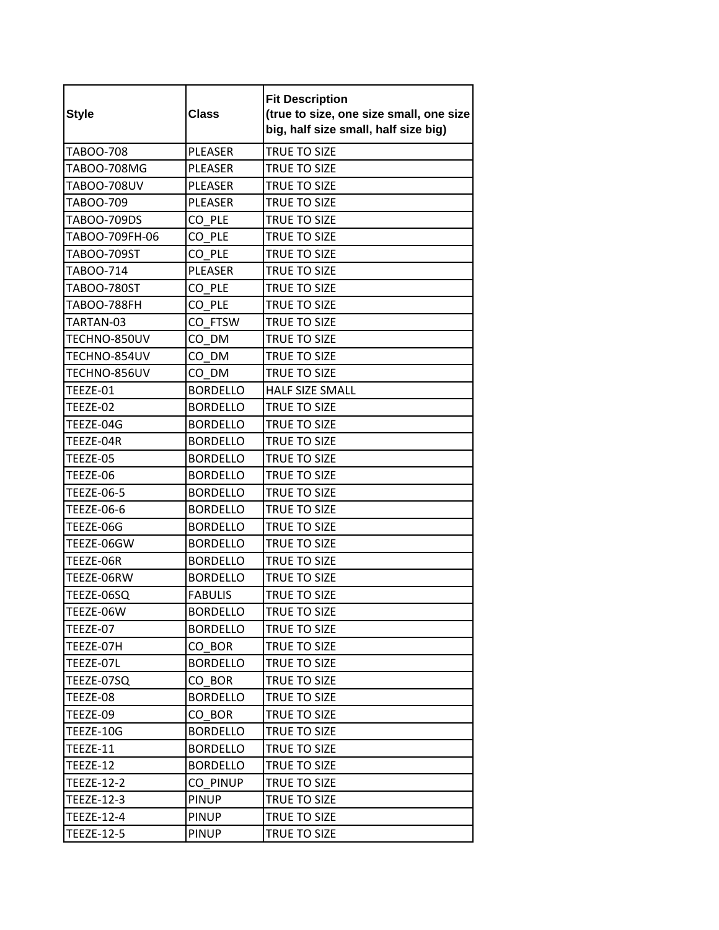| <b>Style</b>       | <b>Class</b>    | <b>Fit Description</b><br>(true to size, one size small, one size<br>big, half size small, half size big) |
|--------------------|-----------------|-----------------------------------------------------------------------------------------------------------|
| TABOO-708          | <b>PLEASER</b>  | <b>TRUE TO SIZE</b>                                                                                       |
| TABOO-708MG        | <b>PLEASER</b>  | TRUE TO SIZE                                                                                              |
| TABOO-708UV        | <b>PLEASER</b>  | TRUE TO SIZE                                                                                              |
| TABOO-709          | <b>PLEASER</b>  | TRUE TO SIZE                                                                                              |
| TABOO-709DS        | CO PLE          | TRUE TO SIZE                                                                                              |
| TABOO-709FH-06     | CO PLE          | TRUE TO SIZE                                                                                              |
| TABOO-709ST        | CO PLE          | TRUE TO SIZE                                                                                              |
| TABOO-714          | <b>PLEASER</b>  | TRUE TO SIZE                                                                                              |
| TABOO-780ST        | CO PLE          | TRUE TO SIZE                                                                                              |
| <b>TABOO-788FH</b> | CO PLE          | TRUE TO SIZE                                                                                              |
| TARTAN-03          | CO FTSW         | TRUE TO SIZE                                                                                              |
| TECHNO-850UV       | CO DM           | TRUE TO SIZE                                                                                              |
| TECHNO-854UV       | CO DM           | TRUE TO SIZE                                                                                              |
| TECHNO-856UV       | CO DM           | TRUE TO SIZE                                                                                              |
| TEEZE-01           | <b>BORDELLO</b> | <b>HALF SIZE SMALL</b>                                                                                    |
| TEEZE-02           | <b>BORDELLO</b> | TRUE TO SIZE                                                                                              |
| TEEZE-04G          | <b>BORDELLO</b> | TRUE TO SIZE                                                                                              |
| TEEZE-04R          | <b>BORDELLO</b> | TRUE TO SIZE                                                                                              |
| TEEZE-05           | <b>BORDELLO</b> | TRUE TO SIZE                                                                                              |
| TEEZE-06           | <b>BORDELLO</b> | TRUE TO SIZE                                                                                              |
| <b>TEEZE-06-5</b>  | <b>BORDELLO</b> | TRUE TO SIZE                                                                                              |
| <b>TEEZE-06-6</b>  | <b>BORDELLO</b> | TRUE TO SIZE                                                                                              |
| TEEZE-06G          | <b>BORDELLO</b> | TRUE TO SIZE                                                                                              |
| TEEZE-06GW         | <b>BORDELLO</b> | TRUE TO SIZE                                                                                              |
| TEEZE-06R          | <b>BORDELLO</b> | TRUE TO SIZE                                                                                              |
| TEEZE-06RW         | <b>BORDELLO</b> | TRUE TO SIZE                                                                                              |
| TEEZE-06SQ         | <b>FABULIS</b>  | TRUE TO SIZE                                                                                              |
| TEEZE-06W          | <b>BORDELLO</b> | TRUE TO SIZE                                                                                              |
| TEEZE-07           | <b>BORDELLO</b> | TRUE TO SIZE                                                                                              |
| TEEZE-07H          | CO BOR          | TRUE TO SIZE                                                                                              |
| TEEZE-07L          | <b>BORDELLO</b> | TRUE TO SIZE                                                                                              |
| TEEZE-07SQ         | CO BOR          | TRUE TO SIZE                                                                                              |
| TEEZE-08           | <b>BORDELLO</b> | TRUE TO SIZE                                                                                              |
| TEEZE-09           | CO BOR          | <b>TRUE TO SIZE</b>                                                                                       |
| TEEZE-10G          | <b>BORDELLO</b> | TRUE TO SIZE                                                                                              |
| TEEZE-11           | <b>BORDELLO</b> | <b>TRUE TO SIZE</b>                                                                                       |
| TEEZE-12           | <b>BORDELLO</b> | TRUE TO SIZE                                                                                              |
| <b>TEEZE-12-2</b>  | CO PINUP        | TRUE TO SIZE                                                                                              |
| TEEZE-12-3         | <b>PINUP</b>    | TRUE TO SIZE                                                                                              |
| TEEZE-12-4         | <b>PINUP</b>    | TRUE TO SIZE                                                                                              |
| <b>TEEZE-12-5</b>  | <b>PINUP</b>    | TRUE TO SIZE                                                                                              |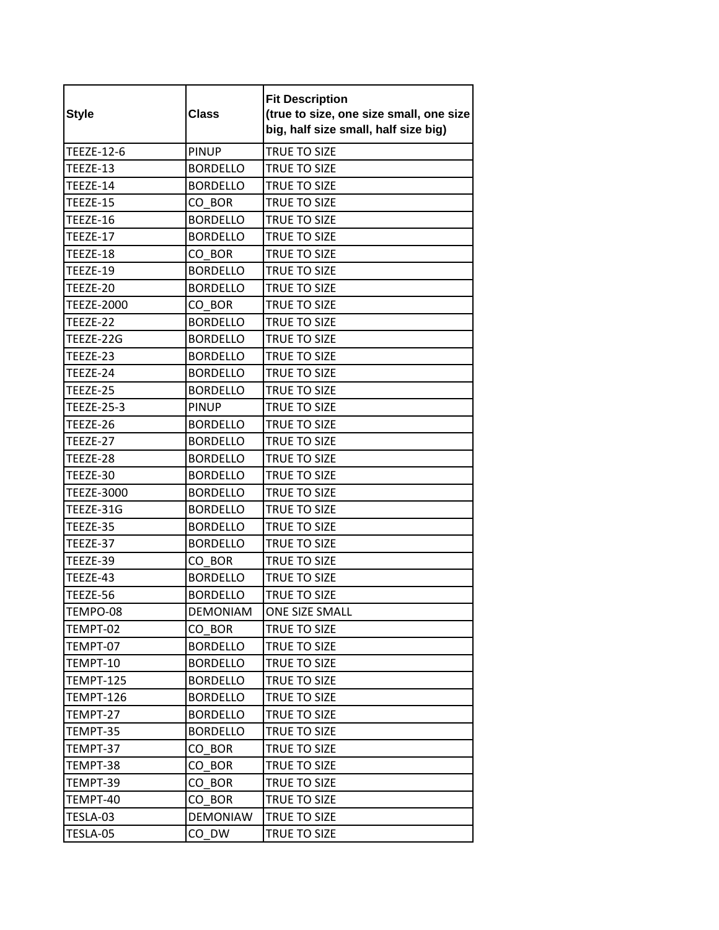| <b>Style</b>      | <b>Class</b>    | <b>Fit Description</b><br>(true to size, one size small, one size<br>big, half size small, half size big) |
|-------------------|-----------------|-----------------------------------------------------------------------------------------------------------|
| TEEZE-12-6        | <b>PINUP</b>    | <b>TRUE TO SIZE</b>                                                                                       |
| TEEZE-13          | <b>BORDELLO</b> | TRUE TO SIZE                                                                                              |
| TEEZE-14          | <b>BORDELLO</b> | TRUE TO SIZE                                                                                              |
| TEEZE-15          | CO BOR          | TRUE TO SIZE                                                                                              |
| TEEZE-16          | <b>BORDELLO</b> | TRUE TO SIZE                                                                                              |
| TEEZE-17          | <b>BORDELLO</b> | TRUE TO SIZE                                                                                              |
| TEEZE-18          | CO BOR          | <b>TRUE TO SIZE</b>                                                                                       |
| TEEZE-19          | <b>BORDELLO</b> | TRUE TO SIZE                                                                                              |
| TEEZE-20          | <b>BORDELLO</b> | <b>TRUE TO SIZE</b>                                                                                       |
| <b>TEEZE-2000</b> | CO BOR          | TRUE TO SIZE                                                                                              |
| TEEZE-22          | <b>BORDELLO</b> | TRUE TO SIZE                                                                                              |
| TEEZE-22G         | <b>BORDELLO</b> | <b>TRUE TO SIZE</b>                                                                                       |
| TEEZE-23          | <b>BORDELLO</b> | TRUE TO SIZE                                                                                              |
| TEEZE-24          | <b>BORDELLO</b> | <b>TRUE TO SIZE</b>                                                                                       |
| TEEZE-25          | <b>BORDELLO</b> | TRUE TO SIZE                                                                                              |
| <b>TEEZE-25-3</b> | <b>PINUP</b>    | TRUE TO SIZE                                                                                              |
| TEEZE-26          | <b>BORDELLO</b> | <b>TRUE TO SIZE</b>                                                                                       |
| TEEZE-27          | <b>BORDELLO</b> | TRUE TO SIZE                                                                                              |
| TEEZE-28          | <b>BORDELLO</b> | TRUE TO SIZE                                                                                              |
| TEEZE-30          | <b>BORDELLO</b> | TRUE TO SIZE                                                                                              |
| <b>TEEZE-3000</b> | <b>BORDELLO</b> | TRUE TO SIZE                                                                                              |
| TEEZE-31G         | <b>BORDELLO</b> | TRUE TO SIZE                                                                                              |
| TEEZE-35          | <b>BORDELLO</b> | TRUE TO SIZE                                                                                              |
| TEEZE-37          | <b>BORDELLO</b> | TRUE TO SIZE                                                                                              |
| TEEZE-39          | CO BOR          | TRUE TO SIZE                                                                                              |
| TEEZE-43          | <b>BORDELLO</b> | TRUE TO SIZE                                                                                              |
| TEEZE-56          | <b>BORDELLO</b> | TRUE TO SIZE                                                                                              |
| TEMPO-08          | <b>DEMONIAM</b> | ONE SIZE SMALL                                                                                            |
| TEMPT-02          | CO BOR          | TRUE TO SIZE                                                                                              |
| TEMPT-07          | <b>BORDELLO</b> | TRUE TO SIZE                                                                                              |
| TEMPT-10          | <b>BORDELLO</b> | TRUE TO SIZE                                                                                              |
| TEMPT-125         | <b>BORDELLO</b> | TRUE TO SIZE                                                                                              |
| TEMPT-126         | <b>BORDELLO</b> | TRUE TO SIZE                                                                                              |
| TEMPT-27          | <b>BORDELLO</b> | TRUE TO SIZE                                                                                              |
| TEMPT-35          | <b>BORDELLO</b> | TRUE TO SIZE                                                                                              |
| TEMPT-37          | CO BOR          | TRUE TO SIZE                                                                                              |
| TEMPT-38          | CO BOR          | TRUE TO SIZE                                                                                              |
| TEMPT-39          | CO BOR          | TRUE TO SIZE                                                                                              |
| TEMPT-40          | CO BOR          | TRUE TO SIZE                                                                                              |
| TESLA-03          | DEMONIAW        | TRUE TO SIZE                                                                                              |
| TESLA-05          | CO DW           | TRUE TO SIZE                                                                                              |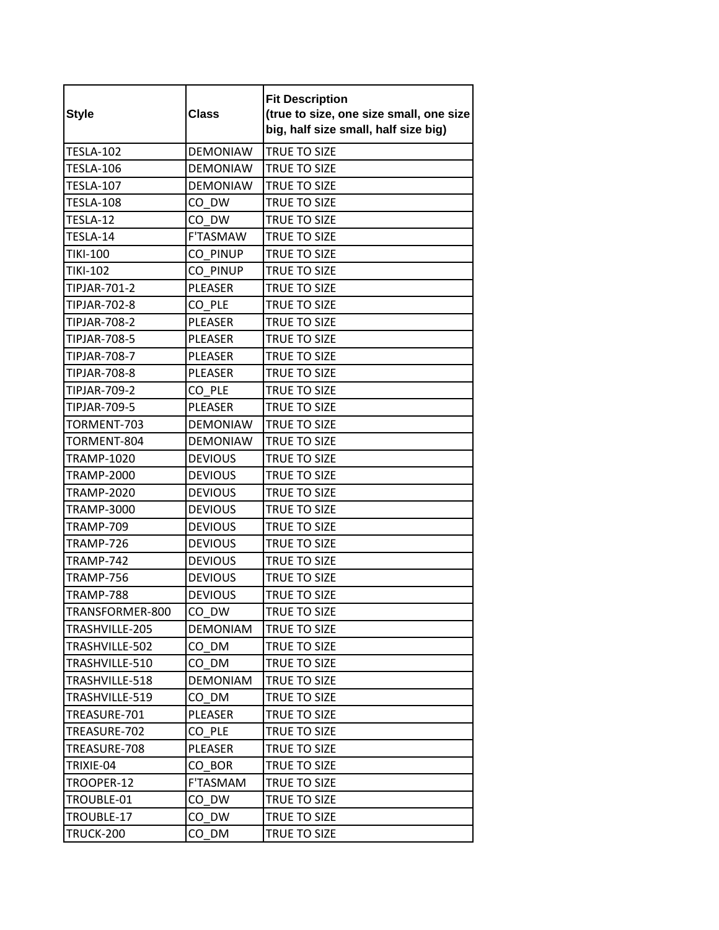| <b>Style</b>        | <b>Class</b>    | <b>Fit Description</b><br>(true to size, one size small, one size<br>big, half size small, half size big) |
|---------------------|-----------------|-----------------------------------------------------------------------------------------------------------|
| <b>TESLA-102</b>    | <b>DEMONIAW</b> | <b>TRUE TO SIZE</b>                                                                                       |
| <b>TESLA-106</b>    | <b>DEMONIAW</b> | TRUE TO SIZE                                                                                              |
| <b>TESLA-107</b>    | <b>DEMONIAW</b> | TRUE TO SIZE                                                                                              |
| <b>TESLA-108</b>    | CO DW           | TRUE TO SIZE                                                                                              |
| TESLA-12            | CO DW           | TRUE TO SIZE                                                                                              |
| TESLA-14            | F'TASMAW        | TRUE TO SIZE                                                                                              |
| <b>TIKI-100</b>     | CO PINUP        | TRUE TO SIZE                                                                                              |
| <b>TIKI-102</b>     | CO PINUP        | <b>TRUE TO SIZE</b>                                                                                       |
| TIPJAR-701-2        | PLEASER         | <b>TRUE TO SIZE</b>                                                                                       |
| TIPJAR-702-8        | CO PLE          | TRUE TO SIZE                                                                                              |
| <b>TIPJAR-708-2</b> | PLEASER         | TRUE TO SIZE                                                                                              |
| <b>TIPJAR-708-5</b> | <b>PLEASER</b>  | <b>TRUE TO SIZE</b>                                                                                       |
| TIPJAR-708-7        | <b>PLEASER</b>  | TRUE TO SIZE                                                                                              |
| TIPJAR-708-8        | <b>PLEASER</b>  | TRUE TO SIZE                                                                                              |
| TIPJAR-709-2        | CO PLE          | TRUE TO SIZE                                                                                              |
| TIPJAR-709-5        | PLEASER         | TRUE TO SIZE                                                                                              |
| TORMENT-703         | <b>DEMONIAW</b> | <b>TRUE TO SIZE</b>                                                                                       |
| TORMENT-804         | <b>DEMONIAW</b> | TRUE TO SIZE                                                                                              |
| <b>TRAMP-1020</b>   | <b>DEVIOUS</b>  | TRUE TO SIZE                                                                                              |
| <b>TRAMP-2000</b>   | <b>DEVIOUS</b>  | TRUE TO SIZE                                                                                              |
| <b>TRAMP-2020</b>   | <b>DEVIOUS</b>  | TRUE TO SIZE                                                                                              |
| TRAMP-3000          | <b>DEVIOUS</b>  | TRUE TO SIZE                                                                                              |
| <b>TRAMP-709</b>    | <b>DEVIOUS</b>  | TRUE TO SIZE                                                                                              |
| TRAMP-726           | <b>DEVIOUS</b>  | <b>TRUE TO SIZE</b>                                                                                       |
| TRAMP-742           | <b>DEVIOUS</b>  | TRUE TO SIZE                                                                                              |
| TRAMP-756           | <b>DEVIOUS</b>  | TRUE TO SIZE                                                                                              |
| TRAMP-788           | <b>DEVIOUS</b>  | TRUE TO SIZE                                                                                              |
| TRANSFORMER-800     | $CO_D$ W        | TRUE TO SIZE                                                                                              |
| TRASHVILLE-205      | <b>DEMONIAM</b> | TRUE TO SIZE                                                                                              |
| TRASHVILLE-502      | CO DM           | TRUE TO SIZE                                                                                              |
| TRASHVILLE-510      | CO DM           | TRUE TO SIZE                                                                                              |
| TRASHVILLE-518      | <b>DEMONIAM</b> | TRUE TO SIZE                                                                                              |
| TRASHVILLE-519      | CO DM           | TRUE TO SIZE                                                                                              |
| TREASURE-701        | PLEASER         | TRUE TO SIZE                                                                                              |
| TREASURE-702        | CO PLE          | TRUE TO SIZE                                                                                              |
| TREASURE-708        | <b>PLEASER</b>  | TRUE TO SIZE                                                                                              |
| TRIXIE-04           | CO BOR          | TRUE TO SIZE                                                                                              |
| TROOPER-12          | F'TASMAM        | TRUE TO SIZE                                                                                              |
| TROUBLE-01          | CO DW           | TRUE TO SIZE                                                                                              |
| TROUBLE-17          | CO DW           | TRUE TO SIZE                                                                                              |
| <b>TRUCK-200</b>    | CO DM           | TRUE TO SIZE                                                                                              |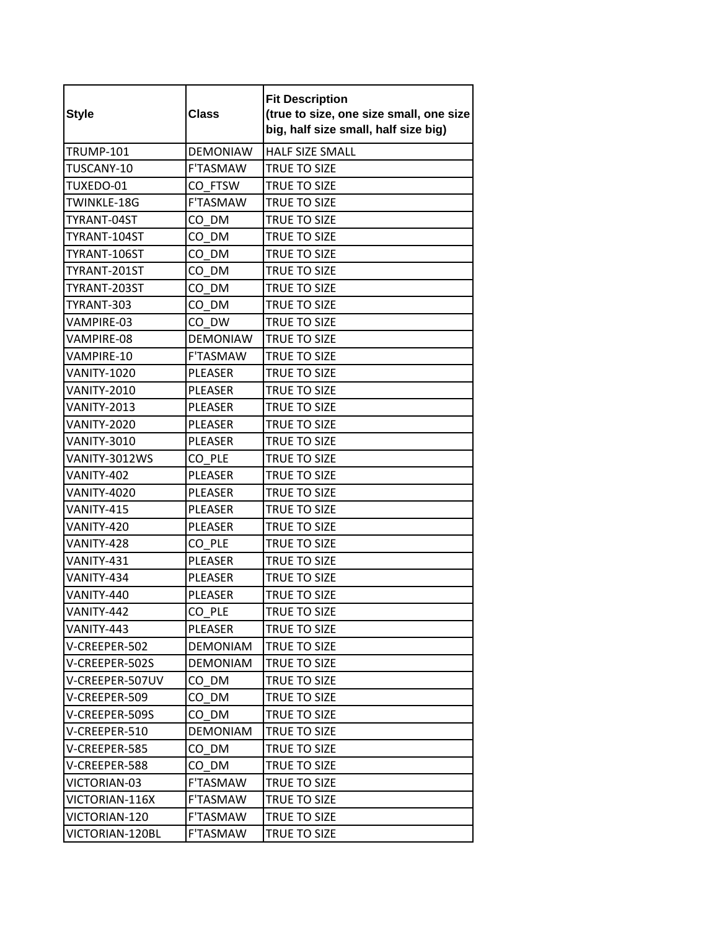| <b>Style</b>       | <b>Class</b>    | <b>Fit Description</b><br>(true to size, one size small, one size<br>big, half size small, half size big) |
|--------------------|-----------------|-----------------------------------------------------------------------------------------------------------|
| <b>TRUMP-101</b>   | <b>DEMONIAW</b> | HALF SIZE SMALL                                                                                           |
| TUSCANY-10         | <b>F'TASMAW</b> | TRUE TO SIZE                                                                                              |
| TUXEDO-01          | CO FTSW         | TRUE TO SIZE                                                                                              |
| TWINKLE-18G        | F'TASMAW        | <b>TRUE TO SIZE</b>                                                                                       |
| TYRANT-04ST        | CO DM           | TRUE TO SIZE                                                                                              |
| TYRANT-104ST       | CO DM           | TRUE TO SIZE                                                                                              |
| TYRANT-106ST       | CO DM           | TRUE TO SIZE                                                                                              |
| TYRANT-201ST       | CO DM           | TRUE TO SIZE                                                                                              |
| TYRANT-203ST       | CO DM           | <b>TRUE TO SIZE</b>                                                                                       |
| TYRANT-303         | CO DM           | TRUE TO SIZE                                                                                              |
| VAMPIRE-03         | CO DW           | TRUE TO SIZE                                                                                              |
| VAMPIRE-08         | <b>DEMONIAW</b> | <b>TRUE TO SIZE</b>                                                                                       |
| VAMPIRE-10         | <b>F'TASMAW</b> | TRUE TO SIZE                                                                                              |
| VANITY-1020        | <b>PLEASER</b>  | TRUE TO SIZE                                                                                              |
| <b>VANITY-2010</b> | <b>PLEASER</b>  | TRUE TO SIZE                                                                                              |
| <b>VANITY-2013</b> | PLEASER         | <b>TRUE TO SIZE</b>                                                                                       |
| <b>VANITY-2020</b> | <b>PLEASER</b>  | TRUE TO SIZE                                                                                              |
| <b>VANITY-3010</b> | PLEASER         | TRUE TO SIZE                                                                                              |
| VANITY-3012WS      | CO PLE          | TRUE TO SIZE                                                                                              |
| VANITY-402         | <b>PLEASER</b>  | TRUE TO SIZE                                                                                              |
| <b>VANITY-4020</b> | PLEASER         | <b>TRUE TO SIZE</b>                                                                                       |
| VANITY-415         | PLEASER         | TRUE TO SIZE                                                                                              |
| VANITY-420         | <b>PLEASER</b>  | TRUE TO SIZE                                                                                              |
| VANITY-428         | CO PLE          | <b>TRUE TO SIZE</b>                                                                                       |
| VANITY-431         | PLEASER         | TRUE TO SIZE                                                                                              |
| VANITY-434         | PLEASER         | TRUE TO SIZE                                                                                              |
| VANITY-440         | PLEASER         | TRUE TO SIZE                                                                                              |
| VANITY-442         | CO_PLE          | TRUE TO SIZE                                                                                              |
| VANITY-443         | PLEASER         | TRUE TO SIZE                                                                                              |
| V-CREEPER-502      | <b>DEMONIAM</b> | TRUE TO SIZE                                                                                              |
| V-CREEPER-502S     | <b>DEMONIAM</b> | <b>TRUE TO SIZE</b>                                                                                       |
| V-CREEPER-507UV    | CO DM           | TRUE TO SIZE                                                                                              |
| V-CREEPER-509      | CO DM           | TRUE TO SIZE                                                                                              |
| V-CREEPER-509S     | CO DM           | TRUE TO SIZE                                                                                              |
| V-CREEPER-510      | <b>DEMONIAM</b> | TRUE TO SIZE                                                                                              |
| V-CREEPER-585      | CO DM           | <b>TRUE TO SIZE</b>                                                                                       |
| V-CREEPER-588      | CO DM           | TRUE TO SIZE                                                                                              |
| VICTORIAN-03       | F'TASMAW        | TRUE TO SIZE                                                                                              |
| VICTORIAN-116X     | F'TASMAW        | TRUE TO SIZE                                                                                              |
| VICTORIAN-120      | F'TASMAW        | TRUE TO SIZE                                                                                              |
| VICTORIAN-120BL    | F'TASMAW        | TRUE TO SIZE                                                                                              |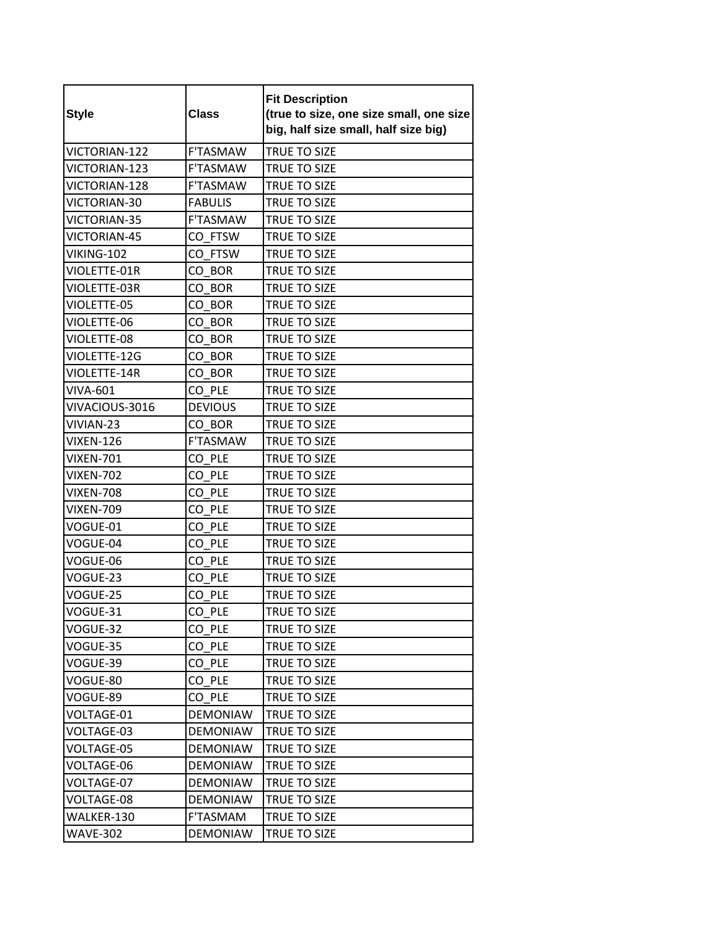| <b>Style</b>     | <b>Class</b>    | <b>Fit Description</b><br>(true to size, one size small, one size<br>big, half size small, half size big) |
|------------------|-----------------|-----------------------------------------------------------------------------------------------------------|
| VICTORIAN-122    | <b>F'TASMAW</b> | TRUE TO SIZE                                                                                              |
| VICTORIAN-123    | <b>F'TASMAW</b> | TRUE TO SIZE                                                                                              |
| VICTORIAN-128    | <b>F'TASMAW</b> | TRUE TO SIZE                                                                                              |
| VICTORIAN-30     | <b>FABULIS</b>  | TRUE TO SIZE                                                                                              |
| VICTORIAN-35     | <b>F'TASMAW</b> | TRUE TO SIZE                                                                                              |
| VICTORIAN-45     | CO FTSW         | TRUE TO SIZE                                                                                              |
| VIKING-102       | CO FTSW         | TRUE TO SIZE                                                                                              |
| VIOLETTE-01R     | CO BOR          | TRUE TO SIZE                                                                                              |
| VIOLETTE-03R     | CO BOR          | TRUE TO SIZE                                                                                              |
| VIOLETTE-05      | CO BOR          | TRUE TO SIZE                                                                                              |
| VIOLETTE-06      | CO BOR          | TRUE TO SIZE                                                                                              |
| VIOLETTE-08      | CO BOR          | <b>TRUE TO SIZE</b>                                                                                       |
| VIOLETTE-12G     | CO BOR          | TRUE TO SIZE                                                                                              |
| VIOLETTE-14R     | CO BOR          | TRUE TO SIZE                                                                                              |
| <b>VIVA-601</b>  | CO PLE          | TRUE TO SIZE                                                                                              |
| VIVACIOUS-3016   | <b>DEVIOUS</b>  | <b>TRUE TO SIZE</b>                                                                                       |
| VIVIAN-23        | CO BOR          | <b>TRUE TO SIZE</b>                                                                                       |
| <b>VIXEN-126</b> | <b>F'TASMAW</b> | <b>TRUE TO SIZE</b>                                                                                       |
| <b>VIXEN-701</b> | CO PLE          | TRUE TO SIZE                                                                                              |
| <b>VIXEN-702</b> | CO PLE          | TRUE TO SIZE                                                                                              |
| <b>VIXEN-708</b> | CO PLE          | TRUE TO SIZE                                                                                              |
| <b>VIXEN-709</b> | CO PLE          | TRUE TO SIZE                                                                                              |
| VOGUE-01         | CO PLE          | TRUE TO SIZE                                                                                              |
| VOGUE-04         | CO PLE          | TRUE TO SIZE                                                                                              |
| VOGUE-06         | CO PLE          | TRUE TO SIZE                                                                                              |
| VOGUE-23         | CO PLE          | TRUE TO SIZE                                                                                              |
| VOGUE-25         | CO PLE          | TRUE TO SIZE                                                                                              |
| VOGUE-31         | CO_PLE          | TRUE TO SIZE                                                                                              |
| VOGUE-32         | CO PLE          | TRUE TO SIZE                                                                                              |
| VOGUE-35         | CO PLE          | TRUE TO SIZE                                                                                              |
| VOGUE-39         | CO PLE          | TRUE TO SIZE                                                                                              |
| VOGUE-80         | CO PLE          | TRUE TO SIZE                                                                                              |
| VOGUE-89         | CO PLE          | TRUE TO SIZE                                                                                              |
| VOLTAGE-01       | <b>DEMONIAW</b> | TRUE TO SIZE                                                                                              |
| VOLTAGE-03       | <b>DEMONIAW</b> | TRUE TO SIZE                                                                                              |
| VOLTAGE-05       | <b>DEMONIAW</b> | TRUE TO SIZE                                                                                              |
| VOLTAGE-06       | <b>DEMONIAW</b> | TRUE TO SIZE                                                                                              |
| VOLTAGE-07       | <b>DEMONIAW</b> | TRUE TO SIZE                                                                                              |
| VOLTAGE-08       | <b>DEMONIAW</b> | TRUE TO SIZE                                                                                              |
| WALKER-130       | F'TASMAM        | TRUE TO SIZE                                                                                              |
| <b>WAVE-302</b>  | <b>DEMONIAW</b> | TRUE TO SIZE                                                                                              |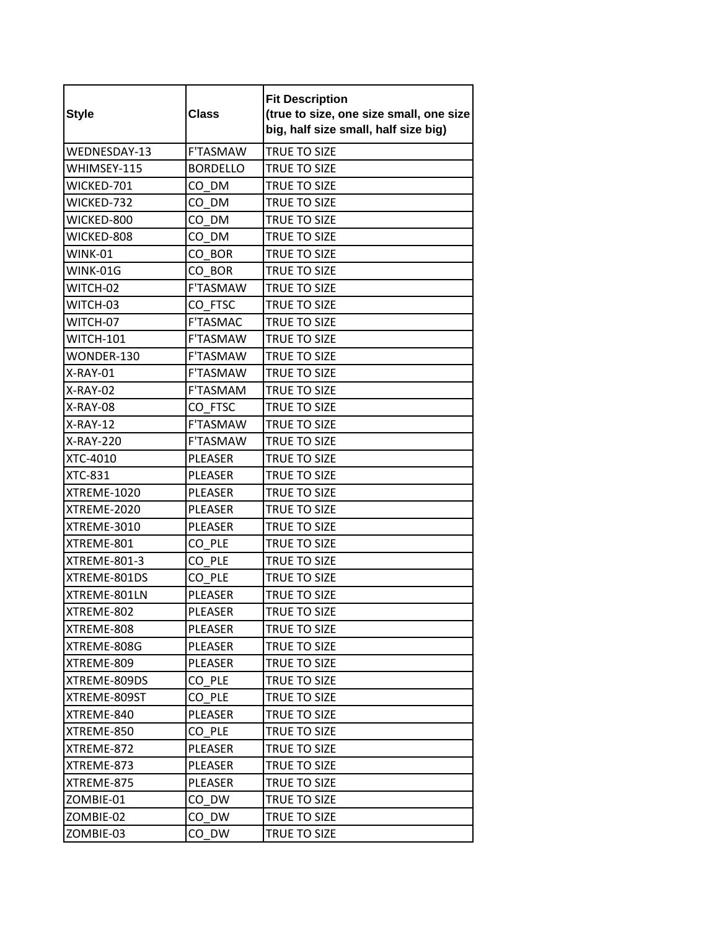| <b>Style</b>        | <b>Class</b>    | <b>Fit Description</b><br>(true to size, one size small, one size<br>big, half size small, half size big) |
|---------------------|-----------------|-----------------------------------------------------------------------------------------------------------|
| WEDNESDAY-13        | <b>F'TASMAW</b> | TRUE TO SIZE                                                                                              |
| WHIMSEY-115         | <b>BORDELLO</b> | TRUE TO SIZE                                                                                              |
| WICKED-701          | CO DM           | <b>TRUE TO SIZE</b>                                                                                       |
| WICKED-732          | CO DM           | <b>TRUE TO SIZE</b>                                                                                       |
| WICKED-800          | CO DM           | TRUE TO SIZE                                                                                              |
| WICKED-808          | CO DM           | <b>TRUE TO SIZE</b>                                                                                       |
| WINK-01             | CO BOR          | TRUE TO SIZE                                                                                              |
| WINK-01G            | CO BOR          | TRUE TO SIZE                                                                                              |
| WITCH-02            | <b>F'TASMAW</b> | <b>TRUE TO SIZE</b>                                                                                       |
| WITCH-03            | CO FTSC         | TRUE TO SIZE                                                                                              |
| WITCH-07            | <b>F'TASMAC</b> | <b>TRUE TO SIZE</b>                                                                                       |
| <b>WITCH-101</b>    | <b>F'TASMAW</b> | <b>TRUE TO SIZE</b>                                                                                       |
| WONDER-130          | F'TASMAW        | <b>TRUE TO SIZE</b>                                                                                       |
| X-RAY-01            | <b>F'TASMAW</b> | <b>TRUE TO SIZE</b>                                                                                       |
| X-RAY-02            | <b>F'TASMAM</b> | TRUE TO SIZE                                                                                              |
| X-RAY-08            | CO FTSC         | <b>TRUE TO SIZE</b>                                                                                       |
| X-RAY-12            | <b>F'TASMAW</b> | TRUE TO SIZE                                                                                              |
| X-RAY-220           | F'TASMAW        | TRUE TO SIZE                                                                                              |
| XTC-4010            | <b>PLEASER</b>  | TRUE TO SIZE                                                                                              |
| <b>XTC-831</b>      | PLEASER         | TRUE TO SIZE                                                                                              |
| XTREME-1020         | <b>PLEASER</b>  | <b>TRUE TO SIZE</b>                                                                                       |
| XTREME-2020         | PLEASER         | TRUE TO SIZE                                                                                              |
| XTREME-3010         | <b>PLEASER</b>  | <b>TRUE TO SIZE</b>                                                                                       |
| XTREME-801          | CO PLE          | <b>TRUE TO SIZE</b>                                                                                       |
| <b>XTREME-801-3</b> | CO PLE          | TRUE TO SIZE                                                                                              |
| XTREME-801DS        | CO PLE          | TRUE TO SIZE                                                                                              |
| XTREME-801LN        | <b>PLEASER</b>  | TRUE TO SIZE                                                                                              |
| XTREME-802          | PLEASER         | TRUE TO SIZE                                                                                              |
| XTREME-808          | PLEASER         | TRUE TO SIZE                                                                                              |
| XTREME-808G         | PLEASER         | TRUE TO SIZE                                                                                              |
| XTREME-809          | PLEASER         | TRUE TO SIZE                                                                                              |
| XTREME-809DS        | CO PLE          | TRUE TO SIZE                                                                                              |
| XTREME-809ST        | CO PLE          | TRUE TO SIZE                                                                                              |
| XTREME-840          | PLEASER         | TRUE TO SIZE                                                                                              |
| XTREME-850          | CO PLE          | TRUE TO SIZE                                                                                              |
| XTREME-872          | PLEASER         | <b>TRUE TO SIZE</b>                                                                                       |
| XTREME-873          | PLEASER         | TRUE TO SIZE                                                                                              |
| XTREME-875          | PLEASER         | TRUE TO SIZE                                                                                              |
| ZOMBIE-01           | CO DW           | TRUE TO SIZE                                                                                              |
| ZOMBIE-02           | CO DW           | TRUE TO SIZE                                                                                              |
| ZOMBIE-03           | CO DW           | TRUE TO SIZE                                                                                              |